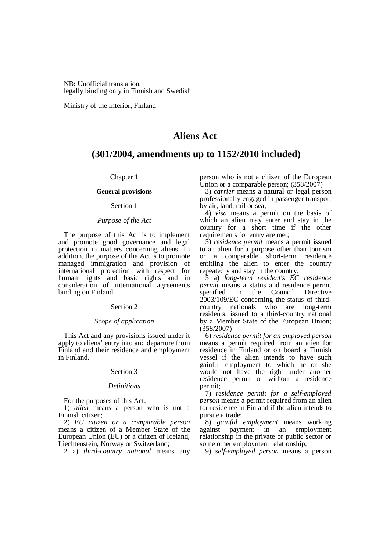NB: Unofficial translation, legally binding only in Finnish and Swedish

Ministry of the Interior, Finland

# **Aliens Act**

# **(301/2004, amendments up to 1152/2010 included)**

Chapter 1

## **General provisions**

## Section 1

## *Purpose of the Act*

The purpose of this Act is to implement and promote good governance and legal protection in matters concerning aliens. In addition, the purpose of the Act is to promote managed immigration and provision of international protection with respect for human rights and basic rights and in consideration of international agreements binding on Finland.

### Section 2

## *Scope of application*

This Act and any provisions issued under it apply to aliens' entry into and departure from Finland and their residence and employment in Finland.

## Section 3

#### *Definitions*

For the purposes of this Act:

1) *alien* means a person who is not a Finnish citizen;

2) *EU citizen or a comparable person* means a citizen of a Member State of the European Union (EU) or a citizen of Iceland, Liechtenstein, Norway or Switzerland;

2 a) *third-country national* means any

person who is not a citizen of the European Union or a comparable person; (358/2007)

3) *carrier* means a natural or legal person professionally engaged in passenger transport by air, land, rail or sea;

4) *visa* means a permit on the basis of which an alien may enter and stay in the country for a short time if the other requirements for entry are met;

5) *residence permit* means a permit issued to an alien for a purpose other than tourism or a comparable short-term residence entitling the alien to enter the country repeatedly and stay in the country;

5 a) *long-term resident's EC residence permit* means a status and residence permit specified in the Council Directive specified in 2003/109/EC concerning the status of thirdcountry nationals who are long-term residents, issued to a third-country national by a Member State of the European Union; (358/2007)

6) *residence permit for an employed person* means a permit required from an alien for residence in Finland or on board a Finnish vessel if the alien intends to have such gainful employment to which he or she would not have the right under another residence permit or without a residence permit;

7) *residence permit for a self-employed person* means a permit required from an alien for residence in Finland if the alien intends to pursue a trade;

8) *gainful employment* means working against payment in an employment relationship in the private or public sector or some other employment relationship;

9) *self-employed person* means a person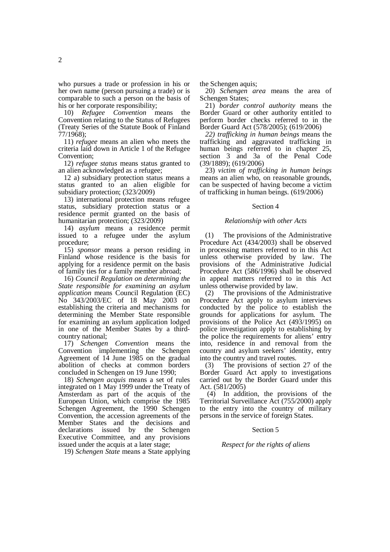who pursues a trade or profession in his or her own name (person pursuing a trade) or is comparable to such a person on the basis of his or her corporate responsibility;

10) *Refugee Convention* means the Convention relating to the Status of Refugees (Treaty Series of the Statute Book of Finland 77/1968);

11) *refugee* means an alien who meets the criteria laid down in Article 1 of the Refugee Convention;

12) *refugee status* means status granted to an alien acknowledged as a refugee;

12 a) subsidiary protection status means a status granted to an alien eligible for subsidiary protection; (323/2009)

13) international protection means refugee status, subsidiary protection status or a residence permit granted on the basis of humanitarian protection; (323/2009)

14) *asylum* means a residence permit issued to a refugee under the asylum procedure;

15) *sponsor* means a person residing in Finland whose residence is the basis for applying for a residence permit on the basis of family ties for a family member abroad;

16) *Council Regulation on determining the State responsible for examining an asylum application* means Council Regulation (EC) No 343/2003/EC of 18 May 2003 on establishing the criteria and mechanisms for determining the Member State responsible for examining an asylum application lodged in one of the Member States by a thirdcountry national;

17) *Schengen Convention* means the Convention implementing the Schengen Agreement of 14 June 1985 on the gradual abolition of checks at common borders concluded in Schengen on 19 June 1990;

18) *Schengen acquis* means a set of rules integrated on 1 May 1999 under the Treaty of Amsterdam as part of the acquis of the European Union, which comprise the 1985 Schengen Agreement, the 1990 Schengen Convention, the accession agreements of the Member States and the decisions and declarations issued by the Schengen Executive Committee, and any provisions issued under the acquis at a later stage;

19) *Schengen State* means a State applying

the Schengen aquis;

20) *Schengen area* means the area of Schengen States;

21) *border control authority* means the Border Guard or other authority entitled to perform border checks referred to in the Border Guard Act (578/2005); (619/2006)

*22) trafficking in human beings* means the trafficking and aggravated trafficking in human beings referred to in chapter 25, section 3 and 3a of the Penal Code (39/1889); (619/2006)

23) *victim of trafficking in human beings* means an alien who, on reasonable grounds, can be suspected of having become a victim of trafficking in human beings. (619/2006)

## Section 4

## *Relationship with other Acts*

(1) The provisions of the Administrative Procedure Act (434/2003) shall be observed in processing matters referred to in this Act unless otherwise provided by law. The provisions of the Administrative Judicial Procedure Act (586/1996) shall be observed in appeal matters referred to in this Act unless otherwise provided by law.

(2) The provisions of the Administrative Procedure Act apply to asylum interviews conducted by the police to establish the grounds for applications for asylum. The provisions of the Police Act (493/1995) on police investigation apply to establishing by the police the requirements for aliens' entry into, residence in and removal from the country and asylum seekers' identity, entry into the country and travel routes.

(3) The provisions of section 27 of the Border Guard Act apply to investigations carried out by the Border Guard under this Act. (581/2005)

 (4) In addition, the provisions of the Territorial Surveillance Act (755/2000) apply to the entry into the country of military persons in the service of foreign States.

### Section 5

#### *Respect for the rights of aliens*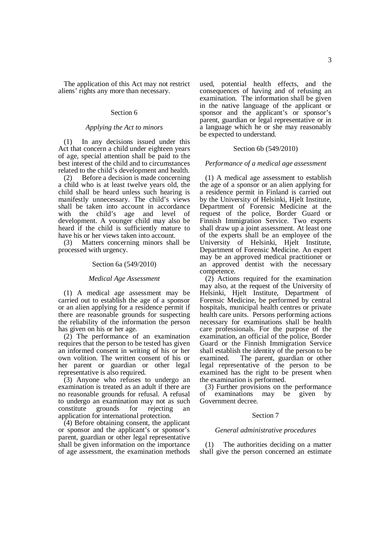The application of this Act may not restrict aliens' rights any more than necessary.

### Section 6

## *Applying the Act to minors*

(1) In any decisions issued under this Act that concern a child under eighteen years of age, special attention shall be paid to the best interest of the child and to circumstances related to the child's development and health.

(2) Before a decision is made concerning a child who is at least twelve years old, the child shall be heard unless such hearing is manifestly unnecessary. The child's views shall be taken into account in accordance with the child's age and level of development. A younger child may also be heard if the child is sufficiently mature to have his or her views taken into account.

(3) Matters concerning minors shall be processed with urgency.

#### Section 6a (549/2010)

#### *Medical Age Assessment*

(1) A medical age assessment may be carried out to establish the age of a sponsor or an alien applying for a residence permit if there are reasonable grounds for suspecting the reliability of the information the person has given on his or her age.

(2) The performance of an examination requires that the person to be tested has given an informed consent in writing of his or her own volition. The written consent of his or her parent or guardian or other legal representative is also required.

(3) Anyone who refuses to undergo an examination is treated as an adult if there are no reasonable grounds for refusal. A refusal to undergo an examination may not as such constitute grounds for rejecting an application for international protection.

(4) Before obtaining consent, the applicant or sponsor and the applicant's or sponsor's parent, guardian or other legal representative shall be given information on the importance of age assessment, the examination methods used, potential health effects, and the consequences of having and of refusing an examination. The information shall be given in the native language of the applicant or sponsor and the applicant's or sponsor's parent, guardian or legal representative or in a language which he or she may reasonably be expected to understand.

## Section 6b (549/2010)

### *Performance of a medical age assessment*

(1) A medical age assessment to establish the age of a sponsor or an alien applying for a residence permit in Finland is carried out by the University of Helsinki, Hjelt Institute, Department of Forensic Medicine at the request of the police, Border Guard or Finnish Immigration Service. Two experts shall draw up a joint assessment. At least one of the experts shall be an employee of the University of Helsinki, Hjelt Institute, Department of Forensic Medicine. An expert may be an approved medical practitioner or an approved dentist with the necessary competence.

(2) Actions required for the examination may also, at the request of the University of Helsinki, Hjelt Institute, Department of Forensic Medicine, be performed by central hospitals, municipal health centres or private health care units. Persons performing actions necessary for examinations shall be health care professionals. For the purpose of the examination, an official of the police, Border Guard or the Finnish Immigration Service shall establish the identity of the person to be examined. The parent, guardian or other legal representative of the person to be examined has the right to be present when the examination is performed.

(3) Further provisions on the performance of examinations may be given by Government decree.

#### Section 7

#### *General administrative procedures*

(1) The authorities deciding on a matter shall give the person concerned an estimate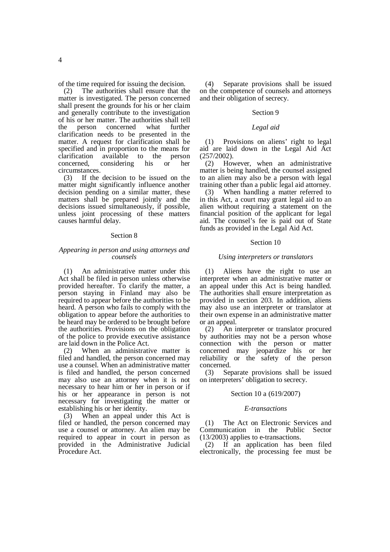of the time required for issuing the decision.

(2) The authorities shall ensure that the matter is investigated. The person concerned shall present the grounds for his or her claim and generally contribute to the investigation of his or her matter. The authorities shall tell<br>the person concerned what further concerned what further clarification needs to be presented in the matter. A request for clarification shall be specified and in proportion to the means for clarification available to the person concerned, considering his or her circumstances.

(3) If the decision to be issued on the matter might significantly influence another decision pending on a similar matter, these matters shall be prepared jointly and the decisions issued simultaneously, if possible, unless joint processing of these matters causes harmful delay.

### Section 8

## *Appearing in person and using attorneys and counsels*

(1) An administrative matter under this Act shall be filed in person unless otherwise provided hereafter. To clarify the matter, a person staying in Finland may also be required to appear before the authorities to be heard. A person who fails to comply with the obligation to appear before the authorities to be heard may be ordered to be brought before the authorities. Provisions on the obligation of the police to provide executive assistance are laid down in the Police Act.

(2) When an administrative matter is filed and handled, the person concerned may use a counsel. When an administrative matter is filed and handled, the person concerned may also use an attorney when it is not necessary to hear him or her in person or if his or her appearance in person is not necessary for investigating the matter or establishing his or her identity.

(3) When an appeal under this Act is filed or handled, the person concerned may use a counsel or attorney. An alien may be required to appear in court in person as provided in the Administrative Judicial Procedure Act.

(4) Separate provisions shall be issued on the competence of counsels and attorneys and their obligation of secrecy.

## Section 9

## *Legal aid*

(1) Provisions on aliens' right to legal aid are laid down in the Legal Aid Act (257/2002).

(2) However, when an administrative matter is being handled, the counsel assigned to an alien may also be a person with legal training other than a public legal aid attorney.

(3) When handling a matter referred to in this Act, a court may grant legal aid to an alien without requiring a statement on the financial position of the applicant for legal aid. The counsel's fee is paid out of State funds as provided in the Legal Aid Act.

#### Section 10

### *Using interpreters or translators*

(1) Aliens have the right to use an interpreter when an administrative matter or an appeal under this Act is being handled. The authorities shall ensure interpretation as provided in section 203. In addition, aliens may also use an interpreter or translator at their own expense in an administrative matter or an appeal.

(2) An interpreter or translator procured by authorities may not be a person whose connection with the person or matter concerned may jeopardize his or her reliability or the safety of the person concerned.

(3) Separate provisions shall be issued on interpreters' obligation to secrecy.

## Section 10 a (619/2007)

## *E-transactions*

(1) The Act on Electronic Services and Communication in the Public Sector (13/2003) applies to e-transactions.

(2) If an application has been filed electronically, the processing fee must be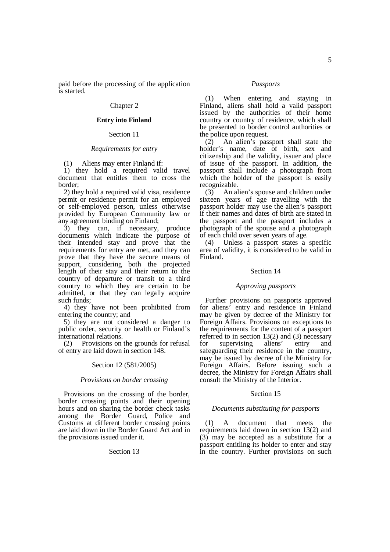paid before the processing of the application is started.

## Chapter 2

## **Entry into Finland**

## Section 11

## *Requirements for entry*

(1) Aliens may enter Finland if:

1) they hold a required valid travel document that entitles them to cross the border;

2) they hold a required valid visa, residence permit or residence permit for an employed or self-employed person, unless otherwise provided by European Community law or any agreement binding on Finland;

3) they can, if necessary, produce documents which indicate the purpose of their intended stay and prove that the requirements for entry are met, and they can prove that they have the secure means of support, considering both the projected length of their stay and their return to the country of departure or transit to a third country to which they are certain to be admitted, or that they can legally acquire such funds;

4) they have not been prohibited from entering the country; and

5) they are not considered a danger to public order, security or health or Finland's international relations.

(2) Provisions on the grounds for refusal of entry are laid down in section 148.

### Section 12 (581/2005)

### *Provisions on border crossing*

Provisions on the crossing of the border, border crossing points and their opening hours and on sharing the border check tasks among the Border Guard, Police and Customs at different border crossing points are laid down in the Border Guard Act and in the provisions issued under it.

#### Section 13

#### *Passports*

(1) When entering and staying in Finland, aliens shall hold a valid passport issued by the authorities of their home country or country of residence, which shall be presented to border control authorities or the police upon request.

(2) An alien's passport shall state the holder's name, date of birth, sex and citizenship and the validity, issuer and place of issue of the passport. In addition, the passport shall include a photograph from which the holder of the passport is easily recognizable.

(3) An alien's spouse and children under sixteen years of age travelling with the passport holder may use the alien's passport if their names and dates of birth are stated in the passport and the passport includes a photograph of the spouse and a photograph of each child over seven years of age.

(4) Unless a passport states a specific area of validity, it is considered to be valid in Finland.

## Section 14

#### *Approving passports*

Further provisions on passports approved for aliens' entry and residence in Finland may be given by decree of the Ministry for Foreign Affairs. Provisions on exceptions to the requirements for the content of a passport referred to in section 13(2) and (3) necessary for supervising aliens' entry and safeguarding their residence in the country, may be issued by decree of the Ministry for Foreign Affairs. Before issuing such a decree, the Ministry for Foreign Affairs shall consult the Ministry of the Interior.

## Section 15

#### *Documents substituting for passports*

(1) A document that meets the requirements laid down in section 13(2) and (3) may be accepted as a substitute for a passport entitling its holder to enter and stay in the country. Further provisions on such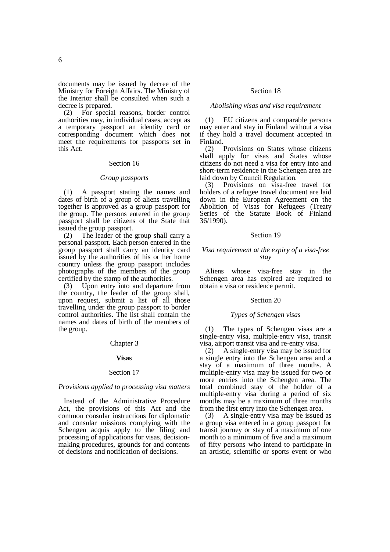documents may be issued by decree of the Ministry for Foreign Affairs. The Ministry of the Interior shall be consulted when such a decree is prepared.

(2) For special reasons, border control authorities may, in individual cases, accept as a temporary passport an identity card or corresponding document which does not meet the requirements for passports set in this Act.

### Section 16

#### *Group passports*

(1) A passport stating the names and dates of birth of a group of aliens travelling together is approved as a group passport for the group. The persons entered in the group passport shall be citizens of the State that issued the group passport.

(2) The leader of the group shall carry a personal passport. Each person entered in the group passport shall carry an identity card issued by the authorities of his or her home country unless the group passport includes photographs of the members of the group certified by the stamp of the authorities.

(3) Upon entry into and departure from the country, the leader of the group shall, upon request, submit a list of all those travelling under the group passport to border control authorities. The list shall contain the names and dates of birth of the members of the group.

## Chapter 3

#### **Visas**

#### Section 17

## *Provisions applied to processing visa matters*

Instead of the Administrative Procedure Act, the provisions of this Act and the common consular instructions for diplomatic and consular missions complying with the Schengen acquis apply to the filing and processing of applications for visas, decisionmaking procedures, grounds for and contents of decisions and notification of decisions.

## Section 18

### *Abolishing visas and visa requirement*

(1) EU citizens and comparable persons may enter and stay in Finland without a visa if they hold a travel document accepted in Finland.

(2) Provisions on States whose citizens shall apply for visas and States whose citizens do not need a visa for entry into and short-term residence in the Schengen area are laid down by Council Regulation.

(3) Provisions on visa-free travel for holders of a refugee travel document are laid down in the European Agreement on the Abolition of Visas for Refugees (Treaty Series of the Statute Book of Finland 36/1990).

### Section 19

### *Visa requirement at the expiry of a visa-free stay*

Aliens whose visa-free stay in the Schengen area has expired are required to obtain a visa or residence permit.

### Section 20

## *Types of Schengen visas*

(1) The types of Schengen visas are a single-entry visa, multiple-entry visa, transit visa, airport transit visa and re-entry visa.

(2) A single-entry visa may be issued for a single entry into the Schengen area and a stay of a maximum of three months. A multiple-entry visa may be issued for two or more entries into the Schengen area. The total combined stay of the holder of a multiple-entry visa during a period of six months may be a maximum of three months from the first entry into the Schengen area.

(3) A single-entry visa may be issued as a group visa entered in a group passport for transit journey or stay of a maximum of one month to a minimum of five and a maximum of fifty persons who intend to participate in an artistic, scientific or sports event or who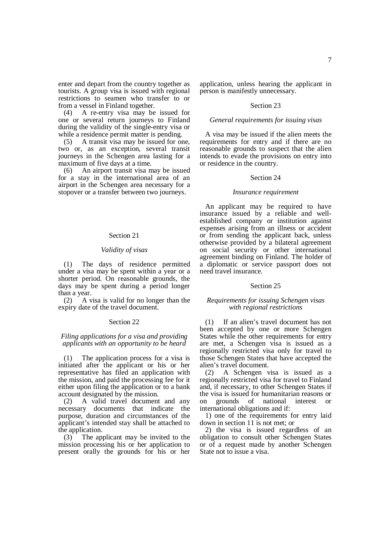enter and depart from the country together as tourists. A group visa is issued with regional restrictions to seamen who transfer to or from a vessel in Finland together.

(4) A re-entry visa may be issued for one or several return journeys to Finland during the validity of the single-entry visa or while a residence permit matter is pending.

(5) A transit visa may be issued for one, two or, as an exception, several transit journeys in the Schengen area lasting for a maximum of five days at a time.

(6) An airport transit visa may be issued for a stay in the international area of an airport in the Schengen area necessary for a stopover or a transfer between two journeys.

### Section 21

### *Validity of visas*

(1) The days of residence permitted under a visa may be spent within a year or a shorter period. On reasonable grounds, the days may be spent during a period longer than a year.

(2) A visa is valid for no longer than the expiry date of the travel document.

### Section 22

### *Filing applications for a visa and providing applicants with an opportunity to be heard*

(1) The application process for a visa is initiated after the applicant or his or her representative has filed an application with the mission, and paid the processing fee for it either upon filing the application or to a bank account designated by the mission.

(2) A valid travel document and any necessary documents that indicate the purpose, duration and circumstances of the applicant's intended stay shall be attached to the application.

(3) The applicant may be invited to the mission processing his or her application to present orally the grounds for his or her

application, unless hearing the applicant in person is manifestly unnecessary.

## Section 23

## *General requirements for issuing visas*

A visa may be issued if the alien meets the requirements for entry and if there are no reasonable grounds to suspect that the alien intends to evade the provisions on entry into or residence in the country.

#### Section 24

### *Insurance requirement*

An applicant may be required to have insurance issued by a reliable and wellestablished company or institution against expenses arising from an illness or accident or from sending the applicant back, unless otherwise provided by a bilateral agreement on social security or other international agreement binding on Finland. The holder of a diplomatic or service passport does not need travel insurance.

### Section 25

### *Requirements for issuing Schengen visas with regional restrictions*

(1) If an alien's travel document has not been accepted by one or more Schengen States while the other requirements for entry are met, a Schengen visa is issued as a regionally restricted visa only for travel to those Schengen States that have accepted the alien's travel document.

(2) A Schengen visa is issued as a regionally restricted visa for travel to Finland and, if necessary, to other Schengen States if the visa is issued for humanitarian reasons or<br>on grounds of national interest or on grounds of national interest or international obligations and if:

1) one of the requirements for entry laid down in section 11 is not met; or

2) the visa is issued regardless of an obligation to consult other Schengen States or of a request made by another Schengen State not to issue a visa.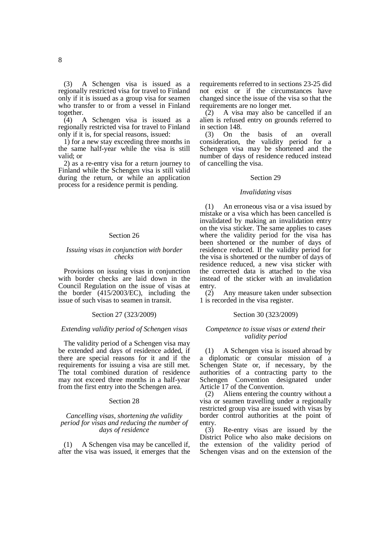(3) A Schengen visa is issued as a regionally restricted visa for travel to Finland only if it is issued as a group visa for seamen who transfer to or from a vessel in Finland together.<br>(4)  $\frac{1}{4}$ 

(4) A Schengen visa is issued as a regionally restricted visa for travel to Finland only if it is, for special reasons, issued:

1) for a new stay exceeding three months in the same half-year while the visa is still valid; or

2) as a re-entry visa for a return journey to Finland while the Schengen visa is still valid during the return, or while an application process for a residence permit is pending.

## Section 26

## *Issuing visas in conjunction with border checks*

Provisions on issuing visas in conjunction with border checks are laid down in the Council Regulation on the issue of visas at the border (415/2003/EC), including the issue of such visas to seamen in transit.

### Section 27 (323/2009)

### *Extending validity period of Schengen visas*

The validity period of a Schengen visa may be extended and days of residence added, if there are special reasons for it and if the requirements for issuing a visa are still met. The total combined duration of residence may not exceed three months in a half-year from the first entry into the Schengen area.

## Section 28

## *Cancelling visas, shortening the validity period for visas and reducing the number of days of residence*

(1) A Schengen visa may be cancelled if, after the visa was issued, it emerges that the

requirements referred to in sections 23-25 did not exist or if the circumstances have changed since the issue of the visa so that the requirements are no longer met.

 $(2)$  A visa may also be cancelled if an alien is refused entry on grounds referred to in section 148.

(3) On the basis of an overall consideration, the validity period for a Schengen visa may be shortened and the number of days of residence reduced instead of cancelling the visa.

### Section 29

### *Invalidating visas*

(1) An erroneous visa or a visa issued by mistake or a visa which has been cancelled is invalidated by making an invalidation entry on the visa sticker. The same applies to cases where the validity period for the visa has been shortened or the number of days of residence reduced. If the validity period for the visa is shortened or the number of days of residence reduced, a new visa sticker with the corrected data is attached to the visa instead of the sticker with an invalidation entry.

(2) Any measure taken under subsection 1 is recorded in the visa register.

## Section 30 (323/2009)

## *Competence to issue visas or extend their validity period*

(1) A Schengen visa is issued abroad by a diplomatic or consular mission of a Schengen State or, if necessary, by the authorities of a contracting party to the Schengen Convention designated under Article 17 of the Convention.

(2) Aliens entering the country without a visa or seamen travelling under a regionally restricted group visa are issued with visas by border control authorities at the point of entry.

(3) Re-entry visas are issued by the District Police who also make decisions on the extension of the validity period of Schengen visas and on the extension of the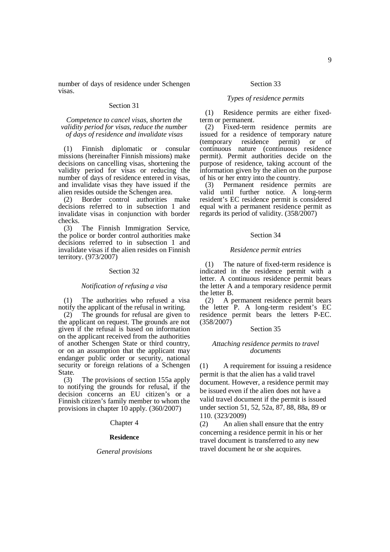number of days of residence under Schengen visas.

## Section 31

*Competence to cancel visas, shorten the validity period for visas, reduce the number of days of residence and invalidate visas* 

(1) Finnish diplomatic or consular missions (hereinafter Finnish missions) make decisions on cancelling visas, shortening the validity period for visas or reducing the number of days of residence entered in visas, and invalidate visas they have issued if the alien resides outside the Schengen area.

(2) Border control authorities make decisions referred to in subsection 1 and invalidate visas in conjunction with border checks.

(3) The Finnish Immigration Service, the police or border control authorities make decisions referred to in subsection 1 and invalidate visas if the alien resides on Finnish territory. (973/2007)

### Section 32

## *Notification of refusing a visa*

(1) The authorities who refused a visa notify the applicant of the refusal in writing.

(2) The grounds for refusal are given to the applicant on request. The grounds are not given if the refusal is based on information on the applicant received from the authorities of another Schengen State or third country, or on an assumption that the applicant may endanger public order or security, national security or foreign relations of a Schengen State.

(3) The provisions of section 155a apply to notifying the grounds for refusal, if the decision concerns an EU citizen's or a Finnish citizen's family member to whom the provisions in chapter 10 apply. (360/2007)

Chapter 4

#### **Residence**

#### *General provisions*

## Section 33

## *Types of residence permits*

(1) Residence permits are either fixedterm or permanent.

(2) Fixed-term residence permits are issued for a residence of temporary nature<br>(temporary residence permit) or of (temporary residence permit) or of continuous nature (continuous residence permit). Permit authorities decide on the purpose of residence, taking account of the information given by the alien on the purpose of his or her entry into the country.

(3) Permanent residence permits are valid until further notice. A long-term resident's EC residence permit is considered equal with a permanent residence permit as regards its period of validity. (358/2007)

### Section 34

### *Residence permit entries*

(1) The nature of fixed-term residence is indicated in the residence permit with a letter. A continuous residence permit bears the letter A and a temporary residence permit the letter B.<br>(2) A  $p$ 

A permanent residence permit bears the letter P. A long-term resident's EC residence permit bears the letters P-EC. (358/2007)

#### Section 35

## *Attaching residence permits to travel documents*

(1) A requirement for issuing a residence permit is that the alien has a valid travel document. However, a residence permit may be issued even if the alien does not have a valid travel document if the permit is issued under section 51, 52, 52a, 87, 88, 88a, 89 or 110. (323/2009)

(2) An alien shall ensure that the entry concerning a residence permit in his or her travel document is transferred to any new travel document he or she acquires.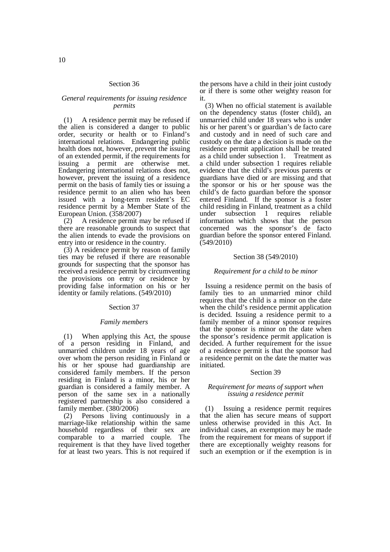## Section 36

## *General requirements for issuing residence permits*

(1) A residence permit may be refused if the alien is considered a danger to public order, security or health or to Finland's international relations. Endangering public health does not, however, prevent the issuing of an extended permit, if the requirements for issuing a permit are otherwise met. Endangering international relations does not, however, prevent the issuing of a residence permit on the basis of family ties or issuing a residence permit to an alien who has been issued with a long-term resident's EC residence permit by a Member State of the European Union. (358/2007)

(2) A residence permit may be refused if there are reasonable grounds to suspect that the alien intends to evade the provisions on entry into or residence in the country.

(3) A residence permit by reason of family ties may be refused if there are reasonable grounds for suspecting that the sponsor has received a residence permit by circumventing the provisions on entry or residence by providing false information on his or her identity or family relations. (549/2010)

### Section 37

## *Family members*

(1) When applying this Act, the spouse of a person residing in Finland, and unmarried children under 18 years of age over whom the person residing in Finland or his or her spouse had guardianship are considered family members. If the person residing in Finland is a minor, his or her guardian is considered a family member. A person of the same sex in a nationally registered partnership is also considered a family member. (380/2006)

(2) Persons living continuously in a marriage-like relationship within the same household regardless of their sex are comparable to a married couple. The requirement is that they have lived together for at least two years. This is not required if

the persons have a child in their joint custody or if there is some other weighty reason for it.

(3) When no official statement is available on the dependency status (foster child), an unmarried child under 18 years who is under his or her parent's or guardian's de facto care and custody and in need of such care and custody on the date a decision is made on the residence permit application shall be treated as a child under subsection 1. Treatment as a child under subsection 1 requires reliable evidence that the child's previous parents or guardians have died or are missing and that the sponsor or his or her spouse was the child's de facto guardian before the sponsor entered Finland. If the sponsor is a foster child residing in Finland, treatment as a child under subsection 1 requires reliable information which shows that the person concerned was the sponsor's de facto guardian before the sponsor entered Finland. (549/2010)

## Section 38 (549/2010)

## *Requirement for a child to be minor*

Issuing a residence permit on the basis of family ties to an unmarried minor child requires that the child is a minor on the date when the child's residence permit application is decided. Issuing a residence permit to a family member of a minor sponsor requires that the sponsor is minor on the date when the sponsor's residence permit application is decided. A further requirement for the issue of a residence permit is that the sponsor had a residence permit on the date the matter was initiated.

## Section 39

### *Requirement for means of support when issuing a residence permit*

(1) Issuing a residence permit requires that the alien has secure means of support unless otherwise provided in this Act. In individual cases, an exemption may be made from the requirement for means of support if there are exceptionally weighty reasons for such an exemption or if the exemption is in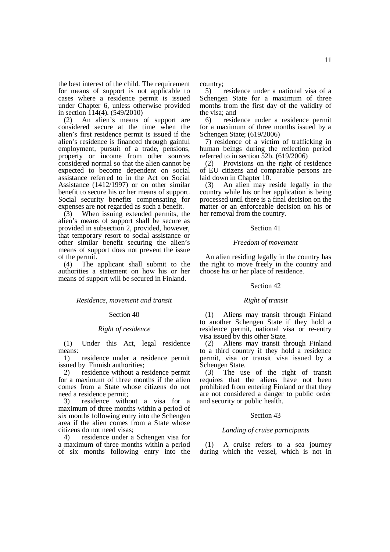the best interest of the child. The requirement for means of support is not applicable to cases where a residence permit is issued under Chapter 6, unless otherwise provided in section  $114(4)$ . (549/2010)

(2) An alien's means of support are considered secure at the time when the alien's first residence permit is issued if the alien's residence is financed through gainful employment, pursuit of a trade, pensions, property or income from other sources considered normal so that the alien cannot be expected to become dependent on social assistance referred to in the Act on Social Assistance (1412/1997) or on other similar benefit to secure his or her means of support. Social security benefits compensating for expenses are not regarded as such a benefit.

(3) When issuing extended permits, the alien's means of support shall be secure as provided in subsection 2, provided, however, that temporary resort to social assistance or other similar benefit securing the alien's means of support does not prevent the issue of the permit.

(4) The applicant shall submit to the authorities a statement on how his or her means of support will be secured in Finland.

#### *Residence, movement and transit*

#### Section 40

### *Right of residence*

(1) Under this Act, legal residence means:

1) residence under a residence permit issued by Finnish authorities;

2) residence without a residence permit for a maximum of three months if the alien comes from a State whose citizens do not need a residence permit;

3) residence without a visa for a maximum of three months within a period of six months following entry into the Schengen area if the alien comes from a State whose citizens do not need visas;

4) residence under a Schengen visa for a maximum of three months within a period of six months following entry into the country;

5) residence under a national visa of a Schengen State for a maximum of three months from the first day of the validity of the visa; and

6) residence under a residence permit for a maximum of three months issued by a Schengen State; (619/2006)

7) residence of a victim of trafficking in human beings during the reflection period referred to in section 52b. (619/2006)

(2) Provisions on the right of residence of EU citizens and comparable persons are laid down in Chapter 10.

(3) An alien may reside legally in the country while his or her application is being processed until there is a final decision on the matter or an enforceable decision on his or her removal from the country.

## Section 41

#### *Freedom of movement*

An alien residing legally in the country has the right to move freely in the country and choose his or her place of residence.

#### Section 42

## *Right of transit*

(1) Aliens may transit through Finland to another Schengen State if they hold a residence permit, national visa or re-entry visa issued by this other State.

(2) Aliens may transit through Finland to a third country if they hold a residence permit, visa or transit visa issued by a Schengen State.

(3) The use of the right of transit requires that the aliens have not been prohibited from entering Finland or that they are not considered a danger to public order and security or public health.

### Section 43

#### *Landing of cruise participants*

(1) A cruise refers to a sea journey during which the vessel, which is not in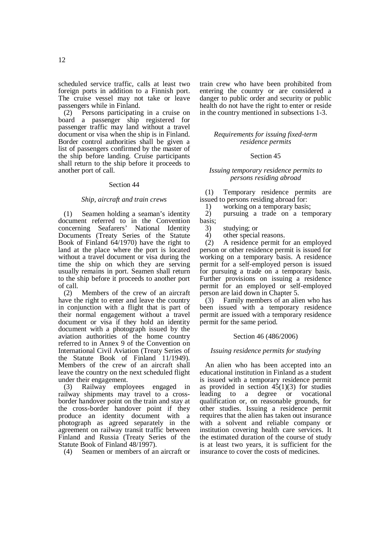(2) Persons participating in a cruise on board a passenger ship registered for passenger traffic may land without a travel document or visa when the ship is in Finland. Border control authorities shall be given a list of passengers confirmed by the master of the ship before landing. Cruise participants shall return to the ship before it proceeds to another port of call.

## Section 44

## *Ship, aircraft and train crews*

(1) Seamen holding a seaman's identity document referred to in the Convention concerning Seafarers' National Identity Documents (Treaty Series of the Statute Book of Finland 64/1970) have the right to land at the place where the port is located without a travel document or visa during the time the ship on which they are serving usually remains in port. Seamen shall return to the ship before it proceeds to another port of call.

(2) Members of the crew of an aircraft have the right to enter and leave the country in conjunction with a flight that is part of their normal engagement without a travel document or visa if they hold an identity document with a photograph issued by the aviation authorities of the home country referred to in Annex 9 of the Convention on International Civil Aviation (Treaty Series of the Statute Book of Finland 11/1949). Members of the crew of an aircraft shall leave the country on the next scheduled flight under their engagement.

(3) Railway employees engaged in railway shipments may travel to a crossborder handover point on the train and stay at the cross-border handover point if they produce an identity document with a photograph as agreed separately in the agreement on railway transit traffic between Finland and Russia (Treaty Series of the Statute Book of Finland 48/1997).

(4) Seamen or members of an aircraft or

train crew who have been prohibited from entering the country or are considered a danger to public order and security or public health do not have the right to enter or reside in the country mentioned in subsections 1-3.

## *Requirements for issuing fixed-term residence permits*

## Section 45

### *Issuing temporary residence permits to persons residing abroad*

(1) Temporary residence permits are issued to persons residing abroad for:

1) working on a temporary basis;<br>2) pursuing a trade on a tem

pursuing a trade on a temporary basis;

3) studying; or

4) other special reasons.

(2) A residence permit for an employed person or other residence permit is issued for working on a temporary basis. A residence permit for a self-employed person is issued for pursuing a trade on a temporary basis. Further provisions on issuing a residence permit for an employed or self-employed person are laid down in Chapter 5.

(3) Family members of an alien who has been issued with a temporary residence permit are issued with a temporary residence permit for the same period.

## Section 46 (486/2006)

### *Issuing residence permits for studying*

An alien who has been accepted into an educational institution in Finland as a student is issued with a temporary residence permit as provided in section  $45(1)(3)$  for studies leading to a degree or vocational qualification or, on reasonable grounds, for other studies. Issuing a residence permit requires that the alien has taken out insurance with a solvent and reliable company or institution covering health care services. It the estimated duration of the course of study is at least two years, it is sufficient for the insurance to cover the costs of medicines.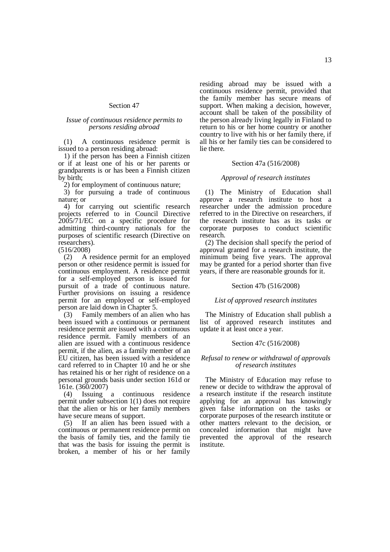## Section 47

## *Issue of continuous residence permits to persons residing abroad*

(1) A continuous residence permit is issued to a person residing abroad:

1) if the person has been a Finnish citizen or if at least one of his or her parents or grandparents is or has been a Finnish citizen by birth;

2) for employment of continuous nature;

3) for pursuing a trade of continuous nature; or

4) for carrying out scientific research projects referred to in Council Directive 2005/71/EC on a specific procedure for admitting third-country nationals for the purposes of scientific research (Directive on researchers).

 $(516/2008)$ <br>(2) A A residence permit for an employed person or other residence permit is issued for continuous employment. A residence permit for a self-employed person is issued for pursuit of a trade of continuous nature. Further provisions on issuing a residence permit for an employed or self-employed person are laid down in Chapter 5.

(3) Family members of an alien who has been issued with a continuous or permanent residence permit are issued with a continuous residence permit. Family members of an alien are issued with a continuous residence permit, if the alien, as a family member of an EU citizen, has been issued with a residence card referred to in Chapter 10 and he or she has retained his or her right of residence on a personal grounds basis under section 161d or

161e.  $(360/2007)$ <br>(4) Issuing a (4) Issuing a continuous residence permit under subsection 1(1) does not require that the alien or his or her family members have secure means of support.

(5) If an alien has been issued with a continuous or permanent residence permit on the basis of family ties, and the family tie that was the basis for issuing the permit is broken, a member of his or her family residing abroad may be issued with a continuous residence permit, provided that the family member has secure means of support. When making a decision, however, account shall be taken of the possibility of the person already living legally in Finland to return to his or her home country or another country to live with his or her family there, if all his or her family ties can be considered to lie there.

### Section 47a (516/2008)

## *Approval of research institutes*

(1) The Ministry of Education shall approve a research institute to host a researcher under the admission procedure referred to in the Directive on researchers, if the research institute has as its tasks or corporate purposes to conduct scientific research.

(2) The decision shall specify the period of approval granted for a research institute, the minimum being five years. The approval may be granted for a period shorter than five years, if there are reasonable grounds for it.

## Section 47b (516/2008)

## *List of approved research institutes*

The Ministry of Education shall publish a list of approved research institutes and update it at least once a year.

## Section 47c (516/2008)

### *Refusal to renew or withdrawal of approvals of research institutes*

The Ministry of Education may refuse to renew or decide to withdraw the approval of a research institute if the research institute applying for an approval has knowingly given false information on the tasks or corporate purposes of the research institute or other matters relevant to the decision, or concealed information that might have prevented the approval of the research institute.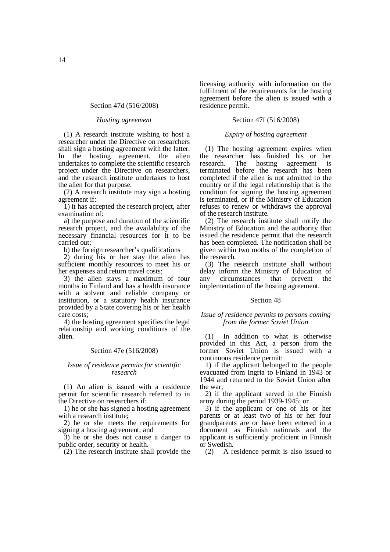### Section 47d (516/2008)

### *Hosting agreement*

(1) A research institute wishing to host a researcher under the Directive on researchers shall sign a hosting agreement with the latter. In the hosting agreement, the alien undertakes to complete the scientific research project under the Directive on researchers, and the research institute undertakes to host the alien for that purpose.

(2) A research institute may sign a hosting agreement if:

1) it has accepted the research project, after examination of:

a) the purpose and duration of the scientific research project, and the availability of the necessary financial resources for it to be carried out;

b) the foreign researcher's qualifications

2) during his or her stay the alien has sufficient monthly resources to meet his or her expenses and return travel costs;

3) the alien stays a maximum of four months in Finland and has a health insurance with a solvent and reliable company or institution, or a statutory health insurance provided by a State covering his or her health care costs;

4) the hosting agreement specifies the legal relationship and working conditions of the alien.

## Section 47e (516/2008)

### *Issue of residence permits for scientific research*

(1) An alien is issued with a residence permit for scientific research referred to in the Directive on researchers if:

1) he or she has signed a hosting agreement with a research institute;

2) he or she meets the requirements for signing a hosting agreement; and

3) he or she does not cause a danger to public order, security or health.

(2) The research institute shall provide the

licensing authority with information on the fulfilment of the requirements for the hosting agreement before the alien is issued with a residence permit.

## Section 47f (516/2008)

### *Expiry of hosting agreement*

(1) The hosting agreement expires when the researcher has finished his or her research. The hosting agreement is terminated before the research has been completed if the alien is not admitted to the country or if the legal relationship that is the condition for signing the hosting agreement is terminated, or if the Ministry of Education refuses to renew or withdraws the approval of the research institute.

(2) The research institute shall notify the Ministry of Education and the authority that issued the residence permit that the research has been completed. The notification shall be given within two moths of the completion of the research.

(3) The research institute shall without delay inform the Ministry of Education of any circumstances that prevent the implementation of the hosting agreement.

## Section 48

## *Issue of residence permits to persons coming from the former Soviet Union*

(1) In addition to what is otherwise provided in this Act, a person from the former Soviet Union is issued with a continuous residence permit:

1) if the applicant belonged to the people evacuated from Ingria to Finland in 1943 or 1944 and returned to the Soviet Union after the war;

2) if the applicant served in the Finnish army during the period 1939-1945; or

3) if the applicant or one of his or her parents or at least two of his or her four grandparents are or have been entered in a document as Finnish nationals and the applicant is sufficiently proficient in Finnish or Swedish.

(2) A residence permit is also issued to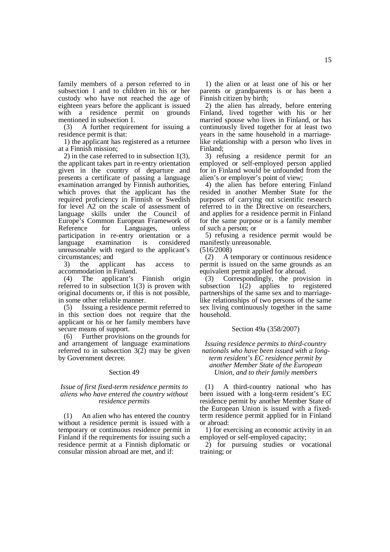family members of a person referred to in subsection 1 and to children in his or her custody who have not reached the age of eighteen years before the applicant is issued with a residence permit on grounds mentioned in subsection 1.

(3) A further requirement for issuing a residence permit is that:

1) the applicant has registered as a returnee at a Finnish mission;

2) in the case referred to in subsection 1(3), the applicant takes part in re-entry orientation given in the country of departure and presents a certificate of passing a language examination arranged by Finnish authorities, which proves that the applicant has the required proficiency in Finnish or Swedish for level A2 on the scale of assessment of language skills under the Council of Europe's Common European Framework of Reference for Languages, unless participation in re-entry orientation or a language examination is considered unreasonable with regard to the applicant's circumstances; and

3) the applicant has access to accommodation in Finland.

(4) The applicant's Finnish origin referred to in subsection 1(3) is proven with original documents or, if this is not possible, in some other reliable manner.

(5) Issuing a residence permit referred to in this section does not require that the applicant or his or her family members have secure means of support.

(6) Further provisions on the grounds for and arrangement of language examinations referred to in subsection  $3(2)$  may be given by Government decree.

## Section 49

### *Issue of first fixed-term residence permits to aliens who have entered the country without residence permits*

(1) An alien who has entered the country without a residence permit is issued with a temporary or continuous residence permit in Finland if the requirements for issuing such a residence permit at a Finnish diplomatic or consular mission abroad are met, and if:

1) the alien or at least one of his or her parents or grandparents is or has been a Finnish citizen by birth;

2) the alien has already, before entering Finland, lived together with his or her married spouse who lives in Finland, or has continuously lived together for at least two years in the same household in a marriagelike relationship with a person who lives in Finland;

3) refusing a residence permit for an employed or self-employed person applied for in Finland would be unfounded from the alien's or employer's point of view;

4) the alien has before entering Finland resided in another Member State for the purposes of carrying out scientific research referred to in the Directive on researchers, and applies for a residence permit in Finland for the same purpose or is a family member of such a person; or

5) refusing a residence permit would be manifestly unreasonable.

(516/2008)

(2) A temporary or continuous residence permit is issued on the same grounds as an equivalent permit applied for abroad.

(3) Correspondingly, the provision in subsection  $1(2)$  applies to registered partnerships of the same sex and to marriagelike relationships of two persons of the same sex living continuously together in the same household.

### Section 49a (358/2007)

*Issuing residence permits to third-country nationals who have been issued with a longterm resident's EC residence permit by another Member State of the European Union, and to their family members* 

(1) A third-country national who has been issued with a long-term resident's EC residence permit by another Member State of the European Union is issued with a fixedterm residence permit applied for in Finland or abroad:

1) for exercising an economic activity in an employed or self-employed capacity;

2) for pursuing studies or vocational training; or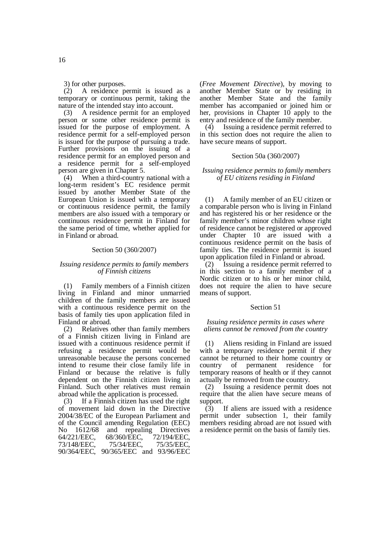3) for other purposes.

(2) A residence permit is issued as a temporary or continuous permit, taking the nature of the intended stay into account.

(3) A residence permit for an employed person or some other residence permit is issued for the purpose of employment. A residence permit for a self-employed person is issued for the purpose of pursuing a trade. Further provisions on the issuing of a residence permit for an employed person and a residence permit for a self-employed person are given in Chapter 5.

(4) When a third-country national with a long-term resident's EC residence permit issued by another Member State of the European Union is issued with a temporary or continuous residence permit, the family members are also issued with a temporary or continuous residence permit in Finland for the same period of time, whether applied for in Finland or abroad.

## Section 50 (360/2007)

## *Issuing residence permits to family members of Finnish citizens*

(1) Family members of a Finnish citizen living in Finland and minor unmarried children of the family members are issued with a continuous residence permit on the basis of family ties upon application filed in Finland or abroad.

(2) Relatives other than family members of a Finnish citizen living in Finland are issued with a continuous residence permit if refusing a residence permit would be unreasonable because the persons concerned intend to resume their close family life in Finland or because the relative is fully dependent on the Finnish citizen living in Finland. Such other relatives must remain abroad while the application is processed.

(3) If a Finnish citizen has used the right of movement laid down in the Directive 2004/38/EC of the European Parliament and of the Council amending Regulation (EEC) No 1612/68 and repealing Directives 64/221/EEC, 68/360/EEC, 72/194/EEC, 73/148/EEC, 75/34/EEC, 75/35/EEC, 90/364/EEC, 90/365/EEC and 93/96/EEC

(*Free Movement Directive*), by moving to another Member State or by residing in another Member State and the family member has accompanied or joined him or her, provisions in Chapter 10 apply to the entry and residence of the family member.

(4) Issuing a residence permit referred to in this section does not require the alien to have secure means of support.

## Section 50a (360/2007)

 *Issuing residence permits to family members of EU citizens residing in Finland* 

(1) A family member of an EU citizen or a comparable person who is living in Finland and has registered his or her residence or the family member's minor children whose right of residence cannot be registered or approved under Chapter 10 are issued with a continuous residence permit on the basis of family ties. The residence permit is issued upon application filed in Finland or abroad.

(2) Issuing a residence permit referred to in this section to a family member of a Nordic citizen or to his or her minor child, does not require the alien to have secure means of support.

### Section 51

### *Issuing residence permits in cases where aliens cannot be removed from the country*

(1) Aliens residing in Finland are issued with a temporary residence permit if they cannot be returned to their home country or country of permanent residence for temporary reasons of health or if they cannot actually be removed from the country.

(2) Issuing a residence permit does not require that the alien have secure means of support.

(3) If aliens are issued with a residence permit under subsection 1, their family members residing abroad are not issued with a residence permit on the basis of family ties.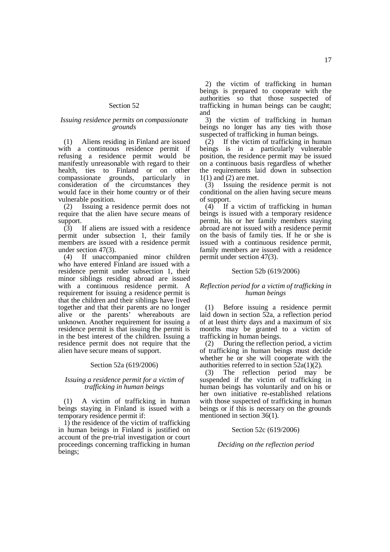## Section 52

## *Issuing residence permits on compassionate grounds*

(1) Aliens residing in Finland are issued with a continuous residence permit if refusing a residence permit would be manifestly unreasonable with regard to their health, ties to Finland or on other compassionate grounds, particularly in consideration of the circumstances they would face in their home country or of their vulnerable position.

(2) Issuing a residence permit does not require that the alien have secure means of support.

(3) If aliens are issued with a residence permit under subsection 1, their family members are issued with a residence permit under section 47(3).

(4) If unaccompanied minor children who have entered Finland are issued with a residence permit under subsection 1, their minor siblings residing abroad are issued with a continuous residence permit. A requirement for issuing a residence permit is that the children and their siblings have lived together and that their parents are no longer alive or the parents' whereabouts are unknown. Another requirement for issuing a residence permit is that issuing the permit is in the best interest of the children. Issuing a residence permit does not require that the alien have secure means of support.

## Section 52a (619/2006)

## *Issuing a residence permit for a victim of trafficking in human beings*

(1) A victim of trafficking in human beings staying in Finland is issued with a temporary residence permit if:

1) the residence of the victim of trafficking in human beings in Finland is justified on account of the pre-trial investigation or court proceedings concerning trafficking in human beings;

2) the victim of trafficking in human beings is prepared to cooperate with the authorities so that those suspected of trafficking in human beings can be caught; and

3) the victim of trafficking in human beings no longer has any ties with those suspected of trafficking in human beings.

 $(2)$  If the victim of trafficking in human beings is in a particularly vulnerable position, the residence permit may be issued on a continuous basis regardless of whether the requirements laid down in subsection 1(1) and (2) are met.

(3) Issuing the residence permit is not conditional on the alien having secure means of support.

 $(4)$  If a victim of trafficking in human beings is issued with a temporary residence permit, his or her family members staying abroad are not issued with a residence permit on the basis of family ties. If he or she is issued with a continuous residence permit, family members are issued with a residence permit under section 47(3).

## Section 52b (619/2006)

## *Reflection period for a victim of trafficking in human beings*

(1) Before issuing a residence permit laid down in section 52a, a reflection period of at least thirty days and a maximum of six months may be granted to a victim of trafficking in human beings.

(2) During the reflection period, a victim of trafficking in human beings must decide whether he or she will cooperate with the authorities referred to in section 52a(1)(2).

(3) The reflection period may be suspended if the victim of trafficking in human beings has voluntarily and on his or her own initiative re-established relations with those suspected of trafficking in human beings or if this is necessary on the grounds mentioned in section 36(1).

### Section 52c (619/2006)

## *Deciding on the reflection period*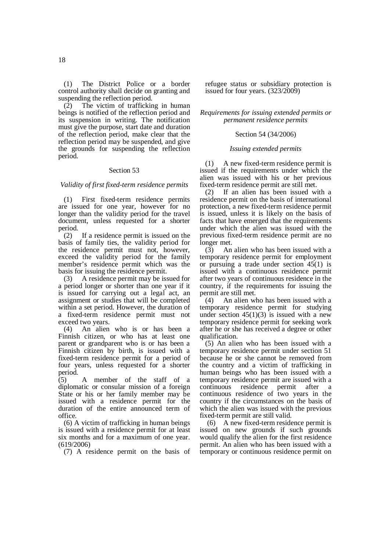(1) The District Police or a border control authority shall decide on granting and suspending the reflection period.

(2) The victim of trafficking in human beings is notified of the reflection period and its suspension in writing. The notification must give the purpose, start date and duration of the reflection period, make clear that the reflection period may be suspended, and give the grounds for suspending the reflection period.

### Section 53

*Validity of first fixed-term residence permits* 

(1) First fixed-term residence permits are issued for one year, however for no longer than the validity period for the travel document, unless requested for a shorter period.

(2) If a residence permit is issued on the basis of family ties, the validity period for the residence permit must not, however, exceed the validity period for the family member's residence permit which was the basis for issuing the residence permit.

(3) A residence permit may be issued for a period longer or shorter than one year if it is issued for carrying out a legal act, an assignment or studies that will be completed within a set period. However, the duration of a fixed-term residence permit must not exceed two years.

(4) An alien who is or has been a Finnish citizen, or who has at least one parent or grandparent who is or has been a Finnish citizen by birth, is issued with a fixed-term residence permit for a period of four years, unless requested for a shorter period.

 $(5)$  A member of the staff of a diplomatic or consular mission of a foreign State or his or her family member may be issued with a residence permit for the duration of the entire announced term of office.

(6) A victim of trafficking in human beings is issued with a residence permit for at least six months and for a maximum of one year. (619/2006)

(7) A residence permit on the basis of

refugee status or subsidiary protection is issued for four years. (323/2009)

*Requirements for issuing extended permits or permanent residence permits* 

## Section 54 (34/2006)

## *Issuing extended permits*

(1) A new fixed-term residence permit is issued if the requirements under which the alien was issued with his or her previous fixed-term residence permit are still met.

(2) If an alien has been issued with a residence permit on the basis of international protection, a new fixed-term residence permit is issued, unless it is likely on the basis of facts that have emerged that the requirements under which the alien was issued with the previous fixed-term residence permit are no longer met.

(3) An alien who has been issued with a temporary residence permit for employment or pursuing a trade under section  $45(1)$  is issued with a continuous residence permit after two years of continuous residence in the country, if the requirements for issuing the permit are still met.

(4) An alien who has been issued with a temporary residence permit for studying under section  $45(1)(3)$  is issued with a new temporary residence permit for seeking work after he or she has received a degree or other qualification.

(5) An alien who has been issued with a temporary residence permit under section 51 because he or she cannot be removed from the country and a victim of trafficking in human beings who has been issued with a temporary residence permit are issued with a continuous residence permit after a continuous residence of two years in the country if the circumstances on the basis of which the alien was issued with the previous fixed-term permit are still valid.

 (6) A new fixed-term residence permit is issued on new grounds if such grounds would qualify the alien for the first residence permit. An alien who has been issued with a temporary or continuous residence permit on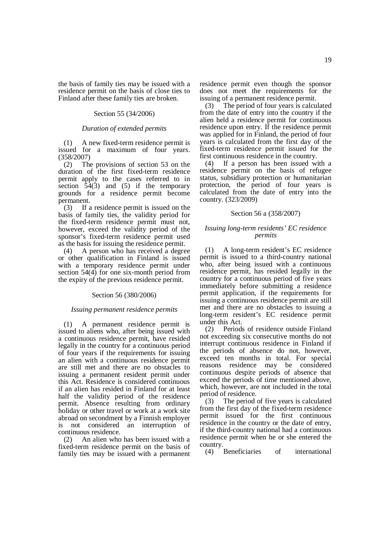the basis of family ties may be issued with a residence permit on the basis of close ties to Finland after these family ties are broken.

### Section 55 (34/2006)

### *Duration of extended permits*

(1) A new fixed-term residence permit is issued for a maximum of four years. (358/2007)

(2) The provisions of section 53 on the duration of the first fixed-term residence permit apply to the cases referred to in section  $\overline{54(3)}$  and (5) if the temporary grounds for a residence permit become permanent.

(3) If a residence permit is issued on the basis of family ties, the validity period for the fixed-term residence permit must not, however, exceed the validity period of the sponsor's fixed-term residence permit used as the basis for issuing the residence permit.

(4) A person who has received a degree or other qualification in Finland is issued with a temporary residence permit under section  $54(4)$  for one six-month period from the expiry of the previous residence permit.

### Section 56 (380/2006)

### *Issuing permanent residence permits*

(1) A permanent residence permit is issued to aliens who, after being issued with a continuous residence permit, have resided legally in the country for a continuous period of four years if the requirements for issuing an alien with a continuous residence permit are still met and there are no obstacles to issuing a permanent resident permit under this Act. Residence is considered continuous if an alien has resided in Finland for at least half the validity period of the residence permit. Absence resulting from ordinary holiday or other travel or work at a work site abroad on secondment by a Finnish employer is not considered an interruption of continuous residence.

(2) An alien who has been issued with a fixed-term residence permit on the basis of family ties may be issued with a permanent residence permit even though the sponsor does not meet the requirements for the issuing of a permanent residence permit.

(3) The period of four years is calculated from the date of entry into the country if the alien held a residence permit for continuous residence upon entry. If the residence permit was applied for in Finland, the period of four years is calculated from the first day of the fixed-term residence permit issued for the first continuous residence in the country.

(4) If a person has been issued with a residence permit on the basis of refugee status, subsidiary protection or humanitarian protection, the period of four years is calculated from the date of entry into the country. (323/2009)

## Section 56 a (358/2007)

## *Issuing long-term residents' EC residence permits*

(1) A long-term resident's EC residence permit is issued to a third-country national who, after being issued with a continuous residence permit, has resided legally in the country for a continuous period of five years immediately before submitting a residence permit application, if the requirements for issuing a continuous residence permit are still met and there are no obstacles to issuing a long-term resident's EC residence permit under this Act.

(2) Periods of residence outside Finland not exceeding six consecutive months do not interrupt continuous residence in Finland if the periods of absence do not, however, exceed ten months in total. For special reasons residence may be considered continuous despite periods of absence that exceed the periods of time mentioned above, which, however, are not included in the total period of residence.

(3) The period of five years is calculated from the first day of the fixed-term residence permit issued for the first continuous residence in the country or the date of entry, if the third-country national had a continuous residence permit when he or she entered the country.

(4) Beneficiaries of international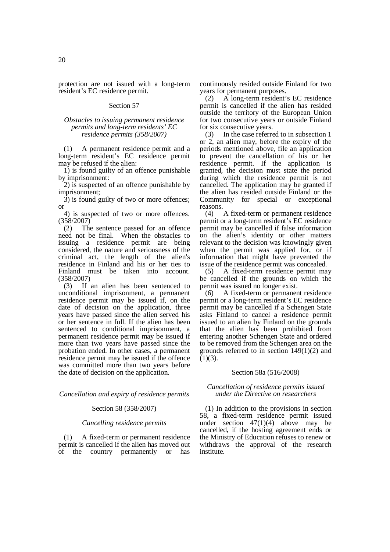protection are not issued with a long-term resident's EC residence permit.

## Section 57

## *Obstacles to issuing permanent residence permits and long-term residents' EC residence permits (358/2007)*

(1) A permanent residence permit and a long-term resident's EC residence permit may be refused if the alien:

1) is found guilty of an offence punishable by imprisonment:

2) is suspected of an offence punishable by imprisonment;

3) is found guilty of two or more offences; or

4) is suspected of two or more offences. (358/2007)

(2) The sentence passed for an offence need not be final. When the obstacles to issuing a residence permit are being considered, the nature and seriousness of the criminal act, the length of the alien's residence in Finland and his or her ties to Finland must be taken into account.  $(358/2007)$ <br>(3) If

If an alien has been sentenced to unconditional imprisonment, a permanent residence permit may be issued if, on the date of decision on the application, three years have passed since the alien served his or her sentence in full. If the alien has been sentenced to conditional imprisonment, a permanent residence permit may be issued if more than two years have passed since the probation ended. In other cases, a permanent residence permit may be issued if the offence was committed more than two years before the date of decision on the application.

*Cancellation and expiry of residence permits* 

## Section 58 (358/2007)

### *Cancelling residence permits*

(1) A fixed-term or permanent residence permit is cancelled if the alien has moved out of the country permanently or has

continuously resided outside Finland for two years for permanent purposes.

(2) A long-term resident's EC residence permit is cancelled if the alien has resided outside the territory of the European Union for two consecutive years or outside Finland for six consecutive years.

(3) In the case referred to in subsection 1 or 2, an alien may, before the expiry of the periods mentioned above, file an application to prevent the cancellation of his or her residence permit. If the application is granted, the decision must state the period during which the residence permit is not cancelled. The application may be granted if the alien has resided outside Finland or the Community for special or exceptional reasons.

(4) A fixed-term or permanent residence permit or a long-term resident's EC residence permit may be cancelled if false information on the alien's identity or other matters relevant to the decision was knowingly given when the permit was applied for, or if information that might have prevented the issue of the residence permit was concealed.

(5) A fixed-term residence permit may be cancelled if the grounds on which the permit was issued no longer exist.

(6) A fixed-term or permanent residence permit or a long-term resident's EC residence permit may be cancelled if a Schengen State asks Finland to cancel a residence permit issued to an alien by Finland on the grounds that the alien has been prohibited from entering another Schengen State and ordered to be removed from the Schengen area on the grounds referred to in section 149(1)(2) and  $(1)(3)$ .

## Section 58a (516/2008)

### *Cancellation of residence permits issued under the Directive on researchers*

(1) In addition to the provisions in section 58, a fixed-term residence permit issued under section  $47(1)(4)$  above may be cancelled, if the hosting agreement ends or the Ministry of Education refuses to renew or withdraws the approval of the research institute.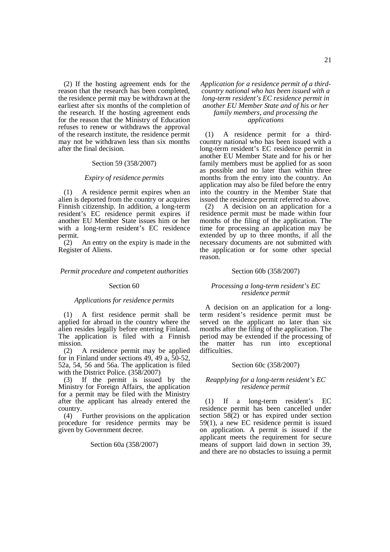(2) If the hosting agreement ends for the reason that the research has been completed, the residence permit may be withdrawn at the earliest after six months of the completion of the research. If the hosting agreement ends for the reason that the Ministry of Education refuses to renew or withdraws the approval of the research institute, the residence permit may not be withdrawn less than six months after the final decision.

#### Section 59 (358/2007)

#### *Expiry of residence permits*

(1) A residence permit expires when an alien is deported from the country or acquires Finnish citizenship. In addition, a long-term resident's EC residence permit expires if another EU Member State issues him or her with a long-term resident's EC residence permit.

(2) An entry on the expiry is made in the Register of Aliens.

### *Permit procedure and competent authorities*

### Section 60

#### *Applications for residence permits*

(1) A first residence permit shall be applied for abroad in the country where the alien resides legally before entering Finland. The application is filed with a Finnish mission.

(2) A residence permit may be applied for in Finland under sections 49, 49 a, 50-52, 52a, 54, 56 and 56a. The application is filed with the District Police. (358/2007)

(3) If the permit is issued by the Ministry for Foreign Affairs, the application for a permit may be filed with the Ministry after the applicant has already entered the country.

(4) Further provisions on the application procedure for residence permits may be given by Government decree.

### Section 60a (358/2007)

## *Application for a residence permit of a thirdcountry national who has been issued with a long-term resident's EC residence permit in another EU Member State and of his or her family members, and processing the applications*

(1) A residence permit for a thirdcountry national who has been issued with a long-term resident's EC residence permit in another EU Member State and for his or her family members must be applied for as soon as possible and no later than within three months from the entry into the country. An application may also be filed before the entry into the country in the Member State that issued the residence permit referred to above.

(2) A decision on an application for a residence permit must be made within four months of the filing of the application. The time for processing an application may be extended by up to three months, if all the necessary documents are not submitted with the application or for some other special reason.

### Section 60b (358/2007)

## *Processing a long-term resident's EC residence permit*

A decision on an application for a longterm resident's residence permit must be served on the applicant no later than six months after the filing of the application. The period may be extended if the processing of the matter has run into exceptional difficulties.

### Section 60c (358/2007)

## *Reapplying for a long-term resident's EC residence permit*

(1) If a long-term resident's EC residence permit has been cancelled under section  $58(2)$  or has expired under section 59(1), a new EC residence permit is issued on application. A permit is issued if the applicant meets the requirement for secure means of support laid down in section 39, and there are no obstacles to issuing a permit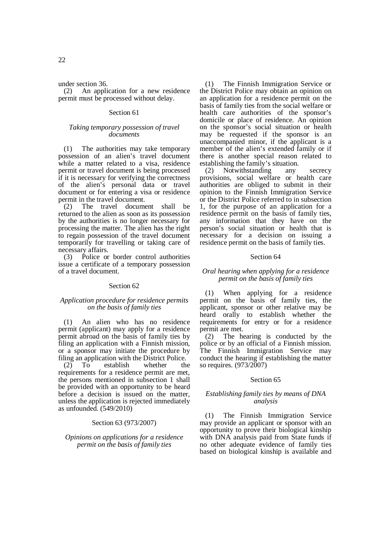under section 36.

(2) An application for a new residence permit must be processed without delay.

## Section 61

## *Taking temporary possession of travel documents*

(1) The authorities may take temporary possession of an alien's travel document while a matter related to a visa, residence permit or travel document is being processed if it is necessary for verifying the correctness of the alien's personal data or travel document or for entering a visa or residence permit in the travel document.

(2) The travel document shall be returned to the alien as soon as its possession by the authorities is no longer necessary for processing the matter. The alien has the right to regain possession of the travel document temporarily for travelling or taking care of necessary affairs.

(3) Police or border control authorities issue a certificate of a temporary possession of a travel document.

## Section 62

### *Application procedure for residence permits on the basis of family ties*

(1) An alien who has no residence permit (applicant) may apply for a residence permit abroad on the basis of family ties by filing an application with a Finnish mission, or a sponsor may initiate the procedure by filing an application with the District Police.

(2) To establish whether the requirements for a residence permit are met, the persons mentioned in subsection 1 shall be provided with an opportunity to be heard before a decision is issued on the matter, unless the application is rejected immediately as unfounded. (549/2010)

## Section 63 (973/2007)

*Opinions on applications for a residence permit on the basis of family ties* 

(1) The Finnish Immigration Service or the District Police may obtain an opinion on an application for a residence permit on the basis of family ties from the social welfare or health care authorities of the sponsor's domicile or place of residence. An opinion on the sponsor's social situation or health may be requested if the sponsor is an unaccompanied minor, if the applicant is a member of the alien's extended family or if there is another special reason related to establishing the family's situation.

(2) Notwithstanding any secrecy provisions, social welfare or health care authorities are obliged to submit in their opinion to the Finnish Immigration Service or the District Police referred to in subsection 1, for the purpose of an application for a residence permit on the basis of family ties, any information that they have on the person's social situation or health that is necessary for a decision on issuing a residence permit on the basis of family ties.

### Section 64

## *Oral hearing when applying for a residence permit on the basis of family ties*

(1) When applying for a residence permit on the basis of family ties, the applicant, sponsor or other relative may be heard orally to establish whether the requirements for entry or for a residence permit are met.

(2) The hearing is conducted by the police or by an official of a Finnish mission. The Finnish Immigration Service may conduct the hearing if establishing the matter so requires. (973/2007)

## Section 65

## *Establishing family ties by means of DNA analysis*

(1) The Finnish Immigration Service may provide an applicant or sponsor with an opportunity to prove their biological kinship with DNA analysis paid from State funds if no other adequate evidence of family ties based on biological kinship is available and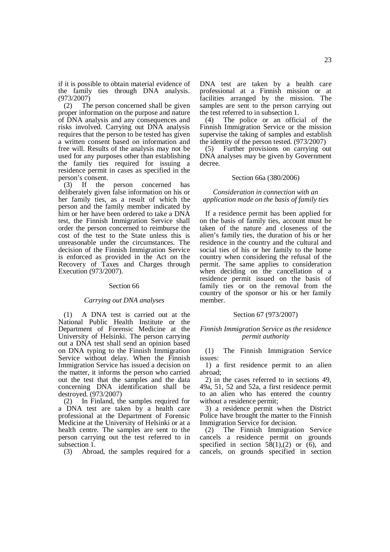if it is possible to obtain material evidence of the family ties through DNA analysis. (973/2007)

(2) The person concerned shall be given proper information on the purpose and nature of DNA analysis and any consequences and risks involved. Carrying out DNA analysis requires that the person to be tested has given a written consent based on information and free will. Results of the analysis may not be used for any purposes other than establishing the family ties required for issuing a residence permit in cases as specified in the person's consent.

(3) If the person concerned has deliberately given false information on his or her family ties, as a result of which the person and the family member indicated by him or her have been ordered to take a DNA test, the Finnish Immigration Service shall order the person concerned to reimburse the cost of the test to the State unless this is unreasonable under the circumstances. The decision of the Finnish Immigration Service is enforced as provided in the Act on the Recovery of Taxes and Charges through Execution (973/2007).

### Section 66

#### *Carrying out DNA analyses*

(1) A DNA test is carried out at the National Public Health Institute or the Department of Forensic Medicine at the University of Helsinki. The person carrying out a DNA test shall send an opinion based on DNA typing to the Finnish Immigration Service without delay. When the Finnish Immigration Service has issued a decision on the matter, it informs the person who carried out the test that the samples and the data concerning DNA identification shall be destroyed. (973/2007)

(2) In Finland, the samples required for a DNA test are taken by a health care professional at the Department of Forensic Medicine at the University of Helsinki or at a health centre. The samples are sent to the person carrying out the test referred to in subsection 1.

(3) Abroad, the samples required for a

DNA test are taken by a health care professional at a Finnish mission or at facilities arranged by the mission. The samples are sent to the person carrying out the test referred to in subsection 1.

(4) The police or an official of the Finnish Immigration Service or the mission supervise the taking of samples and establish the identity of the person tested. (973/2007)

(5) Further provisions on carrying out DNA analyses may be given by Government decree.

#### Section 66a (380/2006)

*Consideration in connection with an application made on the basis of family ties* 

If a residence permit has been applied for on the basis of family ties, account must be taken of the nature and closeness of the alien's family ties, the duration of his or her residence in the country and the cultural and social ties of his or her family to the home country when considering the refusal of the permit. The same applies to consideration when deciding on the cancellation of a residence permit issued on the basis of family ties or on the removal from the country of the sponsor or his or her family member.

## Section 67 (973/2007)

## *Finnish Immigration Service as the residence permit authority*

(1) The Finnish Immigration Service issues:

1) a first residence permit to an alien abroad;

2) in the cases referred to in sections 49, 49a, 51, 52 and 52a, a first residence permit to an alien who has entered the country without a residence permit;

3) a residence permit when the District Police have brought the matter to the Finnish Immigration Service for decision.

(2) The Finnish Immigration Service cancels a residence permit on grounds specified in section  $5\dot{8}(1),(2)$  or  $(6)$ , and cancels, on grounds specified in section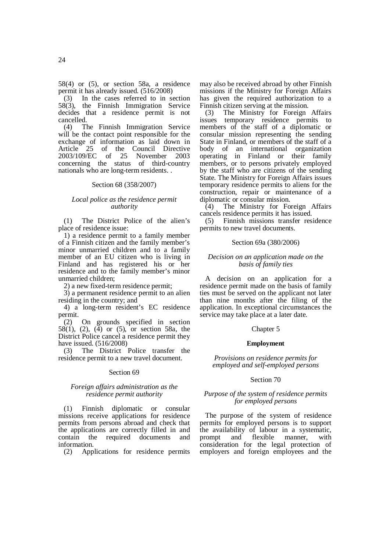58(4) or (5), or section 58a, a residence permit it has already issued. (516/2008)

(3) In the cases referred to in section 58(3), the Finnish Immigration Service decides that a residence permit is not cancelled.<br> $(4)$  T

The Finnish Immigration Service will be the contact point responsible for the exchange of information as laid down in Article 25 of the Council Directive<br>2003/109/EC of 25 November 2003 of 25 November 2003 concerning the status of third-country nationals who are long-term residents. .

#### Section 68 (358/2007)

## *Local police as the residence permit authority*

(1) The District Police of the alien's place of residence issue:

1) a residence permit to a family member of a Finnish citizen and the family member's minor unmarried children and to a family member of an EU citizen who is living in Finland and has registered his or her residence and to the family member's minor unmarried children;

2) a new fixed-term residence permit;

3) a permanent residence permit to an alien residing in the country; and

4) a long-term resident's EC residence permit.

(2) On grounds specified in section 58(1), (2), (4) or (5), or section 58a, the District Police cancel a residence permit they have issued. (516/2008)

(3) The District Police transfer the residence permit to a new travel document.

### Section 69

### *Foreign affairs administration as the residence permit authority*

(1) Finnish diplomatic or consular missions receive applications for residence permits from persons abroad and check that the applications are correctly filled in and contain the required documents and information.

(2) Applications for residence permits

may also be received abroad by other Finnish missions if the Ministry for Foreign Affairs has given the required authorization to a Finnish citizen serving at the mission.

(3) The Ministry for Foreign Affairs issues temporary residence permits to members of the staff of a diplomatic or consular mission representing the sending State in Finland, or members of the staff of a body of an international organization operating in Finland or their family members, or to persons privately employed by the staff who are citizens of the sending State. The Ministry for Foreign Affairs issues temporary residence permits to aliens for the construction, repair or maintenance of a diplomatic or consular mission.

(4) The Ministry for Foreign Affairs cancels residence permits it has issued.

(5) Finnish missions transfer residence permits to new travel documents.

#### Section 69a (380/2006)

## *Decision on an application made on the basis of family ties*

A decision on an application for a residence permit made on the basis of family ties must be served on the applicant not later than nine months after the filing of the application. In exceptional circumstances the service may take place at a later date.

### Chapter 5

#### **Employment**

*Provisions on residence permits for employed and self-employed persons* 

### Section 70

## *Purpose of the system of residence permits for employed persons*

The purpose of the system of residence permits for employed persons is to support the availability of labour in a systematic, prompt and flexible manner, with consideration for the legal protection of employers and foreign employees and the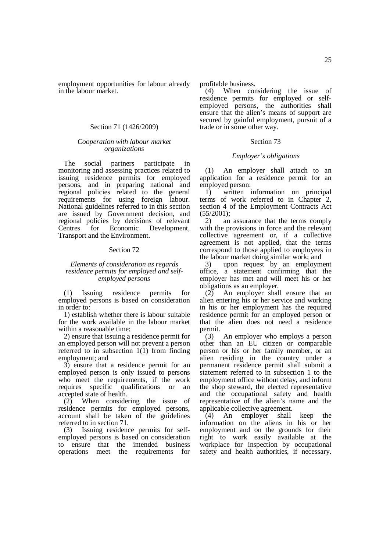employment opportunities for labour already in the labour market.

## Section 71 (1426/2009)

## *Cooperation with labour market organizations*

The social partners participate in monitoring and assessing practices related to issuing residence permits for employed persons, and in preparing national and regional policies related to the general requirements for using foreign labour. National guidelines referred to in this section are issued by Government decision, and regional policies by decisions of relevant Centres for Economic Development, Transport and the Environment.

## Section 72

## *Elements of consideration as regards residence permits for employed and selfemployed persons*

(1) Issuing residence permits for employed persons is based on consideration in order to:

1) establish whether there is labour suitable for the work available in the labour market within a reasonable time;

2) ensure that issuing a residence permit for an employed person will not prevent a person referred to in subsection 1(1) from finding employment; and

3) ensure that a residence permit for an employed person is only issued to persons who meet the requirements, if the work requires specific qualifications or an accepted state of health.

(2) When considering the issue of residence permits for employed persons, account shall be taken of the guidelines referred to in section 71.

(3) Issuing residence permits for selfemployed persons is based on consideration to ensure that the intended business operations meet the requirements for profitable business.

(4) When considering the issue of residence permits for employed or selfemployed persons, the authorities shall ensure that the alien's means of support are secured by gainful employment, pursuit of a trade or in some other way.

### Section 73

### *Employer's obligations*

(1) An employer shall attach to an application for a residence permit for an employed person:

1) written information on principal terms of work referred to in Chapter 2, section 4 of the Employment Contracts Act (55/2001);

2) an assurance that the terms comply with the provisions in force and the relevant collective agreement or, if a collective agreement is not applied, that the terms correspond to those applied to employees in the labour market doing similar work; and

3) upon request by an employment office, a statement confirming that the employer has met and will meet his or her obligations as an employer.

(2) An employer shall ensure that an alien entering his or her service and working in his or her employment has the required residence permit for an employed person or that the alien does not need a residence permit.

(3) An employer who employs a person other than an EU citizen or comparable person or his or her family member, or an alien residing in the country under a permanent residence permit shall submit a statement referred to in subsection 1 to the employment office without delay, and inform the shop steward, the elected representative and the occupational safety and health representative of the alien's name and the applicable collective agreement.

(4) An employer shall keep the information on the aliens in his or her employment and on the grounds for their right to work easily available at the workplace for inspection by occupational safety and health authorities, if necessary.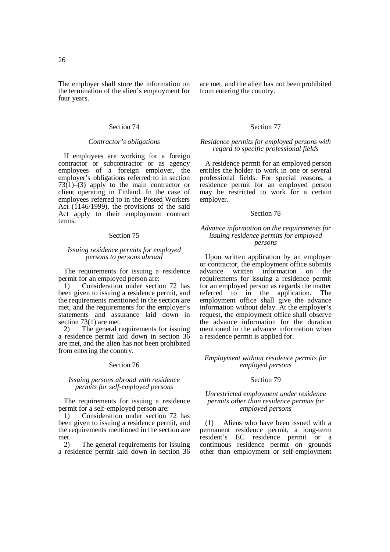### Section 74

### *Contractor's obligations*

If employees are working for a foreign contractor or subcontractor or as agency employees of a foreign employer, the employer's obligations referred to in section  $73(1)$ – $(3)$  apply to the main contractor or client operating in Finland. In the case of employees referred to in the Posted Workers Act (1146/1999), the provisions of the said Act apply to their employment contract terms.

### Section 75

## *Issuing residence permits for employed persons to persons abroad*

The requirements for issuing a residence permit for an employed person are:

1) Consideration under section 72 has been given to issuing a residence permit, and the requirements mentioned in the section are met, and the requirements for the employer's statements and assurance laid down in section 73(1) are met.

2) The general requirements for issuing a residence permit laid down in section 36 are met, and the alien has not been prohibited from entering the country.

### Section 76

## *Issuing persons abroad with residence permits for self-employed persons*

The requirements for issuing a residence permit for a self-employed person are:

1) Consideration under section 72 has been given to issuing a residence permit, and the requirements mentioned in the section are met.

2) The general requirements for issuing a residence permit laid down in section 36 are met, and the alien has not been prohibited from entering the country.

## Section 77

## *Residence permits for employed persons with regard to specific professional fields*

A residence permit for an employed person entitles the holder to work in one or several professional fields. For special reasons, a residence permit for an employed person may be restricted to work for a certain employer.

### Section 78

## *Advance information on the requirements for issuing residence permits for employed persons*

Upon written application by an employer or contractor, the employment office submits advance written information on the requirements for issuing a residence permit for an employed person as regards the matter referred to in the application. The employment office shall give the advance information without delay. At the employer's request, the employment office shall observe the advance information for the duration mentioned in the advance information when a residence permit is applied for.

## *Employment without residence permits for employed persons*

### Section 79

## *Unrestricted employment under residence permits other than residence permits for employed persons*

(1) Aliens who have been issued with a permanent residence permit, a long-term resident's EC residence permit or a continuous residence permit on grounds other than employment or self-employment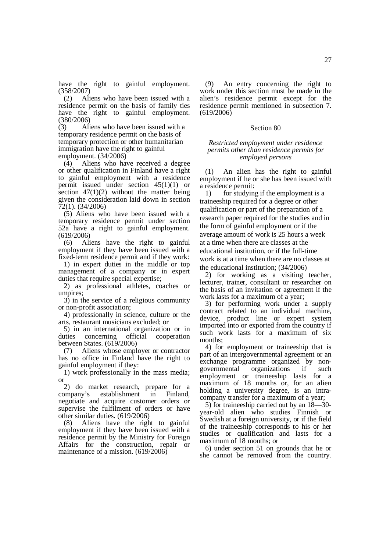have the right to gainful employment. (358/2007)

(2) Aliens who have been issued with a residence permit on the basis of family ties have the right to gainful employment.  $(380/2006)$ <br>(3) Al

Aliens who have been issued with a temporary residence permit on the basis of temporary protection or other humanitarian immigration have the right to gainful employment. (34/2006)

(4) Aliens who have received a degree or other qualification in Finland have a right to gainful employment with a residence permit issued under section  $45(1)(1)$  or section  $47(1)(2)$  without the matter being given the consideration laid down in section 72(1). (34/2006)

(5) Aliens who have been issued with a temporary residence permit under section 52a have a right to gainful employment. (619/2006)

(6) Aliens have the right to gainful employment if they have been issued with a fixed-term residence permit and if they work:

1) in expert duties in the middle or top management of a company or in expert duties that require special expertise;

2) as professional athletes, coaches or umpires;

3) in the service of a religious community or non-profit association;

4) professionally in science, culture or the arts, restaurant musicians excluded; or

5) in an international organization or in duties concerning official cooperation between States. (619/2006)

(7) Aliens whose employer or contractor has no office in Finland have the right to gainful employment if they:

1) work professionally in the mass media; or

2) do market research, prepare for a sympany's establishment in Finland, company's establishment in Finland, negotiate and acquire customer orders or supervise the fulfilment of orders or have other similar duties. (619/2006)

(8) Aliens have the right to gainful employment if they have been issued with a residence permit by the Ministry for Foreign Affairs for the construction, repair or maintenance of a mission. (619/2006)

(9) An entry concerning the right to work under this section must be made in the alien's residence permit except for the residence permit mentioned in subsection 7.  $(619/2006)$ 

#### Section 80

## *Restricted employment under residence permits other than residence permits for employed persons*

(1) An alien has the right to gainful employment if he or she has been issued with a residence permit:

1) for studying if the employment is a traineeship required for a degree or other qualification or part of the preparation of a research paper required for the studies and in the form of gainful employment or if the average amount of work is 25 hours a week at a time when there are classes at the educational institution, or if the full-time work is at a time when there are no classes at the educational institution; (34/2006)

2) for working as a visiting teacher, lecturer, trainer, consultant or researcher on the basis of an invitation or agreement if the work lasts for a maximum of a year;

3) for performing work under a supply contract related to an individual machine, device, product line or expert system imported into or exported from the country if such work lasts for a maximum of six months;

4) for employment or traineeship that is part of an intergovernmental agreement or an exchange programme organized by nongovernmental organizations if such employment or traineeship lasts for a maximum of 18 months or, for an alien holding a university degree, is an intracompany transfer for a maximum of a year;

5) for traineeship carried out by an 18—30 year-old alien who studies Finnish or Swedish at a foreign university, or if the field of the traineeship corresponds to his or her studies or qualification and lasts for a maximum of 18 months; or

6) under section 51 on grounds that he or she cannot be removed from the country.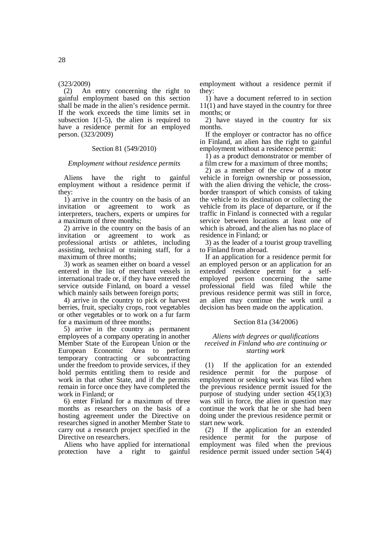## (323/2009)

(2) An entry concerning the right to gainful employment based on this section shall be made in the alien's residence permit. If the work exceeds the time limits set in subsection  $1(1-5)$ , the alien is required to have a residence permit for an employed person. (323/2009)

## Section 81 (549/2010)

## *Employment without residence permits*

Aliens have the right to gainful employment without a residence permit if they:

1) arrive in the country on the basis of an invitation or agreement to work as interpreters, teachers, experts or umpires for a maximum of three months;

2) arrive in the country on the basis of an invitation or agreement to work as professional artists or athletes, including assisting, technical or training staff, for a maximum of three months;

3) work as seamen either on board a vessel entered in the list of merchant vessels in international trade or, if they have entered the service outside Finland, on board a vessel which mainly sails between foreign ports;

4) arrive in the country to pick or harvest berries, fruit, specialty crops, root vegetables or other vegetables or to work on a fur farm for a maximum of three months;

5) arrive in the country as permanent employees of a company operating in another Member State of the European Union or the European Economic Area to perform temporary contracting or subcontracting under the freedom to provide services, if they hold permits entitling them to reside and work in that other State, and if the permits remain in force once they have completed the work in Finland; or

6) enter Finland for a maximum of three months as researchers on the basis of a hosting agreement under the Directive on researches signed in another Member State to carry out a research project specified in the Directive on researchers.

Aliens who have applied for international protection have a right to gainful

employment without a residence permit if they:

1) have a document referred to in section 11(1) and have stayed in the country for three months; or

2) have stayed in the country for six months.

If the employer or contractor has no office in Finland, an alien has the right to gainful employment without a residence permit:

1) as a product demonstrator or member of a film crew for a maximum of three months;

2) as a member of the crew of a motor vehicle in foreign ownership or possession, with the alien driving the vehicle, the crossborder transport of which consists of taking the vehicle to its destination or collecting the vehicle from its place of departure, or if the traffic in Finland is connected with a regular service between locations at least one of which is abroad, and the alien has no place of residence in Finland; or

3) as the leader of a tourist group travelling to Finland from abroad.

If an application for a residence permit for an employed person or an application for an extended residence permit for a selfemployed person concerning the same professional field was filed while the previous residence permit was still in force, an alien may continue the work until a decision has been made on the application.

## Section 81a (34/2006)

## *Aliens with degrees or qualifications received in Finland who are continuing or starting work*

(1) If the application for an extended residence permit for the purpose of employment or seeking work was filed when the previous residence permit issued for the purpose of studying under section  $45(1)(3)$ was still in force, the alien in question may continue the work that he or she had been doing under the previous residence permit or start new work.

(2) If the application for an extended residence permit for the purpose of employment was filed when the previous residence permit issued under section 54(4)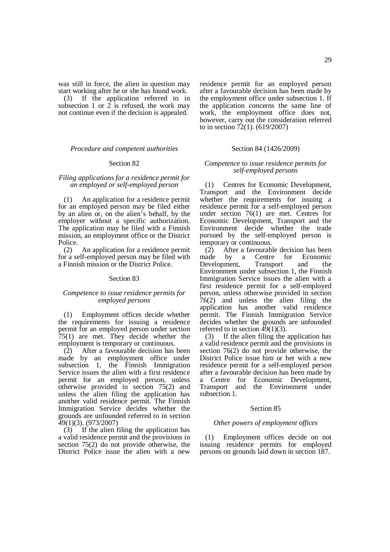was still in force, the alien in question may start working after he or she has found work. (3) If the application referred to in subsection 1 or  $2$  is refused, the work may not continue even if the decision is appealed.

## *Procedure and competent authorities*

#### Section 82

## *Filing applications for a residence permit for an employed or self-employed person*

(1) An application for a residence permit for an employed person may be filed either by an alien or, on the alien's behalf, by the employer without a specific authorization. The application may be filed with a Finnish mission, an employment office or the District Police.

(2) An application for a residence permit for a self-employed person may be filed with a Finnish mission or the District Police.

### Section 83

## *Competence to issue residence permits for employed persons*

(1) Employment offices decide whether the requirements for issuing a residence permit for an employed person under section 75(1) are met. They decide whether the employment is temporary or continuous.

(2) After a favourable decision has been made by an employment office under subsection 1, the Finnish Immigration Service issues the alien with a first residence permit for an employed person, unless otherwise provided in section 75(2) and unless the alien filing the application has another valid residence permit. The Finnish Immigration Service decides whether the grounds are unfounded referred to in section 49(1)(3). (973/2007)

(3) If the alien filing the application has a valid residence permit and the provisions in section 75(2) do not provide otherwise, the District Police issue the alien with a new

residence permit for an employed person after a favourable decision has been made by the employment office under subsection 1. If the application concerns the same line of work, the employment office does not, however, carry out the consideration referred to in section  $72(1)$ . (619/2007)

## Section 84 (1426/2009)

## *Competence to issue residence permits for self-employed persons*

(1) Centres for Economic Development, Transport and the Environment decide whether the requirements for issuing a residence permit for a self-employed person under section 76(1) are met. Centres for Economic Development, Transport and the Environment decide whether the trade pursued by the self-employed person is temporary or continuous.

(2) After a favourable decision has been made by a Centre for Economic Development, Transport and the Environment under subsection 1, the Finnish Immigration Service issues the alien with a first residence permit for a self-employed person, unless otherwise provided in section  $76(2)$  and unless the alien filing the application has another valid residence permit. The Finnish Immigration Service decides whether the grounds are unfounded referred to in section  $49(1)(3)$ .

(3) If the alien filing the application has a valid residence permit and the provisions in section 76(2) do not provide otherwise, the District Police issue him or her with a new residence permit for a self-employed person after a favourable decision has been made by a Centre for Economic Development,<br>Transport and the Environment under the Environment under subsection 1.

## Section 85

### *Other powers of employment offices*

(1) Employment offices decide on not issuing residence permits for employed persons on grounds laid down in section 187.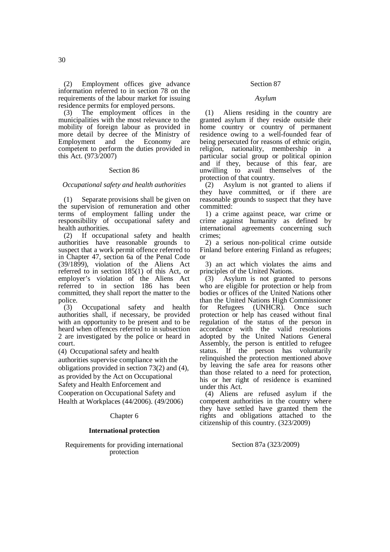(3) The employment offices in the municipalities with the most relevance to the mobility of foreign labour as provided in more detail by decree of the Ministry of<br>Employment and the Economy are Employment and the Economy are competent to perform the duties provided in this Act. (973/2007)

## Section 86

## *Occupational safety and health authorities*

(1) Separate provisions shall be given on the supervision of remuneration and other terms of employment falling under the responsibility of occupational safety and health authorities.

(2) If occupational safety and health authorities have reasonable grounds to suspect that a work permit offence referred to in Chapter 47, section 6a of the Penal Code (39/1899), violation of the Aliens Act referred to in section 185(1) of this Act, or employer's violation of the Aliens Act referred to in section 186 has been committed, they shall report the matter to the police.

(3) Occupational safety and health authorities shall, if necessary, be provided with an opportunity to be present and to be heard when offences referred to in subsection 2 are investigated by the police or heard in court.

(4) Occupational safety and health

authorities supervise compliance with the obligations provided in section 73(2) and (4), as provided by the Act on Occupational Safety and Health Enforcement and Cooperation on Occupational Safety and Health at Workplaces (44/2006). (49/2006)

## Chapter 6

## **International protection**

Requirements for providing international protection

## Section 87

#### *Asylum*

(1) Aliens residing in the country are granted asylum if they reside outside their home country or country of permanent residence owing to a well-founded fear of being persecuted for reasons of ethnic origin, religion, nationality, membership in a particular social group or political opinion and if they, because of this fear, are unwilling to avail themselves of the protection of that country.

(2) Asylum is not granted to aliens if they have committed, or if there are reasonable grounds to suspect that they have committed:

1) a crime against peace, war crime or crime against humanity as defined by international agreements concerning such crimes;

2) a serious non-political crime outside Finland before entering Finland as refugees; or

3) an act which violates the aims and principles of the United Nations.

(3) Asylum is not granted to persons who are eligible for protection or help from bodies or offices of the United Nations other than the United Nations High Commissioner for Refugees (UNHCR). Once such protection or help has ceased without final regulation of the status of the person in accordance with the valid resolutions adopted by the United Nations General Assembly, the person is entitled to refugee status. If the person has voluntarily relinquished the protection mentioned above by leaving the safe area for reasons other than those related to a need for protection, his or her right of residence is examined under this Act.

(4) Aliens are refused asylum if the competent authorities in the country where they have settled have granted them the rights and obligations attached to the citizenship of this country. (323/2009)

### Section 87a (323/2009)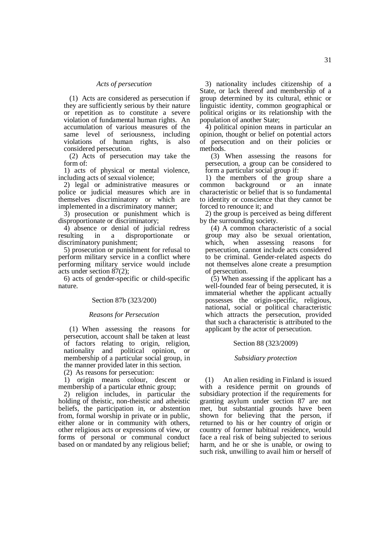### *Acts of persecution*

(1) Acts are considered as persecution if they are sufficiently serious by their nature or repetition as to constitute a severe violation of fundamental human rights. An accumulation of various measures of the same level of seriousness, including violations of human rights, is also considered persecution.

(2) Acts of persecution may take the form of:

1) acts of physical or mental violence, including acts of sexual violence;

2) legal or administrative measures or police or judicial measures which are in themselves discriminatory or which are implemented in a discriminatory manner;

3) prosecution or punishment which is disproportionate or discriminatory;

4) absence or denial of judicial redress resulting in a disproportionate or discriminatory punishment;

5) prosecution or punishment for refusal to perform military service in a conflict where performing military service would include acts under section 87(2);

6) acts of gender-specific or child-specific nature.

## Section 87b (323/200)

### *Reasons for Persecution*

(1) When assessing the reasons for persecution, account shall be taken at least of factors relating to origin, religion, nationality and political opinion, or membership of a particular social group, in the manner provided later in this section.

(2) As reasons for persecution:

1) origin means colour, descent or membership of a particular ethnic group;

2) religion includes, in particular the holding of theistic, non-theistic and atheistic beliefs, the participation in, or abstention from, formal worship in private or in public, either alone or in community with others, other religious acts or expressions of view, or forms of personal or communal conduct based on or mandated by any religious belief;

3) nationality includes citizenship of a State, or lack thereof and membership of a group determined by its cultural, ethnic or linguistic identity, common geographical or political origins or its relationship with the population of another State;

4) political opinion means in particular an opinion, thought or belief on potential actors of persecution and on their policies or methods.

(3) When assessing the reasons for persecution, a group can be considered to form a particular social group if:

1) the members of the group share a common background or an innate characteristic or belief that is so fundamental to identity or conscience that they cannot be forced to renounce it; and

2) the group is perceived as being different by the surrounding society.

(4) A common characteristic of a social group may also be sexual orientation, which, when assessing reasons for persecution, cannot include acts considered to be criminal. Gender-related aspects do not themselves alone create a presumption of persecution.

(5) When assessing if the applicant has a well-founded fear of being persecuted, it is immaterial whether the applicant actually possesses the origin-specific, religious, national, social or political characteristic which attracts the persecution, provided that such a characteristic is attributed to the applicant by the actor of persecution.

#### Section 88 (323/2009)

#### *Subsidiary protection*

(1) An alien residing in Finland is issued with a residence permit on grounds of subsidiary protection if the requirements for granting asylum under section 87 are not met, but substantial grounds have been shown for believing that the person, if returned to his or her country of origin or country of former habitual residence, would face a real risk of being subjected to serious harm, and he or she is unable, or owing to such risk, unwilling to avail him or herself of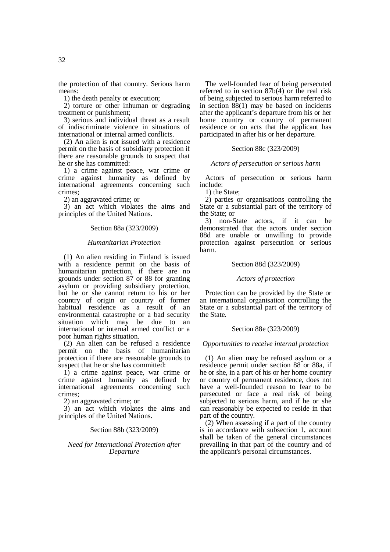the protection of that country. Serious harm means:

1) the death penalty or execution;

2) torture or other inhuman or degrading treatment or punishment;

3) serious and individual threat as a result of indiscriminate violence in situations of international or internal armed conflicts.

(2) An alien is not issued with a residence permit on the basis of subsidiary protection if there are reasonable grounds to suspect that he or she has committed:

1) a crime against peace, war crime or crime against humanity as defined by international agreements concerning such crimes;

2) an aggravated crime; or

3) an act which violates the aims and principles of the United Nations.

## Section 88a (323/2009)

### *Humanitarian Protection*

(1) An alien residing in Finland is issued with a residence permit on the basis of humanitarian protection, if there are no grounds under section 87 or 88 for granting asylum or providing subsidiary protection, but he or she cannot return to his or her country of origin or country of former habitual residence as a result of an environmental catastrophe or a bad security situation which may be due to an international or internal armed conflict or a poor human rights situation.

(2) An alien can be refused a residence permit on the basis of humanitarian protection if there are reasonable grounds to suspect that he or she has committed:

1) a crime against peace, war crime or crime against humanity as defined by international agreements concerning such crimes;

2) an aggravated crime; or

3) an act which violates the aims and principles of the United Nations.

### Section 88b (323/2009)

## *Need for International Protection after Departure*

The well-founded fear of being persecuted referred to in section 87b(4) or the real risk of being subjected to serious harm referred to in section 88(1) may be based on incidents after the applicant's departure from his or her home country or country of permanent residence or on acts that the applicant has participated in after his or her departure.

## Section 88c (323/2009)

### *Actors of persecution or serious harm*

Actors of persecution or serious harm include:

1) the State;

2) parties or organisations controlling the State or a substantial part of the territory of the State; or

3) non-State actors, if it can be demonstrated that the actors under section 88d are unable or unwilling to provide protection against persecution or serious harm.

## Section 88d (323/2009)

### *Actors of protection*

Protection can be provided by the State or an international organisation controlling the State or a substantial part of the territory of the State.

### Section 88e (323/2009)

### *Opportunities to receive internal protection*

(1) An alien may be refused asylum or a residence permit under section 88 or 88a, if he or she, in a part of his or her home country or country of permanent residence, does not have a well-founded reason to fear to be persecuted or face a real risk of being subjected to serious harm, and if he or she can reasonably be expected to reside in that part of the country.

(2) When assessing if a part of the country is in accordance with subsection 1, account shall be taken of the general circumstances prevailing in that part of the country and of the applicant's personal circumstances.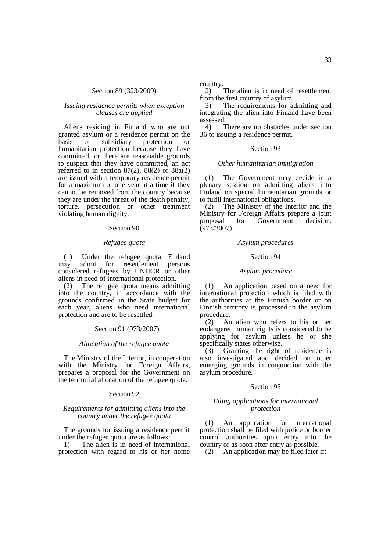### Section 89 (323/2009)

## *Issuing residence permits when exception clauses are applied*

Aliens residing in Finland who are not granted asylum or a residence permit on the<br>basis of subsidiary protection or basis of subsidiary protection or humanitarian protection because they have committed, or there are reasonable grounds to suspect that they have committed, an act referred to in section  $87(2)$ ,  $88(2)$  or  $88a(2)$ are issued with a temporary residence permit for a maximum of one year at a time if they cannot be removed from the country because they are under the threat of the death penalty, torture, persecution or other treatment violating human dignity.

### Section 90

### *Refugee quota*

(1) Under the refugee quota, Finland may admit for resettlement persons considered refugees by UNHCR or other aliens in need of international protection.

(2) The refugee quota means admitting into the country, in accordance with the grounds confirmed in the State budget for each year, aliens who need international protection and are to be resettled.

### Section 91 (973/2007)

#### *Allocation of the refugee quota*

The Ministry of the Interior, in cooperation with the Ministry for Foreign Affairs, prepares a proposal for the Government on the territorial allocation of the refugee quota.

## Section 92

## *Requirements for admitting aliens into the country under the refugee quota*

The grounds for issuing a residence permit under the refugee quota are as follows:

1) The alien is in need of international protection with regard to his or her home country.

2) The alien is in need of resettlement from the first country of asylum.

3) The requirements for admitting and integrating the alien into Finland have been assessed.<br>4)

There are no obstacles under section 36 to issuing a residence permit.

#### Section 93

#### *Other humanitarian immigration*

(1) The Government may decide in a plenary session on admitting aliens into Finland on special humanitarian grounds or to fulfil international obligations.

(2) The Ministry of the Interior and the Ministry for Foreign Affairs prepare a joint proposal for Government decision.  $(973/2007)$ 

### *Asylum procedures*

### Section 94

### *Asylum procedure*

(1) An application based on a need for international protection which is filed with the authorities at the Finnish border or on Finnish territory is processed in the asylum procedure.

(2) An alien who refers to his or her endangered human rights is considered to be applying for asylum unless he or she specifically states otherwise.

(3) Granting the right of residence is also investigated and decided on other emerging grounds in conjunction with the asylum procedure.

## Section 95

## *Filing applications for international protection*

(1) An application for international protection shall be filed with police or border control authorities upon entry into the country or as soon after entry as possible.

(2) An application may be filed later if: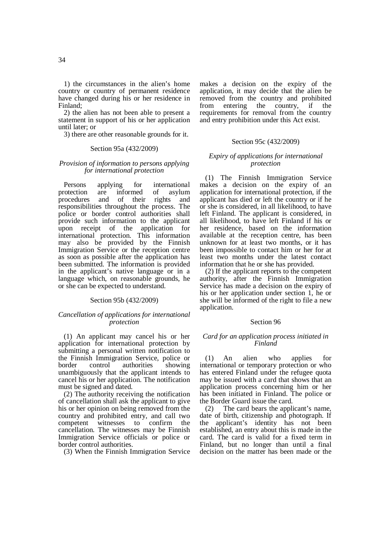1) the circumstances in the alien's home country or country of permanent residence have changed during his or her residence in Finland;

2) the alien has not been able to present a statement in support of his or her application until later; or

3) there are other reasonable grounds for it.

## Section 95a (432/2009)

### *Provision of information to persons applying for international protection*

Persons applying for international protection are informed of asylum<br>procedures and of their rights and procedures and of their rights responsibilities throughout the process. The police or border control authorities shall provide such information to the applicant upon receipt of the application for international protection. This information may also be provided by the Finnish Immigration Service or the reception centre as soon as possible after the application has been submitted. The information is provided in the applicant's native language or in a language which, on reasonable grounds, he or she can be expected to understand.

## Section 95b (432/2009)

## *Cancellation of applications for international protection*

(1) An applicant may cancel his or her application for international protection by submitting a personal written notification to the Finnish Immigration Service, police or border control authorities showing unambiguously that the applicant intends to cancel his or her application. The notification must be signed and dated.

(2) The authority receiving the notification of cancellation shall ask the applicant to give his or her opinion on being removed from the country and prohibited entry, and call two competent witnesses to confirm the cancellation. The witnesses may be Finnish Immigration Service officials or police or border control authorities.

(3) When the Finnish Immigration Service

makes a decision on the expiry of the application, it may decide that the alien be removed from the country and prohibited from entering the country, if the requirements for removal from the country and entry prohibition under this Act exist.

### Section 95c (432/2009)

## *Expiry of applications for international protection*

(1) The Finnish Immigration Service makes a decision on the expiry of an application for international protection, if the applicant has died or left the country or if he or she is considered, in all likelihood, to have left Finland. The applicant is considered, in all likelihood, to have left Finland if his or her residence, based on the information available at the reception centre, has been unknown for at least two months, or it has been impossible to contact him or her for at least two months under the latest contact information that he or she has provided.

(2) If the applicant reports to the competent authority, after the Finnish Immigration Service has made a decision on the expiry of his or her application under section 1, he or she will be informed of the right to file a new application.

### Section 96

## *Card for an application process initiated in Finland*

(1) An alien who applies for international or temporary protection or who has entered Finland under the refugee quota may be issued with a card that shows that an application process concerning him or her has been initiated in Finland. The police or the Border Guard issue the card.

(2) The card bears the applicant's name, date of birth, citizenship and photograph. If the applicant's identity has not been established, an entry about this is made in the card. The card is valid for a fixed term in Finland, but no longer than until a final decision on the matter has been made or the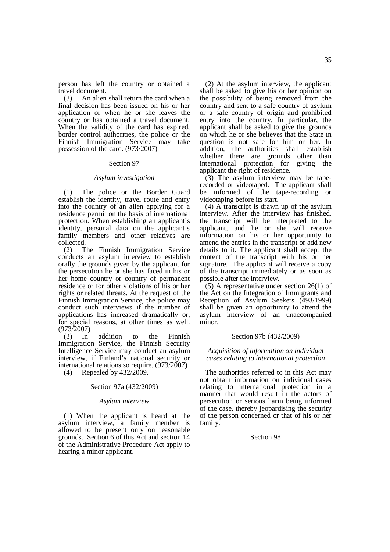person has left the country or obtained a travel document.

(3) An alien shall return the card when a final decision has been issued on his or her application or when he or she leaves the country or has obtained a travel document. When the validity of the card has expired, border control authorities, the police or the Finnish Immigration Service may take possession of the card. (973/2007)

#### Section 97

#### *Asylum investigation*

(1) The police or the Border Guard establish the identity, travel route and entry into the country of an alien applying for a residence permit on the basis of international protection. When establishing an applicant's identity, personal data on the applicant's family members and other relatives are collected.

(2) The Finnish Immigration Service conducts an asylum interview to establish orally the grounds given by the applicant for the persecution he or she has faced in his or her home country or country of permanent residence or for other violations of his or her rights or related threats. At the request of the Finnish Immigration Service, the police may conduct such interviews if the number of applications has increased dramatically or, for special reasons, at other times as well. (973/2007)

(3) In addition to the Finnish Immigration Service, the Finnish Security Intelligence Service may conduct an asylum interview, if Finland's national security or international relations so require. (973/2007)

(4) Repealed by 432/2009.

## Section 97a (432/2009)

#### *Asylum interview*

(1) When the applicant is heard at the asylum interview, a family member is allowed to be present only on reasonable grounds. Section 6 of this Act and section 14 of the Administrative Procedure Act apply to hearing a minor applicant.

(2) At the asylum interview, the applicant shall be asked to give his or her opinion on the possibility of being removed from the country and sent to a safe country of asylum or a safe country of origin and prohibited entry into the country. In particular, the applicant shall be asked to give the grounds on which he or she believes that the State in question is not safe for him or her. In addition, the authorities shall establish whether there are grounds other than international protection for giving the applicant the right of residence.

(3) The asylum interview may be taperecorded or videotaped. The applicant shall be informed of the tape-recording or videotaping before its start.

 $(4)$  A transcript is drawn up of the asylum interview. After the interview has finished, the transcript will be interpreted to the applicant, and he or she will receive information on his or her opportunity to amend the entries in the transcript or add new details to it. The applicant shall accept the content of the transcript with his or her signature. The applicant will receive a copy of the transcript immediately or as soon as possible after the interview.

(5) A representative under section 26(1) of the Act on the Integration of Immigrants and Reception of Asylum Seekers (493/1999) shall be given an opportunity to attend the asylum interview of an unaccompanied minor.

### Section 97b (432/2009)

## *Acquisition of information on individual cases relating to international protection*

The authorities referred to in this Act may not obtain information on individual cases relating to international protection in a manner that would result in the actors of persecution or serious harm being informed of the case, thereby jeopardising the security of the person concerned or that of his or her family.

## Section 98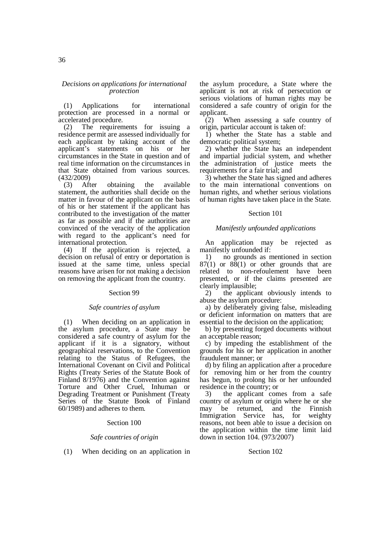### *Decisions on applications for international protection*

(1) Applications for international protection are processed in a normal or accelerated procedure.

(2) The requirements for issuing a residence permit are assessed individually for each applicant by taking account of the applicant's statements on his or her circumstances in the State in question and of real time information on the circumstances in that State obtained from various sources. (432/2009)

(3) After obtaining the available statement, the authorities shall decide on the matter in favour of the applicant on the basis of his or her statement if the applicant has contributed to the investigation of the matter as far as possible and if the authorities are convinced of the veracity of the application with regard to the applicant's need for international protection.

(4) If the application is rejected, a decision on refusal of entry or deportation is issued at the same time, unless special reasons have arisen for not making a decision on removing the applicant from the country.

### Section 99

## *Safe countries of asylum*

(1) When deciding on an application in the asylum procedure, a State may be considered a safe country of asylum for the applicant if it is a signatory, without geographical reservations, to the Convention relating to the Status of Refugees, the International Covenant on Civil and Political Rights (Treaty Series of the Statute Book of Finland 8/1976) and the Convention against Torture and Other Cruel, Inhuman or Degrading Treatment or Punishment (Treaty Series of the Statute Book of Finland 60/1989) and adheres to them.

### Section 100

### *Safe countries of origin*

(1) When deciding on an application in

the asylum procedure, a State where the applicant is not at risk of persecution or serious violations of human rights may be considered a safe country of origin for the applicant.

 $(2)$  When assessing a safe country of origin, particular account is taken of:

1) whether the State has a stable and democratic political system;

2) whether the State has an independent and impartial judicial system, and whether the administration of justice meets the requirements for a fair trial; and

3) whether the State has signed and adheres to the main international conventions on human rights, and whether serious violations of human rights have taken place in the State.

### Section 101

## *Manifestly unfounded applications*

An application may be rejected as manifestly unfounded if:

1) no grounds as mentioned in section  $87(1)$  or  $88(1)$  or other grounds that are related to non-refoulement have been presented, or if the claims presented are clearly implausible;

2) the applicant obviously intends to abuse the asylum procedure:

a) by deliberately giving false, misleading or deficient information on matters that are essential to the decision on the application;

b) by presenting forged documents without an acceptable reason;

c) by impeding the establishment of the grounds for his or her application in another fraudulent manner; or

d) by filing an application after a procedure for removing him or her from the country has begun, to prolong his or her unfounded residence in the country; or

3) the applicant comes from a safe country of asylum or origin where he or she may be returned, and the Finnish Immigration Service has, for weighty reasons, not been able to issue a decision on the application within the time limit laid down in section 104. (973/2007)

### Section 102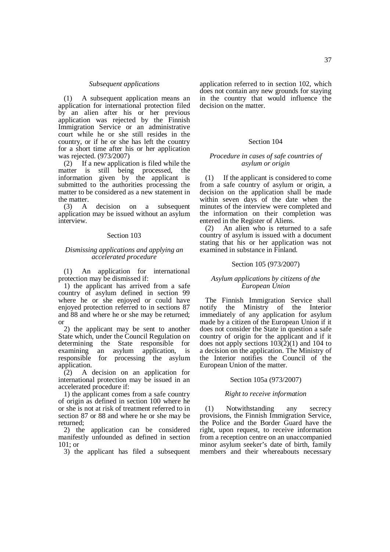### *Subsequent applications*

(1) A subsequent application means an application for international protection filed by an alien after his or her previous application was rejected by the Finnish Immigration Service or an administrative court while he or she still resides in the country, or if he or she has left the country for a short time after his or her application was rejected. (973/2007)

(2) If a new application is filed while the matter is still being processed, the information given by the applicant is submitted to the authorities processing the matter to be considered as a new statement in the matter.

(3) A decision on a subsequent application may be issued without an asylum interview.

### Section 103

## *Dismissing applications and applying an accelerated procedure*

(1) An application for international protection may be dismissed if:

1) the applicant has arrived from a safe country of asylum defined in section 99 where he or she enjoyed or could have enjoyed protection referred to in sections 87 and 88 and where he or she may be returned; or

2) the applicant may be sent to another State which, under the Council Regulation on determining the State responsible for examining an asylum application, is responsible for processing the asylum application.

(2) A decision on an application for international protection may be issued in an accelerated procedure if:

1) the applicant comes from a safe country of origin as defined in section 100 where he or she is not at risk of treatment referred to in section 87 or 88 and where he or she may be returned;

2) the application can be considered manifestly unfounded as defined in section 101; or

3) the applicant has filed a subsequent

application referred to in section 102, which does not contain any new grounds for staying in the country that would influence the decision on the matter.

## Section 104

## *Procedure in cases of safe countries of asylum or origin*

(1) If the applicant is considered to come from a safe country of asylum or origin, a decision on the application shall be made within seven days of the date when the minutes of the interview were completed and the information on their completion was entered in the Register of Aliens.

(2) An alien who is returned to a safe country of asylum is issued with a document stating that his or her application was not examined in substance in Finland.

### Section 105 (973/2007)

### *Asylum applications by citizens of the European Union*

The Finnish Immigration Service shall notify the Ministry of the Interior immediately of any application for asylum made by a citizen of the European Union if it does not consider the State in question a safe country of origin for the applicant and if it does not apply sections 103(2)(1) and 104 to a decision on the application. The Ministry of the Interior notifies the Council of the European Union of the matter.

## Section 105a (973/2007)

### *Right to receive information*

(1) Notwithstanding any secrecy provisions, the Finnish Immigration Service, the Police and the Border Guard have the right, upon request, to receive information from a reception centre on an unaccompanied minor asylum seeker's date of birth, family members and their whereabouts necessary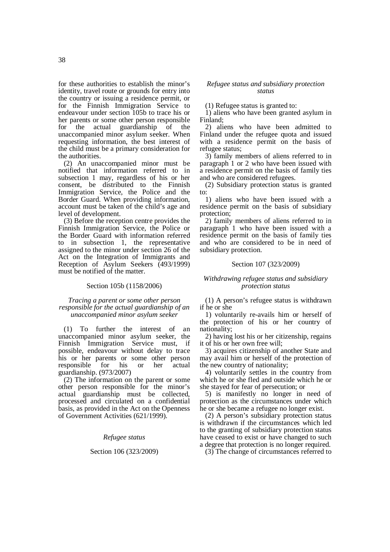for these authorities to establish the minor's identity, travel route or grounds for entry into the country or issuing a residence permit, or for the Finnish Immigration Service to endeavour under section 105b to trace his or her parents or some other person responsible<br>for the actual guardianship of the guardianship unaccompanied minor asylum seeker. When requesting information, the best interest of the child must be a primary consideration for the authorities.

(2) An unaccompanied minor must be notified that information referred to in subsection 1 may, regardless of his or her consent, be distributed to the Finnish Immigration Service, the Police and the Border Guard. When providing information, account must be taken of the child's age and level of development.

(3) Before the reception centre provides the Finnish Immigration Service, the Police or the Border Guard with information referred to in subsection 1, the representative assigned to the minor under section 26 of the Act on the Integration of Immigrants and Reception of Asylum Seekers (493/1999) must be notified of the matter.

## Section 105b (1158/2006)

## *Tracing a parent or some other person responsible for the actual guardianship of an unaccompanied minor asylum seeker*

(1) To further the interest of an unaccompanied minor asylum seeker, the Finnish Immigration Service must, if possible, endeavour without delay to trace his or her parents or some other person responsible for his or her actual guardianship. (973/2007)

(2) The information on the parent or some other person responsible for the minor's actual guardianship must be collected, processed and circulated on a confidential basis, as provided in the Act on the Openness of Government Activities (621/1999).

## *Refugee status*

### Section 106 (323/2009)

### *Refugee status and subsidiary protection status*

(1) Refugee status is granted to:

1) aliens who have been granted asylum in Finland;

2) aliens who have been admitted to Finland under the refugee quota and issued with a residence permit on the basis of refugee status;

3) family members of aliens referred to in paragraph 1 or 2 who have been issued with a residence permit on the basis of family ties and who are considered refugees.

(2) Subsidiary protection status is granted to:

1) aliens who have been issued with a residence permit on the basis of subsidiary protection;

2) family members of aliens referred to in paragraph 1 who have been issued with a residence permit on the basis of family ties and who are considered to be in need of subsidiary protection.

## Section 107 (323/2009)

## *Withdrawing refugee status and subsidiary protection status*

(1) A person's refugee status is withdrawn if he or she

1) voluntarily re-avails him or herself of the protection of his or her country of nationality;

2) having lost his or her citizenship, regains it of his or her own free will;

3) acquires citizenship of another State and may avail him or herself of the protection of the new country of nationality;

4) voluntarily settles in the country from which he or she fled and outside which he or she stayed for fear of persecution; or

5) is manifestly no longer in need of protection as the circumstances under which he or she became a refugee no longer exist.

(2) A person's subsidiary protection status is withdrawn if the circumstances which led to the granting of subsidiary protection status have ceased to exist or have changed to such a degree that protection is no longer required.

(3) The change of circumstances referred to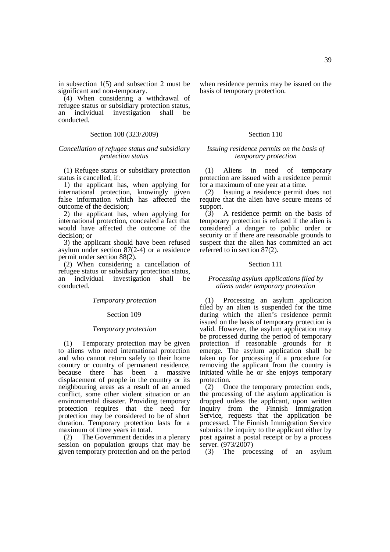in subsection 1(5) and subsection 2 must be significant and non-temporary.

(4) When considering a withdrawal of refugee status or subsidiary protection status, an individual investigation shall be conducted.

## Section 108 (323/2009)

## *Cancellation of refugee status and subsidiary protection status*

(1) Refugee status or subsidiary protection status is cancelled, if:

1) the applicant has, when applying for international protection, knowingly given false information which has affected the outcome of the decision;

2) the applicant has, when applying for international protection, concealed a fact that would have affected the outcome of the decision; or

3) the applicant should have been refused asylum under section 87(2-4) or a residence permit under section 88(2).

(2) When considering a cancellation of refugee status or subsidiary protection status, an individual investigation shall be conducted.

#### *Temporary protection*

#### Section 109

#### *Temporary protection*

(1) Temporary protection may be given to aliens who need international protection and who cannot return safely to their home country or country of permanent residence, because there has been a massive displacement of people in the country or its neighbouring areas as a result of an armed conflict, some other violent situation or an environmental disaster. Providing temporary protection requires that the need for protection may be considered to be of short duration. Temporary protection lasts for a maximum of three years in total.

(2) The Government decides in a plenary session on population groups that may be given temporary protection and on the period when residence permits may be issued on the basis of temporary protection.

### Section 110

### *Issuing residence permits on the basis of temporary protection*

(1) Aliens in need of temporary protection are issued with a residence permit for a maximum of one year at a time.

(2) Issuing a residence permit does not require that the alien have secure means of support.

 $(\overline{3})$  A residence permit on the basis of temporary protection is refused if the alien is considered a danger to public order or security or if there are reasonable grounds to suspect that the alien has committed an act referred to in section 87(2).

### Section 111

### *Processing asylum applications filed by aliens under temporary protection*

(1) Processing an asylum application filed by an alien is suspended for the time during which the alien's residence permit issued on the basis of temporary protection is valid. However, the asylum application may be processed during the period of temporary protection if reasonable grounds for it emerge. The asylum application shall be taken up for processing if a procedure for removing the applicant from the country is initiated while he or she enjoys temporary protection.

(2) Once the temporary protection ends, the processing of the asylum application is dropped unless the applicant, upon written inquiry from the Finnish Immigration Service, requests that the application be processed. The Finnish Immigration Service submits the inquiry to the applicant either by post against a postal receipt or by a process server. (973/2007)

(3) The processing of an asylum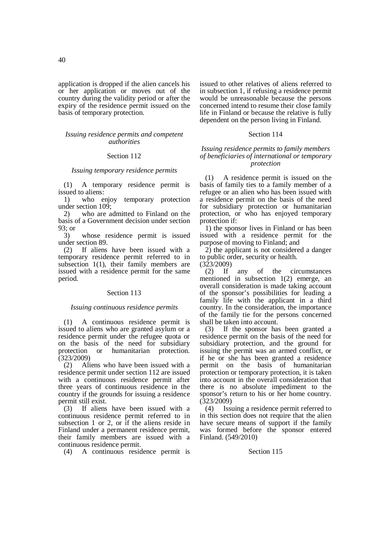application is dropped if the alien cancels his or her application or moves out of the country during the validity period or after the expiry of the residence permit issued on the basis of temporary protection.

## *Issuing residence permits and competent authorities*

## Section 112

#### *Issuing temporary residence permits*

(1) A temporary residence permit is issued to aliens:

1) who enjoy temporary protection under section 109;

2) who are admitted to Finland on the basis of a Government decision under section 93; or

3) whose residence permit is issued under section 89.

(2) If aliens have been issued with a temporary residence permit referred to in subsection 1(1), their family members are issued with a residence permit for the same period.

### Section 113

## *Issuing continuous residence permits*

(1) A continuous residence permit is issued to aliens who are granted asylum or a residence permit under the refugee quota or on the basis of the need for subsidiary protection or humanitarian protection. (323/2009)

(2) Aliens who have been issued with a residence permit under section 112 are issued with a continuous residence permit after three years of continuous residence in the country if the grounds for issuing a residence permit still exist.

(3) If aliens have been issued with a continuous residence permit referred to in subsection 1 or 2, or if the aliens reside in Finland under a permanent residence permit, their family members are issued with a continuous residence permit.

(4) A continuous residence permit is

issued to other relatives of aliens referred to in subsection 1, if refusing a residence permit would be unreasonable because the persons concerned intend to resume their close family life in Finland or because the relative is fully dependent on the person living in Finland.

## Section 114

## *Issuing residence permits to family members of beneficiaries of international or temporary protection*

(1) A residence permit is issued on the basis of family ties to a family member of a refugee or an alien who has been issued with a residence permit on the basis of the need for subsidiary protection or humanitarian protection, or who has enjoyed temporary protection if:

1) the sponsor lives in Finland or has been issued with a residence permit for the purpose of moving to Finland; and

2) the applicant is not considered a danger to public order, security or health.

 $(3\bar{2}3/2009)$ 

(2) If any of the circumstances mentioned in subsection 1(2) emerge, an overall consideration is made taking account of the sponsor's possibilities for leading a family life with the applicant in a third country. In the consideration, the importance of the family tie for the persons concerned shall be taken into account.

(3) If the sponsor has been granted a residence permit on the basis of the need for subsidiary protection, and the ground for issuing the permit was an armed conflict, or if he or she has been granted a residence permit on the basis of humanitarian protection or temporary protection, it is taken into account in the overall consideration that there is no absolute impediment to the sponsor's return to his or her home country. (323/2009)

(4) Issuing a residence permit referred to in this section does not require that the alien have secure means of support if the family was formed before the sponsor entered Finland. (549/2010)

### Section 115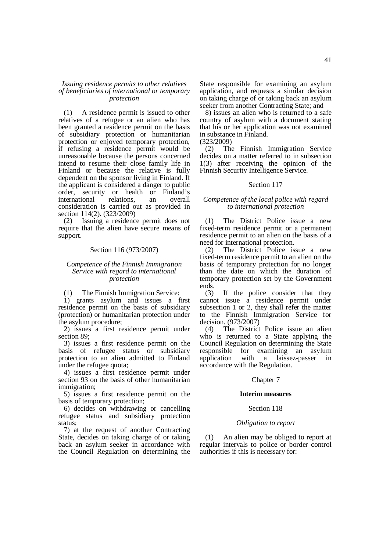## *Issuing residence permits to other relatives of beneficiaries of international or temporary protection*

(1) A residence permit is issued to other relatives of a refugee or an alien who has been granted a residence permit on the basis of subsidiary protection or humanitarian protection or enjoyed temporary protection, if refusing a residence permit would be unreasonable because the persons concerned intend to resume their close family life in Finland or because the relative is fully dependent on the sponsor living in Finland. If the applicant is considered a danger to public order, security or health or Finland's international relations, an overall consideration is carried out as provided in section 114(2). (323/2009)

(2) Issuing a residence permit does not require that the alien have secure means of support.

#### Section 116 (973/2007)

## *Competence of the Finnish Immigration Service with regard to international protection*

(1) The Finnish Immigration Service:

1) grants asylum and issues a first residence permit on the basis of subsidiary (protection) or humanitarian protection under the asylum procedure;

2) issues a first residence permit under section 89;

3) issues a first residence permit on the basis of refugee status or subsidiary protection to an alien admitted to Finland under the refugee quota;

4) issues a first residence permit under section 93 on the basis of other humanitarian immigration;

5) issues a first residence permit on the basis of temporary protection;

6) decides on withdrawing or cancelling refugee status and subsidiary protection status;

7) at the request of another Contracting State, decides on taking charge of or taking back an asylum seeker in accordance with the Council Regulation on determining the State responsible for examining an asylum application, and requests a similar decision on taking charge of or taking back an asylum seeker from another Contracting State; and

8) issues an alien who is returned to a safe country of asylum with a document stating that his or her application was not examined in substance in Finland.

(323/2009)

(2) The Finnish Immigration Service decides on a matter referred to in subsection 1(3) after receiving the opinion of the Finnish Security Intelligence Service.

### Section 117

## *Competence of the local police with regard to international protection*

(1) The District Police issue a new fixed-term residence permit or a permanent residence permit to an alien on the basis of a need for international protection.

(2) The District Police issue a new fixed-term residence permit to an alien on the basis of temporary protection for no longer than the date on which the duration of temporary protection set by the Government ends.

(3) If the police consider that they cannot issue a residence permit under subsection 1 or 2, they shall refer the matter to the Finnish Immigration Service for decision. (973/2007)

(4) The District Police issue an alien who is returned to a State applying the Council Regulation on determining the State responsible for examining an asylum application with a laissez-passer in accordance with the Regulation.

### Chapter 7

#### **Interim measures**

## Section 118

#### *Obligation to report*

(1) An alien may be obliged to report at regular intervals to police or border control authorities if this is necessary for: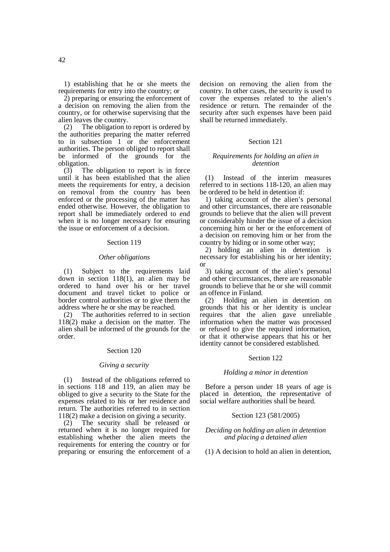1) establishing that he or she meets the requirements for entry into the country; or

2) preparing or ensuring the enforcement of a decision on removing the alien from the country, or for otherwise supervising that the alien leaves the country.

(2) The obligation to report is ordered by the authorities preparing the matter referred to in subsection 1 or the enforcement authorities. The person obliged to report shall be informed of the grounds for the obligation.

(3) The obligation to report is in force until it has been established that the alien meets the requirements for entry, a decision on removal from the country has been enforced or the processing of the matter has ended otherwise. However, the obligation to report shall be immediately ordered to end when it is no longer necessary for ensuring the issue or enforcement of a decision.

#### Section 119

#### *Other obligations*

(1) Subject to the requirements laid down in section 118(1), an alien may be ordered to hand over his or her travel document and travel ticket to police or border control authorities or to give them the address where he or she may be reached.

(2) The authorities referred to in section 118(2) make a decision on the matter. The alien shall be informed of the grounds for the order.

#### Section 120

### *Giving a security*

(1) Instead of the obligations referred to in sections 118 and 119, an alien may be obliged to give a security to the State for the expenses related to his or her residence and return. The authorities referred to in section 118(2) make a decision on giving a security.

(2) The security shall be released or returned when it is no longer required for establishing whether the alien meets the requirements for entering the country or for preparing or ensuring the enforcement of a

decision on removing the alien from the country. In other cases, the security is used to cover the expenses related to the alien's residence or return. The remainder of the security after such expenses have been paid shall be returned immediately.

## Section 121

### *Requirements for holding an alien in detention*

(1) Instead of the interim measures referred to in sections 118-120, an alien may be ordered to be held in detention if:

1) taking account of the alien's personal and other circumstances, there are reasonable grounds to believe that the alien will prevent or considerably hinder the issue of a decision concerning him or her or the enforcement of a decision on removing him or her from the country by hiding or in some other way;

2) holding an alien in detention is necessary for establishing his or her identity; or

3) taking account of the alien's personal and other circumstances, there are reasonable grounds to believe that he or she will commit an offence in Finland.

(2) Holding an alien in detention on grounds that his or her identity is unclear requires that the alien gave unreliable information when the matter was processed or refused to give the required information, or that it otherwise appears that his or her identity cannot be considered established.

### Section 122

## *Holding a minor in detention*

Before a person under 18 years of age is placed in detention, the representative of social welfare authorities shall be heard.

### Section 123 (581/2005)

### *Deciding on holding an alien in detention and placing a detained alien*

(1) A decision to hold an alien in detention,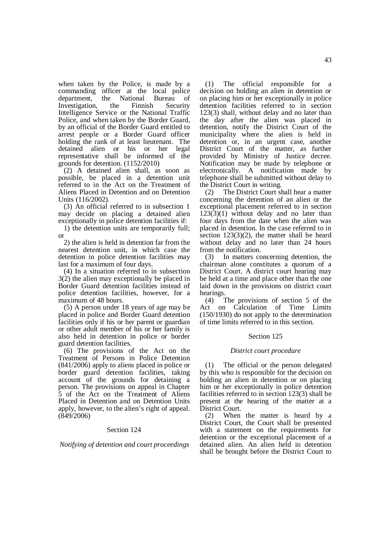when taken by the Police, is made by a commanding officer at the local police department, the National Bureau of Investigation, the Finnish Security Intelligence Service or the National Traffic Police, and when taken by the Border Guard, by an official of the Border Guard entitled to arrest people or a Border Guard officer holding the rank of at least lieutenant. The detained alien or his or her legal representative shall be informed of the grounds for detention. (1152/2010)

(2) A detained alien shall, as soon as possible, be placed in a detention unit referred to in the Act on the Treatment of Aliens Placed in Detention and on Detention Units (116/2002).

(3) An official referred to in subsection 1 may decide on placing a detained alien exceptionally in police detention facilities if:

1) the detention units are temporarily full; or

2) the alien is held in detention far from the nearest detention unit, in which case the detention in police detention facilities may last for a maximum of four days.

(4) In a situation referred to in subsection 3(2) the alien may exceptionally be placed in Border Guard detention facilities instead of police detention facilities, however, for a maximum of 48 hours.

(5) A person under 18 years of age may be placed in police and Border Guard detention facilities only if his or her parent or guardian or other adult member of his or her family is also held in detention in police or border guard detention facilities.

(6) The provisions of the Act on the Treatment of Persons in Police Detention (841/2006) apply to aliens placed in police or border guard detention facilities, taking account of the grounds for detaining a person. The provisions on appeal in Chapter 5 of the Act on the Treatment of Aliens Placed in Detention and on Detention Units apply, however, to the alien's right of appeal. (849/2006)

## Section 124

*Notifying of detention and court proceedings* 

(1) The official responsible for a decision on holding an alien in detention or on placing him or her exceptionally in police detention facilities referred to in section 123(3) shall, without delay and no later than the day after the alien was placed in detention, notify the District Court of the municipality where the alien is held in detention or, in an urgent case, another District Court of the matter, as further provided by Ministry of Justice decree. Notification may be made by telephone or electronically. A notification made by telephone shall be submitted without delay to the District Court in writing.

(2) The District Court shall hear a matter concerning the detention of an alien or the exceptional placement referred to in section  $123(3)(1)$  without delay and no later than four days from the date when the alien was placed in detention. In the case referred to in section  $123(3)(2)$ , the matter shall be heard without delay and no later than 24 hours from the notification.

(3) In matters concerning detention, the chairman alone constitutes a quorum of a District Court. A district court hearing may be held at a time and place other than the one laid down in the provisions on district court hearings.

(4) The provisions of section 5 of the Act on Calculation of Time Limits (150/1930) do not apply to the determination of time limits referred to in this section.

## Section 125

## *District court procedure*

(1) The official or the person delegated by this who is responsible for the decision on holding an alien in detention or on placing him or her exceptionally in police detention facilities referred to in section 123(3) shall be present at the hearing of the matter at a District Court.

(2) When the matter is heard by a District Court, the Court shall be presented with a statement on the requirements for detention or the exceptional placement of a detained alien. An alien held in detention shall be brought before the District Court to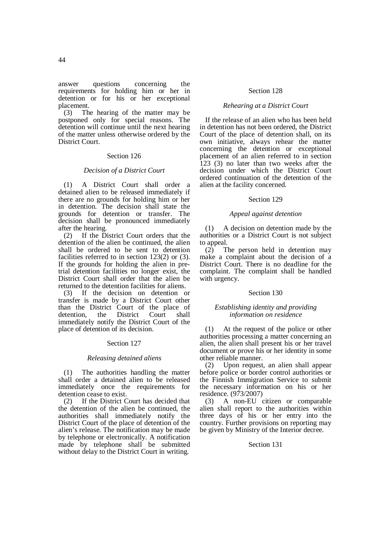answer questions concerning the requirements for holding him or her in detention or for his or her exceptional placement.<br> $(3)$  The

The hearing of the matter may be postponed only for special reasons. The detention will continue until the next hearing of the matter unless otherwise ordered by the District Court.

### Section 126

## *Decision of a District Court*

(1) A District Court shall order a detained alien to be released immediately if there are no grounds for holding him or her in detention. The decision shall state the grounds for detention or transfer. The decision shall be pronounced immediately after the hearing.

(2) If the District Court orders that the detention of the alien be continued, the alien shall be ordered to be sent to detention facilities referred to in section 123(2) or (3). If the grounds for holding the alien in pretrial detention facilities no longer exist, the District Court shall order that the alien be returned to the detention facilities for aliens.

(3) If the decision on detention or transfer is made by a District Court other than the District Court of the place of detention, the District Court shall immediately notify the District Court of the place of detention of its decision.

### Section 127

## *Releasing detained aliens*

(1) The authorities handling the matter shall order a detained alien to be released immediately once the requirements for detention cease to exist.

(2) If the District Court has decided that the detention of the alien be continued, the authorities shall immediately notify the District Court of the place of detention of the alien's release. The notification may be made by telephone or electronically. A notification made by telephone shall be submitted without delay to the District Court in writing.

### Section 128

## *Rehearing at a District Court*

If the release of an alien who has been held in detention has not been ordered, the District Court of the place of detention shall, on its own initiative, always rehear the matter concerning the detention or exceptional placement of an alien referred to in section 123 (3) no later than two weeks after the decision under which the District Court ordered continuation of the detention of the alien at the facility concerned.

## Section 129

### *Appeal against detention*

(1) A decision on detention made by the authorities or a District Court is not subject to appeal.

 $(2)$  The person held in detention may make a complaint about the decision of a District Court. There is no deadline for the complaint. The complaint shall be handled with urgency.

### Section 130

## *Establishing identity and providing information on residence*

(1) At the request of the police or other authorities processing a matter concerning an alien, the alien shall present his or her travel document or prove his or her identity in some other reliable manner.

(2) Upon request, an alien shall appear before police or border control authorities or the Finnish Immigration Service to submit the necessary information on his or her residence. (973/2007)

(3) A non-EU citizen or comparable alien shall report to the authorities within three days of his or her entry into the country. Further provisions on reporting may be given by Ministry of the Interior decree.

### Section 131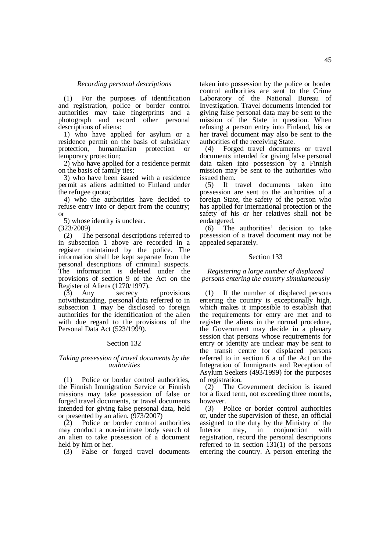### *Recording personal descriptions*

(1) For the purposes of identification and registration, police or border control authorities may take fingerprints and a photograph and record other personal descriptions of aliens:

1) who have applied for asylum or a residence permit on the basis of subsidiary protection, humanitarian protection or temporary protection;

2) who have applied for a residence permit on the basis of family ties;

3) who have been issued with a residence permit as aliens admitted to Finland under the refugee quota;

4) who the authorities have decided to refuse entry into or deport from the country; or

5) whose identity is unclear.

(323/2009)

(2) The personal descriptions referred to in subsection 1 above are recorded in a register maintained by the police. The information shall be kept separate from the personal descriptions of criminal suspects. The information is deleted under the provisions of section 9 of the Act on the Register of Aliens (1270/1997).

(3) Any secrecy provisions notwithstanding, personal data referred to in subsection 1 may be disclosed to foreign authorities for the identification of the alien with due regard to the provisions of the Personal Data Act (523/1999).

### Section 132

## *Taking possession of travel documents by the authorities*

(1) Police or border control authorities, the Finnish Immigration Service or Finnish missions may take possession of false or forged travel documents, or travel documents intended for giving false personal data, held or presented by an alien.  $(\hat{9}73/2007)$ 

(2) Police or border control authorities may conduct a non-intimate body search of an alien to take possession of a document held by him or her.

(3) False or forged travel documents

taken into possession by the police or border control authorities are sent to the Crime Laboratory of the National Bureau of Investigation. Travel documents intended for giving false personal data may be sent to the mission of the State in question. When refusing a person entry into Finland, his or her travel document may also be sent to the authorities of the receiving State.

(4) Forged travel documents or travel documents intended for giving false personal data taken into possession by a Finnish mission may be sent to the authorities who issued them.

(5) If travel documents taken into possession are sent to the authorities of a foreign State, the safety of the person who has applied for international protection or the safety of his or her relatives shall not be endangered.

(6) The authorities' decision to take possession of a travel document may not be appealed separately.

### Section 133

## *Registering a large number of displaced persons entering the country simultaneously*

(1) If the number of displaced persons entering the country is exceptionally high, which makes it impossible to establish that the requirements for entry are met and to register the aliens in the normal procedure, the Government may decide in a plenary session that persons whose requirements for entry or identity are unclear may be sent to the transit centre for displaced persons referred to in section 6 a of the Act on the Integration of Immigrants and Reception of Asylum Seekers (493/1999) for the purposes of registration.

(2) The Government decision is issued for a fixed term, not exceeding three months, however.

(3) Police or border control authorities or, under the supervision of these, an official assigned to the duty by the Ministry of the Interior may, in conjunction with registration, record the personal descriptions referred to in section 131(1) of the persons entering the country. A person entering the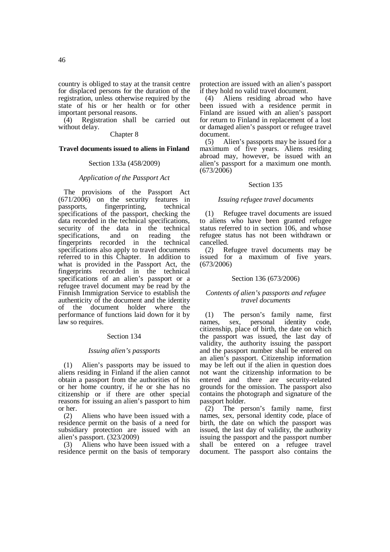country is obliged to stay at the transit centre for displaced persons for the duration of the registration, unless otherwise required by the state of his or her health or for other important personal reasons.

(4) Registration shall be carried out without delay.

## Chapter 8

## **Travel documents issued to aliens in Finland**

### Section 133a (458/2009)

## *Application of the Passport Act*

The provisions of the Passport Act  $(671/2006)$  on the security features in passports, fingerprinting, technical specifications of the passport, checking the data recorded in the technical specifications, security of the data in the technical specifications, and on reading the fingerprints recorded in the technical specifications also apply to travel documents referred to in this Chapter. In addition to what is provided in the Passport Act, the fingerprints recorded in the technical specifications of an alien's passport or a refugee travel document may be read by the Finnish Immigration Service to establish the authenticity of the document and the identity of the document holder where the performance of functions laid down for it by law so requires.

### Section 134

## *Issuing alien's passports*

(1) Alien's passports may be issued to aliens residing in Finland if the alien cannot obtain a passport from the authorities of his or her home country, if he or she has no citizenship or if there are other special reasons for issuing an alien's passport to him or her.

(2) Aliens who have been issued with a residence permit on the basis of a need for subsidiary protection are issued with an alien's passport. (323/2009)

(3) Aliens who have been issued with a residence permit on the basis of temporary

protection are issued with an alien's passport if they hold no valid travel document.

(4) Aliens residing abroad who have been issued with a residence permit in Finland are issued with an alien's passport for return to Finland in replacement of a lost or damaged alien's passport or refugee travel document.

(5) Alien's passports may be issued for a maximum of five years. Aliens residing abroad may, however, be issued with an alien's passport for a maximum one month.  $(673/2006)$ 

## Section 135

## *Issuing refugee travel documents*

(1) Refugee travel documents are issued to aliens who have been granted refugee status referred to in section 106, and whose refugee status has not been withdrawn or cancelled.

(2) Refugee travel documents may be issued for a maximum of five years. (673/2006)

### Section 136 (673/2006)

## *Contents of alien's passports and refugee travel documents*

(1) The person's family name, first names, sex, personal identity code, citizenship, place of birth, the date on which the passport was issued, the last day of validity, the authority issuing the passport and the passport number shall be entered on an alien's passport. Citizenship information may be left out if the alien in question does not want the citizenship information to be entered and there are security-related grounds for the omission. The passport also contains the photograph and signature of the passport holder.

(2) The person's family name, first names, sex, personal identity code, place of birth, the date on which the passport was issued, the last day of validity, the authority issuing the passport and the passport number shall be entered on a refugee travel document. The passport also contains the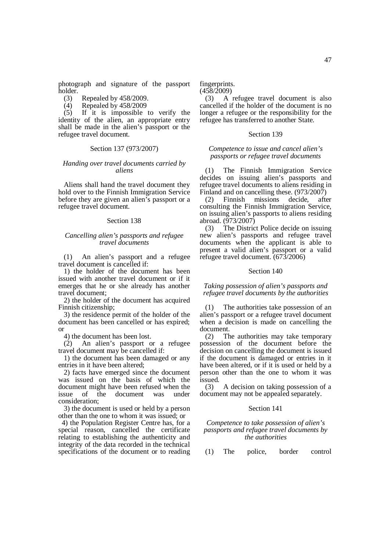photograph and signature of the passport holder.

- (3) Repealed by 458/2009.
- (4) Repealed by  $458/2009$ <br>(5) If it is impossible

If it is impossible to verify the identity of the alien, an appropriate entry shall be made in the alien's passport or the refugee travel document.

## Section 137 (973/2007)

## *Handing over travel documents carried by aliens*

Aliens shall hand the travel document they hold over to the Finnish Immigration Service before they are given an alien's passport or a refugee travel document.

## Section 138

### *Cancelling alien's passports and refugee travel documents*

(1) An alien's passport and a refugee travel document is cancelled if:

1) the holder of the document has been issued with another travel document or if it emerges that he or she already has another travel document;

2) the holder of the document has acquired Finnish citizenship;

3) the residence permit of the holder of the document has been cancelled or has expired; or

4) the document has been lost.

(2) An alien's passport or a refugee travel document may be cancelled if:

1) the document has been damaged or any entries in it have been altered;

2) facts have emerged since the document was issued on the basis of which the document might have been refused when the issue of the document was under consideration;

3) the document is used or held by a person other than the one to whom it was issued; or

 4) the Population Register Centre has, for a special reason, cancelled the certificate relating to establishing the authenticity and integrity of the data recorded in the technical specifications of the document or to reading

fingerprints.  $(458/2009)$ 

(3) A refugee travel document is also cancelled if the holder of the document is no longer a refugee or the responsibility for the refugee has transferred to another State.

## Section 139

## *Competence to issue and cancel alien's passports or refugee travel documents*

(1) The Finnish Immigration Service decides on issuing alien's passports and refugee travel documents to aliens residing in Finland and on cancelling these. (973/2007)

(2) Finnish missions decide, after consulting the Finnish Immigration Service, on issuing alien's passports to aliens residing abroad. (973/2007)

(3) The District Police decide on issuing new alien's passports and refugee travel documents when the applicant is able to present a valid alien's passport or a valid refugee travel document. (673/2006)

### Section 140

*Taking possession of alien's passports and refugee travel documents by the authorities* 

(1) The authorities take possession of an alien's passport or a refugee travel document when a decision is made on cancelling the document.

(2) The authorities may take temporary possession of the document before the decision on cancelling the document is issued if the document is damaged or entries in it have been altered, or if it is used or held by a person other than the one to whom it was issued.

(3) A decision on taking possession of a document may not be appealed separately.

### Section 141

## *Competence to take possession of alien's passports and refugee travel documents by the authorities*

(1) The police, border control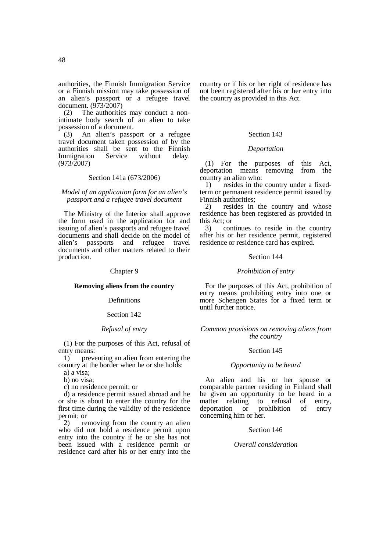The authorities may conduct a nonintimate body search of an alien to take possession of a document.

(3) An alien's passport or a refugee travel document taken possession of by the authorities shall be sent to the Finnish Immigration Service without delay. (973/2007)

### Section 141a (673/2006)

### *Model of an application form for an alien's passport and a refugee travel document*

The Ministry of the Interior shall approve the form used in the application for and issuing of alien's passports and refugee travel documents and shall decide on the model of alien's passports and refugee travel documents and other matters related to their production.

### Chapter 9

## **Removing aliens from the country**

### **Definitions**

### Section 142

## *Refusal of entry*

(1) For the purposes of this Act, refusal of entry means:

1) preventing an alien from entering the country at the border when he or she holds:

a) a visa;

b) no visa;

c) no residence permit; or

d) a residence permit issued abroad and he or she is about to enter the country for the first time during the validity of the residence permit; or

2) removing from the country an alien who did not hold a residence permit upon entry into the country if he or she has not been issued with a residence permit or residence card after his or her entry into the country or if his or her right of residence has not been registered after his or her entry into the country as provided in this Act.

### Section 143

## *Deportation*

(1) For the purposes of this Act, deportation means removing from the country an alien who:

1) resides in the country under a fixedterm or permanent residence permit issued by Finnish authorities;

2) resides in the country and whose residence has been registered as provided in this Act; or

3) continues to reside in the country after his or her residence permit, registered residence or residence card has expired.

### Section 144

## *Prohibition of entry*

For the purposes of this Act, prohibition of entry means prohibiting entry into one or more Schengen States for a fixed term or until further notice.

## *Common provisions on removing aliens from the country*

### Section 145

#### *Opportunity to be heard*

An alien and his or her spouse or comparable partner residing in Finland shall be given an opportunity to be heard in a matter relating to refusal of entry, deportation or prohibition of entry concerning him or her.

## Section 146

## *Overall consideration*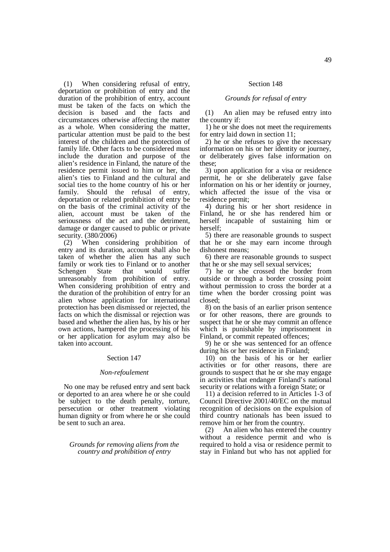(1) When considering refusal of entry, deportation or prohibition of entry and the duration of the prohibition of entry, account must be taken of the facts on which the decision is based and the facts and circumstances otherwise affecting the matter as a whole. When considering the matter, particular attention must be paid to the best interest of the children and the protection of family life. Other facts to be considered must include the duration and purpose of the alien's residence in Finland, the nature of the residence permit issued to him or her, the alien's ties to Finland and the cultural and social ties to the home country of his or her family. Should the refusal of entry, deportation or related prohibition of entry be on the basis of the criminal activity of the alien, account must be taken of the seriousness of the act and the detriment, damage or danger caused to public or private security. (380/2006)

(2) When considering prohibition of entry and its duration, account shall also be taken of whether the alien has any such family or work ties to Finland or to another Schengen State that would suffer unreasonably from prohibition of entry. When considering prohibition of entry and the duration of the prohibition of entry for an alien whose application for international protection has been dismissed or rejected, the facts on which the dismissal or rejection was based and whether the alien has, by his or her own actions, hampered the processing of his or her application for asylum may also be taken into account.

### Section 147

## *Non-refoulement*

No one may be refused entry and sent back or deported to an area where he or she could be subject to the death penalty, torture, persecution or other treatment violating human dignity or from where he or she could be sent to such an area.

## *Grounds for removing aliens from the country and prohibition of entry*

## Section 148

### *Grounds for refusal of entry*

(1) An alien may be refused entry into the country if:

1) he or she does not meet the requirements for entry laid down in section 11;

2) he or she refuses to give the necessary information on his or her identity or journey, or deliberately gives false information on these;

3) upon application for a visa or residence permit, he or she deliberately gave false information on his or her identity or journey, which affected the issue of the visa or residence permit;

4) during his or her short residence in Finland, he or she has rendered him or herself incapable of sustaining him or herself;

5) there are reasonable grounds to suspect that he or she may earn income through dishonest means;

6) there are reasonable grounds to suspect that he or she may sell sexual services;

7) he or she crossed the border from outside or through a border crossing point without permission to cross the border at a time when the border crossing point was closed;

8) on the basis of an earlier prison sentence or for other reasons, there are grounds to suspect that he or she may commit an offence which is punishable by imprisonment in Finland, or commit repeated offences;

9) he or she was sentenced for an offence during his or her residence in Finland;

10) on the basis of his or her earlier activities or for other reasons, there are grounds to suspect that he or she may engage in activities that endanger Finland's national security or relations with a foreign State; or

11) a decision referred to in Articles 1-3 of Council Directive 2001/40/EC on the mutual recognition of decisions on the expulsion of third country nationals has been issued to remove him or her from the country.

(2) An alien who has entered the country without a residence permit and who is required to hold a visa or residence permit to stay in Finland but who has not applied for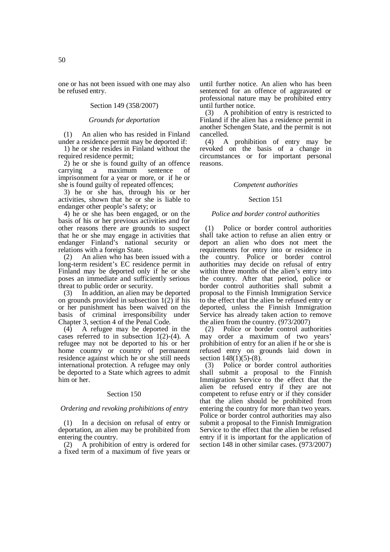one or has not been issued with one may also be refused entry.

## Section 149 (358/2007)

## *Grounds for deportation*

(1) An alien who has resided in Finland under a residence permit may be deported if:

1) he or she resides in Finland without the required residence permit:

2) he or she is found guilty of an offence carrying a maximum sentence of imprisonment for a year or more, or if he or she is found guilty of repeated offences;

3) he or she has, through his or her activities, shown that he or she is liable to endanger other people's safety; or

4) he or she has been engaged, or on the basis of his or her previous activities and for other reasons there are grounds to suspect that he or she may engage in activities that endanger Finland's national security or relations with a foreign State.

(2) An alien who has been issued with a long-term resident's EC residence permit in Finland may be deported only if he or she poses an immediate and sufficiently serious threat to public order or security.

(3) In addition, an alien may be deported on grounds provided in subsection  $1(2)$  if his or her punishment has been waived on the basis of criminal irresponsibility under Chapter 3, section 4 of the Penal Code.

(4) A refugee may be deported in the cases referred to in subsection 1(2)-(4). A refugee may not be deported to his or her home country or country of permanent residence against which he or she still needs international protection. A refugee may only be deported to a State which agrees to admit him or her.

## Section 150

## *Ordering and revoking prohibitions of entry*

(1) In a decision on refusal of entry or deportation, an alien may be prohibited from entering the country.

(2) A prohibition of entry is ordered for a fixed term of a maximum of five years or

until further notice. An alien who has been sentenced for an offence of aggravated or professional nature may be prohibited entry until further notice.

(3) A prohibition of entry is restricted to Finland if the alien has a residence permit in another Schengen State, and the permit is not cancelled.

(4) A prohibition of entry may be revoked on the basis of a change in circumstances or for important personal reasons.

#### *Competent authorities*

### Section 151

### *Police and border control authorities*

(1) Police or border control authorities shall take action to refuse an alien entry or deport an alien who does not meet the requirements for entry into or residence in the country. Police or border control authorities may decide on refusal of entry within three months of the alien's entry into the country. After that period, police or border control authorities shall submit a proposal to the Finnish Immigration Service to the effect that the alien be refused entry or deported, unless the Finnish Immigration Service has already taken action to remove the alien from the country. (973/2007)

(2) Police or border control authorities may order a maximum of two years' prohibition of entry for an alien if he or she is refused entry on grounds laid down in section 148(1)(5)-(8).

(3) Police or border control authorities shall submit a proposal to the Finnish Immigration Service to the effect that the alien be refused entry if they are not competent to refuse entry or if they consider that the alien should be prohibited from entering the country for more than two years. Police or border control authorities may also submit a proposal to the Finnish Immigration Service to the effect that the alien be refused entry if it is important for the application of section 148 in other similar cases. (973/2007)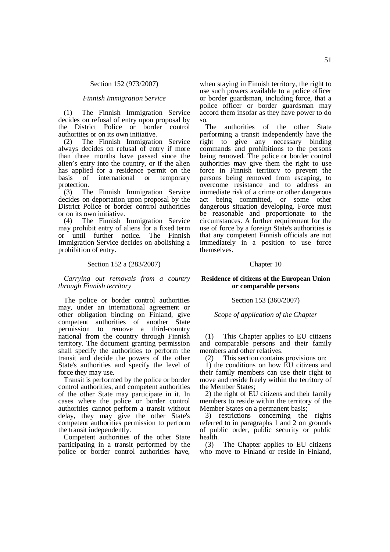#### Section 152 (973/2007)

#### *Finnish Immigration Service*

(1) The Finnish Immigration Service decides on refusal of entry upon proposal by<br>the District Police or border control the District Police or border authorities or on its own initiative.

(2) The Finnish Immigration Service always decides on refusal of entry if more than three months have passed since the alien's entry into the country, or if the alien has applied for a residence permit on the basis of international or temporary protection.

(3) The Finnish Immigration Service decides on deportation upon proposal by the District Police or border control authorities or on its own initiative.

(4) The Finnish Immigration Service may prohibit entry of aliens for a fixed term or until further notice. The Finnish Immigration Service decides on abolishing a prohibition of entry.

### Section 152 a (283/2007)

*Carrying out removals from a country through Finnish territory* 

The police or border control authorities may, under an international agreement or other obligation binding on Finland, give competent authorities of another State permission to remove a third-country national from the country through Finnish territory. The document granting permission shall specify the authorities to perform the transit and decide the powers of the other State's authorities and specify the level of force they may use.

Transit is performed by the police or border control authorities, and competent authorities of the other State may participate in it. In cases where the police or border control authorities cannot perform a transit without delay, they may give the other State's competent authorities permission to perform the transit independently.

Competent authorities of the other State participating in a transit performed by the police or border control authorities have,

when staying in Finnish territory, the right to use such powers available to a police officer or border guardsman, including force, that a police officer or border guardsman may accord them insofar as they have power to do so.

The authorities of the other State performing a transit independently have the right to give any necessary binding commands and prohibitions to the persons being removed. The police or border control authorities may give them the right to use force in Finnish territory to prevent the persons being removed from escaping, to overcome resistance and to address an immediate risk of a crime or other dangerous act being committed, or some other dangerous situation developing. Force must be reasonable and proportionate to the circumstances. A further requirement for the use of force by a foreign State's authorities is that any competent Finnish officials are not immediately in a position to use force themselves.

#### Chapter 10

## **Residence of citizens of the European Union or comparable persons**

### Section 153 (360/2007)

*Scope of application of the Chapter* 

(1) This Chapter applies to EU citizens and comparable persons and their family members and other relatives.

(2) This section contains provisions on:

1) the conditions on how EU citizens and their family members can use their right to move and reside freely within the territory of the Member States;

2) the right of EU citizens and their family members to reside within the territory of the Member States on a permanent basis;

3) restrictions concerning the rights referred to in paragraphs 1 and 2 on grounds of public order, public security or public health.

(3) The Chapter applies to EU citizens who move to Finland or reside in Finland,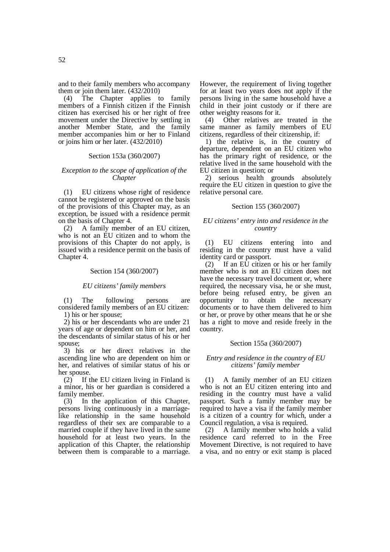and to their family members who accompany

them or join them later.  $(432/2010)$ <br>(4) The Chapter applies to The Chapter applies to family members of a Finnish citizen if the Finnish citizen has exercised his or her right of free movement under the Directive by settling in another Member State, and the family member accompanies him or her to Finland or joins him or her later. (432/2010)

### Section 153a (360/2007)

## *Exception to the scope of application of the Chapter*

(1) EU citizens whose right of residence cannot be registered or approved on the basis of the provisions of this Chapter may, as an exception, be issued with a residence permit on the basis of Chapter 4.

(2) A family member of an EU citizen, who is not an EU citizen and to whom the provisions of this Chapter do not apply, is issued with a residence permit on the basis of Chapter 4.

### Section 154 (360/2007)

## *EU citizens' family members*

(1) The following persons are considered family members of an EU citizen: 1) his or her spouse;

2) his or her descendants who are under 21 years of age or dependent on him or her, and the descendants of similar status of his or her spouse;

3) his or her direct relatives in the ascending line who are dependent on him or her, and relatives of similar status of his or her spouse.<br>(2) If t

If the EU citizen living in Finland is a minor, his or her guardian is considered a family member.

(3) In the application of this Chapter, persons living continuously in a marriagelike relationship in the same household regardless of their sex are comparable to a married couple if they have lived in the same household for at least two years. In the application of this Chapter, the relationship between them is comparable to a marriage.

However, the requirement of living together for at least two years does not apply if the persons living in the same household have a child in their joint custody or if there are other weighty reasons for it.

(4) Other relatives are treated in the same manner as family members of EU citizens, regardless of their citizenship, if:

1) the relative is, in the country of departure, dependent on an EU citizen who has the primary right of residence, or the relative lived in the same household with the EU citizen in question; or

2) serious health grounds absolutely require the EU citizen in question to give the relative personal care.

## Section 155 (360/2007)

### *EU citizens' entry into and residence in the country*

(1) EU citizens entering into and residing in the country must have a valid identity card or passport.

 $(2)$  If an EU citizen or his or her family member who is not an EU citizen does not have the necessary travel document or, where required, the necessary visa, he or she must, before being refused entry, be given an opportunity to obtain the necessary to obtain the necessary documents or to have them delivered to him or her, or prove by other means that he or she has a right to move and reside freely in the country.

### Section 155a (360/2007)

## *Entry and residence in the country of EU citizens' family member*

(1) A family member of an EU citizen who is not an EU citizen entering into and residing in the country must have a valid passport. Such a family member may be required to have a visa if the family member is a citizen of a country for which, under a Council regulation, a visa is required.

(2) A family member who holds a valid residence card referred to in the Free Movement Directive, is not required to have a visa, and no entry or exit stamp is placed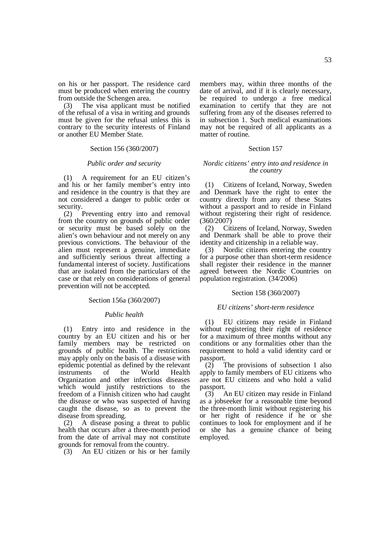on his or her passport. The residence card must be produced when entering the country from outside the Schengen area.

(3) The visa applicant must be notified of the refusal of a visa in writing and grounds must be given for the refusal unless this is contrary to the security interests of Finland or another EU Member State.

## Section 156 (360/2007)

## *Public order and security*

(1) A requirement for an EU citizen's and his or her family member's entry into and residence in the country is that they are not considered a danger to public order or security.

(2) Preventing entry into and removal from the country on grounds of public order or security must be based solely on the alien's own behaviour and not merely on any previous convictions. The behaviour of the alien must represent a genuine, immediate and sufficiently serious threat affecting a fundamental interest of society. Justifications that are isolated from the particulars of the case or that rely on considerations of general prevention will not be accepted.

### Section 156a (360/2007)

### *Public health*

(1) Entry into and residence in the country by an EU citizen and his or her family members may be restricted on grounds of public health. The restrictions may apply only on the basis of a disease with epidemic potential as defined by the relevant<br>instruments of the World Health instruments of the World Health Organization and other infectious diseases which would justify restrictions to the freedom of a Finnish citizen who had caught the disease or who was suspected of having caught the disease, so as to prevent the disease from spreading.

(2) A disease posing a threat to public health that occurs after a three-month period from the date of arrival may not constitute grounds for removal from the country.

(3) An EU citizen or his or her family

members may, within three months of the date of arrival, and if it is clearly necessary, be required to undergo a free medical examination to certify that they are not suffering from any of the diseases referred to in subsection 1. Such medical examinations may not be required of all applicants as a matter of routine.

## Section 157

### *Nordic citizens' entry into and residence in the country*

(1) Citizens of Iceland, Norway, Sweden and Denmark have the right to enter the country directly from any of these States without a passport and to reside in Finland without registering their right of residence. (360/2007)

(2) Citizens of Iceland, Norway, Sweden and Denmark shall be able to prove their identity and citizenship in a reliable way.

(3) Nordic citizens entering the country for a purpose other than short-term residence shall register their residence in the manner agreed between the Nordic Countries on population registration. (34/2006)

## Section 158 (360/2007)

### *EU citizens' short-term residence*

(1) EU citizens may reside in Finland without registering their right of residence for a maximum of three months without any conditions or any formalities other than the requirement to hold a valid identity card or passport.

(2) The provisions of subsection 1 also apply to family members of EU citizens who are not EU citizens and who hold a valid passport.

(3) An EU citizen may reside in Finland as a jobseeker for a reasonable time beyond the three-month limit without registering his or her right of residence if he or she continues to look for employment and if he or she has a genuine chance of being employed.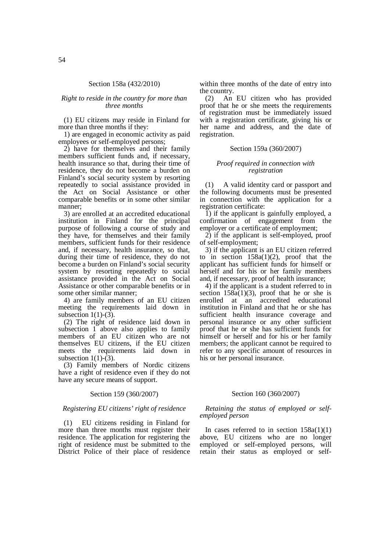## Section 158a (432/2010)

## *Right to reside in the country for more than three months*

(1) EU citizens may reside in Finland for more than three months if they:

1) are engaged in economic activity as paid employees or self-employed persons;

2) have for themselves and their family members sufficient funds and, if necessary, health insurance so that, during their time of residence, they do not become a burden on Finland's social security system by resorting repeatedly to social assistance provided in the Act on Social Assistance or other comparable benefits or in some other similar manner;

3) are enrolled at an accredited educational institution in Finland for the principal purpose of following a course of study and they have, for themselves and their family members, sufficient funds for their residence and, if necessary, health insurance, so that, during their time of residence, they do not become a burden on Finland's social security system by resorting repeatedly to social assistance provided in the Act on Social Assistance or other comparable benefits or in some other similar manner;

4) are family members of an EU citizen meeting the requirements laid down in subsection  $1(1)-(3)$ .

(2) The right of residence laid down in subsection 1 above also applies to family members of an EU citizen who are not themselves EU citizens, if the EU citizen meets the requirements laid down in subsection  $1(1)-(3)$ .

(3) Family members of Nordic citizens have a right of residence even if they do not have any secure means of support.

### Section 159 (360/2007)

## *Registering EU citizens' right of residence*

(1) EU citizens residing in Finland for more than three months must register their residence. The application for registering the right of residence must be submitted to the District Police of their place of residence within three months of the date of entry into the country.

(2) An EU citizen who has provided proof that he or she meets the requirements of registration must be immediately issued with a registration certificate, giving his or her name and address, and the date of registration.

## Section 159a (360/2007)

### *Proof required in connection with registration*

(1) A valid identity card or passport and the following documents must be presented in connection with the application for a registration certificate:

1) if the applicant is gainfully employed, a confirmation of engagement from the employer or a certificate of employment;

2) if the applicant is self-employed, proof of self-employment;

3) if the applicant is an EU citizen referred to in section  $158a(1)(2)$ , proof that the applicant has sufficient funds for himself or herself and for his or her family members and, if necessary, proof of health insurance;

4) if the applicant is a student referred to in section  $158a(1)(3)$ , proof that he or she is enrolled at an accredited educational institution in Finland and that he or she has sufficient health insurance coverage and personal insurance or any other sufficient proof that he or she has sufficient funds for himself or herself and for his or her family members; the applicant cannot be required to refer to any specific amount of resources in his or her personal insurance.

## Section 160 (360/2007)

## *Retaining the status of employed or selfemployed person*

In cases referred to in section  $158a(1)(1)$ above, EU citizens who are no longer employed or self-employed persons, will retain their status as employed or self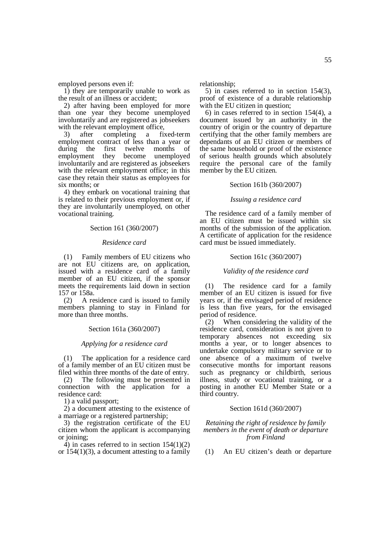employed persons even if:

1) they are temporarily unable to work as the result of an illness or accident;

2) after having been employed for more than one year they become unemployed involuntarily and are registered as jobseekers with the relevant employment office,

3) after completing a fixed-term employment contract of less than a year or during the first twelve months of employment they become unemployed involuntarily and are registered as jobseekers with the relevant employment office; in this case they retain their status as employees for six months; or

4) they embark on vocational training that is related to their previous employment or, if they are involuntarily unemployed, on other vocational training.

## Section 161 (360/2007)

### *Residence card*

(1) Family members of EU citizens who are not EU citizens are, on application, issued with a residence card of a family member of an EU citizen, if the sponsor meets the requirements laid down in section 157 or 158a.

(2) A residence card is issued to family members planning to stay in Finland for more than three months.

### Section 161a (360/2007)

## *Applying for a residence card*

(1) The application for a residence card of a family member of an EU citizen must be filed within three months of the date of entry.

(2) The following must be presented in connection with the application for a residence card:

1) a valid passport;

2) a document attesting to the existence of a marriage or a registered partnership;

3) the registration certificate of the EU citizen whom the applicant is accompanying or joining;

 $\overline{4}$ ) in cases referred to in section 154(1)(2) or  $154(1)(3)$ , a document attesting to a family relationship;

5) in cases referred to in section 154(3), proof of existence of a durable relationship with the EU citizen in question;

6) in cases referred to in section  $154(4)$ , a document issued by an authority in the country of origin or the country of departure certifying that the other family members are dependants of an EU citizen or members of the same household or proof of the existence of serious health grounds which absolutely require the personal care of the family member by the EU citizen.

## Section 161b (360/2007)

### *Issuing a residence card*

The residence card of a family member of an EU citizen must be issued within six months of the submission of the application. A certificate of application for the residence card must be issued immediately.

#### Section 161c (360/2007)

### *Validity of the residence card*

(1) The residence card for a family member of an EU citizen is issued for five years or, if the envisaged period of residence is less than five years, for the envisaged period of residence.

(2) When considering the validity of the residence card, consideration is not given to temporary absences not exceeding six months a year, or to longer absences to undertake compulsory military service or to one absence of a maximum of twelve consecutive months for important reasons such as pregnancy or childbirth, serious illness, study or vocational training, or a posting in another EU Member State or a third country.

### Section 161d (360/2007)

*Retaining the right of residence by family members in the event of death or departure from Finland* 

(1) An EU citizen's death or departure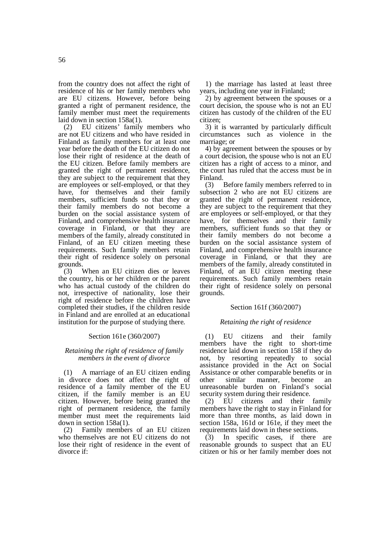from the country does not affect the right of residence of his or her family members who are EU citizens. However, before being granted a right of permanent residence, the family member must meet the requirements laid down in section  $158a(1)$ .<br>(2) EU citizens' family

EU citizens' family members who are not EU citizens and who have resided in Finland as family members for at least one year before the death of the EU citizen do not lose their right of residence at the death of the EU citizen. Before family members are granted the right of permanent residence, they are subject to the requirement that they are employees or self-employed, or that they have, for themselves and their family members, sufficient funds so that they or their family members do not become a burden on the social assistance system of Finland, and comprehensive health insurance coverage in Finland, or that they are members of the family, already constituted in Finland, of an EU citizen meeting these requirements. Such family members retain their right of residence solely on personal grounds.

(3) When an EU citizen dies or leaves the country, his or her children or the parent who has actual custody of the children do not, irrespective of nationality, lose their right of residence before the children have completed their studies, if the children reside in Finland and are enrolled at an educational institution for the purpose of studying there.

## Section 161e (360/2007)

## *Retaining the right of residence of family members in the event of divorce*

(1) A marriage of an EU citizen ending in divorce does not affect the right of residence of a family member of the EU citizen, if the family member is an EU citizen. However, before being granted the right of permanent residence, the family member must meet the requirements laid down in section 158a(1).

(2) Family members of an EU citizen who themselves are not EU citizens do not lose their right of residence in the event of divorce if:

1) the marriage has lasted at least three years, including one year in Finland;

2) by agreement between the spouses or a court decision, the spouse who is not an EU citizen has custody of the children of the EU citizen;

3) it is warranted by particularly difficult circumstances such as violence in the marriage; or

4) by agreement between the spouses or by a court decision, the spouse who is not an EU citizen has a right of access to a minor, and the court has ruled that the access must be in Finland.

(3) Before family members referred to in subsection 2 who are not EU citizens are granted the right of permanent residence, they are subject to the requirement that they are employees or self-employed, or that they have, for themselves and their family members, sufficient funds so that they or their family members do not become a burden on the social assistance system of Finland, and comprehensive health insurance coverage in Finland, or that they are members of the family, already constituted in Finland, of an EU citizen meeting these requirements. Such family members retain their right of residence solely on personal grounds.

## Section 161f (360/2007)

## *Retaining the right of residence*

(1) EU citizens and their family members have the right to short-time residence laid down in section 158 if they do not, by resorting repeatedly to social assistance provided in the Act on Social Assistance or other comparable benefits or in<br>other similar manner, become an other similar manner, become an unreasonable burden on Finland's social security system during their residence.

(2) EU citizens and their family members have the right to stay in Finland for more than three months, as laid down in section 158a, 161d or 161e, if they meet the requirements laid down in these sections.

(3) In specific cases, if there are reasonable grounds to suspect that an EU citizen or his or her family member does not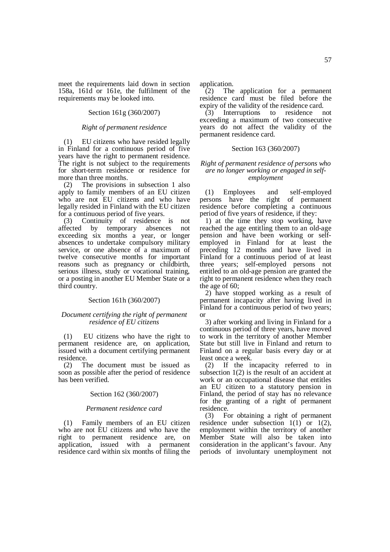meet the requirements laid down in section 158a, 161d or 161e, the fulfilment of the requirements may be looked into.

## Section 161g (360/2007)

## *Right of permanent residence*

(1) EU citizens who have resided legally in Finland for a continuous period of five years have the right to permanent residence. The right is not subject to the requirements for short-term residence or residence for more than three months.

(2) The provisions in subsection 1 also apply to family members of an EU citizen who are not EU citizens and who have legally resided in Finland with the EU citizen for a continuous period of five years.

(3) Continuity of residence is not affected by temporary absences not exceeding six months a year, or longer absences to undertake compulsory military service, or one absence of a maximum of twelve consecutive months for important reasons such as pregnancy or childbirth, serious illness, study or vocational training, or a posting in another EU Member State or a third country.

## Section 161h (360/2007)

## *Document certifying the right of permanent residence of EU citizens*

(1) EU citizens who have the right to permanent residence are, on application, issued with a document certifying permanent residence.

(2) The document must be issued as soon as possible after the period of residence has been verified.

## Section 162 (360/2007)

### *Permanent residence card*

(1) Family members of an EU citizen who are not EU citizens and who have the right to permanent residence are, on application, issued with a permanent residence card within six months of filing the application.

 $\hat{C}(2)$  The application for a permanent residence card must be filed before the expiry of the validity of the residence card.

(3) Interruptions to residence not exceeding a maximum of two consecutive years do not affect the validity of the permanent residence card.

## Section 163 (360/2007)

### *Right of permanent residence of persons who are no longer working or engaged in selfemployment*

(1) Employees and self-employed persons have the right of permanent residence before completing a continuous period of five years of residence, if they:

1) at the time they stop working, have reached the age entitling them to an old-age pension and have been working or selfemployed in Finland for at least the preceding 12 months and have lived in Finland for a continuous period of at least three years; self-employed persons not entitled to an old-age pension are granted the right to permanent residence when they reach the age of 60;

2) have stopped working as a result of permanent incapacity after having lived in Finland for a continuous period of two years; or

3) after working and living in Finland for a continuous period of three years, have moved to work in the territory of another Member State but still live in Finland and return to Finland on a regular basis every day or at least once a week.

(2) If the incapacity referred to in subsection  $1(2)$  is the result of an accident at work or an occupational disease that entitles an EU citizen to a statutory pension in Finland, the period of stay has no relevance for the granting of a right of permanent residence.

(3) For obtaining a right of permanent residence under subsection  $1(1)$  or  $1(2)$ , employment within the territory of another Member State will also be taken into consideration in the applicant's favour. Any periods of involuntary unemployment not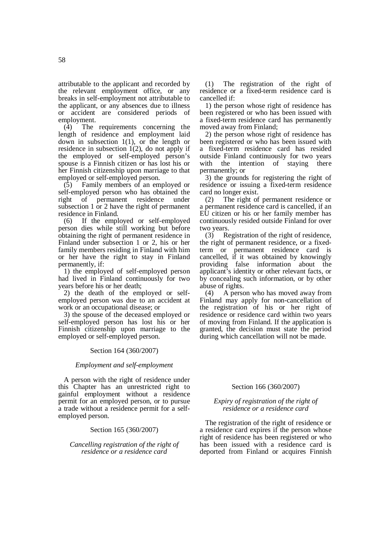attributable to the applicant and recorded by the relevant employment office, or any breaks in self-employment not attributable to the applicant, or any absences due to illness or accident are considered periods of employment.<br> $(4)$  The

The requirements concerning the length of residence and employment laid down in subsection 1(1), or the length or residence in subsection 1(2), do not apply if the employed or self-employed person's spouse is a Finnish citizen or has lost his or her Finnish citizenship upon marriage to that employed or self-employed person.

(5) Family members of an employed or self-employed person who has obtained the<br>right of permanent residence under right of permanent residence under subsection 1 or 2 have the right of permanent residence in Finland.

(6) If the employed or self-employed person dies while still working but before obtaining the right of permanent residence in Finland under subsection 1 or 2, his or her family members residing in Finland with him or her have the right to stay in Finland permanently, if:

1) the employed of self-employed person had lived in Finland continuously for two years before his or her death;

2) the death of the employed or selfemployed person was due to an accident at work or an occupational disease; or

3) the spouse of the deceased employed or self-employed person has lost his or her Finnish citizenship upon marriage to the employed or self-employed person.

## Section 164 (360/2007)

### *Employment and self-employment*

A person with the right of residence under this Chapter has an unrestricted right to gainful employment without a residence permit for an employed person, or to pursue a trade without a residence permit for a selfemployed person.

### Section 165 (360/2007)

*Cancelling registration of the right of residence or a residence card* 

(1) The registration of the right of residence or a fixed-term residence card is cancelled if:

1) the person whose right of residence has been registered or who has been issued with a fixed-term residence card has permanently moved away from Finland;

2) the person whose right of residence has been registered or who has been issued with a fixed-term residence card has resided outside Finland continuously for two years with the intention of staying there permanently; or

3) the grounds for registering the right of residence or issuing a fixed-term residence card no longer exist.

(2) The right of permanent residence or a permanent residence card is cancelled, if an EU citizen or his or her family member has continuously resided outside Finland for over two years.

(3) Registration of the right of residence, the right of permanent residence, or a fixedterm or permanent residence card is cancelled, if it was obtained by knowingly providing false information about the applicant's identity or other relevant facts, or by concealing such information, or by other abuse of rights.

(4) A person who has moved away from Finland may apply for non-cancellation of the registration of his or her right of residence or residence card within two years of moving from Finland. If the application is granted, the decision must state the period during which cancellation will not be made.

## Section 166 (360/2007)

## *Expiry of registration of the right of residence or a residence card*

The registration of the right of residence or a residence card expires if the person whose right of residence has been registered or who has been issued with a residence card is deported from Finland or acquires Finnish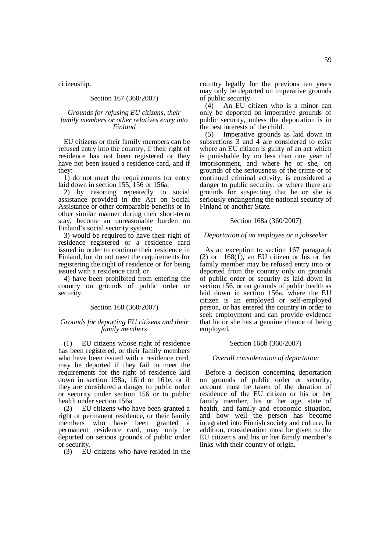citizenship.

### Section 167 (360/2007)

## *Grounds for refusing EU citizens, their family members or other relatives entry into Finland*

EU citizens or their family members can be refused entry into the country, if their right of residence has not been registered or they have not been issued a residence card, and if they:

1) do not meet the requirements for entry laid down in section 155, 156 or 156a;

2) by resorting repeatedly to social assistance provided in the Act on Social Assistance or other comparable benefits or in other similar manner during their short-term stay, become an unreasonable burden on Finland's social security system;

3) would be required to have their right of residence registered or a residence card issued in order to continue their residence in Finland, but do not meet the requirements for registering the right of residence or for being issued with a residence card; or

4) have been prohibited from entering the country on grounds of public order or security.

## Section 168 (360/2007)

## *Grounds for deporting EU citizens and their family members*

(1) EU citizens whose right of residence has been registered, or their family members who have been issued with a residence card, may be deported if they fail to meet the requirements for the right of residence laid down in section 158a, 161d or 161e, or if they are considered a danger to public order or security under section 156 or to public health under section 156a.

(2) EU citizens who have been granted a right of permanent residence, or their family members who have been granted a permanent residence card, may only be deported on serious grounds of public order or security.

(3) EU citizens who have resided in the

country legally for the previous ten years may only be deported on imperative grounds of public security.

(4) An EU citizen who is a minor can only be deported on imperative grounds of public security, unless the deportation is in the best interests of the child.

(5) Imperative grounds as laid down in subsections 3 and 4 are considered to exist where an EU citizen is guilty of an act which is punishable by no less than one year of imprisonment, and where he or she, on grounds of the seriousness of the crime or of continued criminal activity, is considered a danger to public security, or where there are grounds for suspecting that he or she is seriously endangering the national security of Finland or another State.

### Section 168a (360/2007)

### *Deportation of an employee or a jobseeker*

As an exception to section 167 paragraph (2) or  $168(1)$ , an EU citizen or his or her family member may be refused entry into or deported from the country only on grounds of public order or security as laid down in section 156, or on grounds of public health as laid down in section 156a, where the EU citizen is an employed or self-employed person, or has entered the country in order to seek employment and can provide evidence that he or she has a genuine chance of being employed.

### Section 168b (360/2007)

### *Overall consideration of deportation*

Before a decision concerning deportation on grounds of public order or security, account must be taken of the duration of residence of the EU citizen or his or her family member, his or her age, state of health, and family and economic situation, and how well the person has become integrated into Finnish society and culture. In addition, consideration must be given to the EU citizen's and his or her family member's links with their country of origin.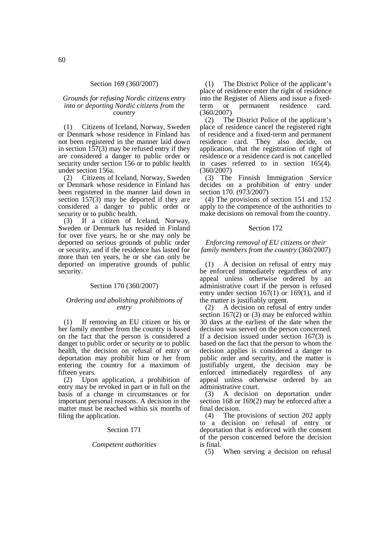### Section 169 (360/2007)

## *Grounds for refusing Nordic citizens entry into or deporting Nordic citizens from the country*

(1) Citizens of Iceland, Norway, Sweden or Denmark whose residence in Finland has not been registered in the manner laid down in section  $157(3)$  may be refused entry if they are considered a danger to public order or security under section 156 or to public health under section 156a.

(2) Citizens of Iceland, Norway, Sweden or Denmark whose residence in Finland has been registered in the manner laid down in section 157(3) may be deported if they are considered a danger to public order or security or to public health.

(3) If a citizen of Iceland, Norway, Sweden or Denmark has resided in Finland for over five years, he or she may only be deported on serious grounds of public order or security, and if the residence has lasted for more than ten years, he or she can only be deported on imperative grounds of public security.

## Section 170 (360/2007)

## *Ordering and abolishing prohibitions of entry*

(1) If removing an EU citizen or his or her family member from the country is based on the fact that the person is considered a danger to public order or security or to public health, the decision on refusal of entry or deportation may prohibit him or her from entering the country for a maximum of fifteen years.

(2) Upon application, a prohibition of entry may be revoked in part or in full on the basis of a change in circumstances or for important personal reasons. A decision in the matter must be reached within six months of filing the application.

## Section 171

### *Competent authorities*

(1) The District Police of the applicant's place of residence enter the right of residence into the Register of Aliens and issue a fixedterm or permanent residence card. (360/2007)

(2) The District Police of the applicant's place of residence cancel the registered right of residence and a fixed-term and permanent residence card. They also decide, on application, that the registration of right of residence or a residence card is not cancelled in cases referred to in section 165(4). (360/2007)

(3) The Finnish Immigration Service decides on a prohibition of entry under section 170. (973/2007)

(4) The provisions of section 151 and 152 apply to the competence of the authorities to make decisions on removal from the country.

## Section 172

## *Enforcing removal of EU citizens or their family members from the country* (360/2007)

A decision on refusal of entry may be enforced immediately regardless of any appeal unless otherwise ordered by an administrative court if the person is refused entry under section  $167(1)$  or  $169(1)$ , and if the matter is justifiably urgent.

(2) A decision on refusal of entry under section 167(2) or (3) may be enforced within 30 days at the earliest of the date when the decision was served on the person concerned. If a decision issued under section 167(3) is based on the fact that the person to whom the decision applies is considered a danger to public order and security, and the matter is justifiably urgent, the decision may be enforced immediately regardless of any appeal unless otherwise ordered by an administrative court.

(3) A decision on deportation under section 168 or 169(2) may be enforced after a final decision.

(4) The provisions of section 202 apply to a decision on refusal of entry or deportation that is enforced with the consent of the person concerned before the decision is final.

(5) When serving a decision on refusal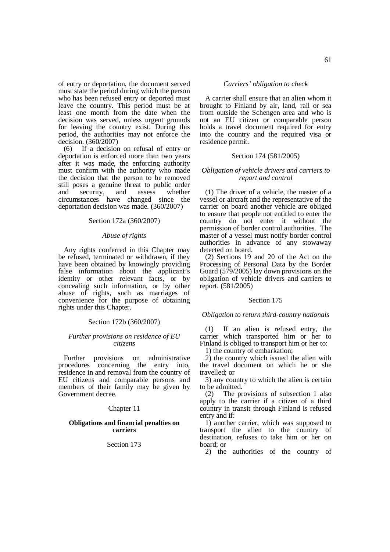of entry or deportation, the document served must state the period during which the person who has been refused entry or deported must leave the country. This period must be at least one month from the date when the decision was served, unless urgent grounds for leaving the country exist. During this period, the authorities may not enforce the decision. (360/2007)

(6) If a decision on refusal of entry or deportation is enforced more than two years after it was made, the enforcing authority must confirm with the authority who made the decision that the person to be removed still poses a genuine threat to public order and security, and assess whether circumstances have changed since the deportation decision was made. (360/2007)

## Section 172a (360/2007)

## *Abuse of rights*

Any rights conferred in this Chapter may be refused, terminated or withdrawn, if they have been obtained by knowingly providing false information about the applicant's identity or other relevant facts, or by concealing such information, or by other abuse of rights, such as marriages of convenience for the purpose of obtaining rights under this Chapter.

## Section 172b (360/2007)

## *Further provisions on residence of EU citizens*

Further provisions on administrative procedures concerning the entry into, residence in and removal from the country of EU citizens and comparable persons and members of their family may be given by Government decree.

### Chapter 11

## **Obligations and financial penalties on carriers**

## Section 173

*Carriers' obligation to check* 

A carrier shall ensure that an alien whom it brought to Finland by air, land, rail or sea from outside the Schengen area and who is not an EU citizen or comparable person holds a travel document required for entry into the country and the required visa or residence permit.

#### Section 174 (581/2005)

## *Obligation of vehicle drivers and carriers to report and control*

(1) The driver of a vehicle, the master of a vessel or aircraft and the representative of the carrier on board another vehicle are obliged to ensure that people not entitled to enter the country do not enter it without the permission of border control authorities. The master of a vessel must notify border control authorities in advance of any stowaway detected on board.

(2) Sections 19 and 20 of the Act on the Processing of Personal Data by the Border Guard (579/2005) lay down provisions on the obligation of vehicle drivers and carriers to report. (581/2005)

#### Section 175

#### *Obligation to return third-country nationals*

(1) If an alien is refused entry, the carrier which transported him or her to Finland is obliged to transport him or her to:

1) the country of embarkation;

2) the country which issued the alien with the travel document on which he or she travelled; or

3) any country to which the alien is certain to be admitted.

(2) The provisions of subsection 1 also apply to the carrier if a citizen of a third country in transit through Finland is refused entry and if:

1) another carrier, which was supposed to transport the alien to the country of destination, refuses to take him or her on board; or

2) the authorities of the country of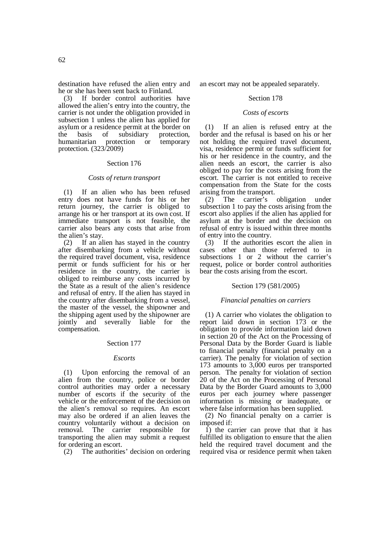destination have refused the alien entry and he or she has been sent back to Finland.

(3) If border control authorities have allowed the alien's entry into the country, the carrier is not under the obligation provided in subsection 1 unless the alien has applied for asylum or a residence permit at the border on the basis of subsidiary protection,<br>humanitarian protection or temporary humanitarian protection or temporary protection. (323/2009)

## Section 176

### *Costs of return transport*

(1) If an alien who has been refused entry does not have funds for his or her return journey, the carrier is obliged to arrange his or her transport at its own cost. If immediate transport is not feasible, the carrier also bears any costs that arise from the alien's stay.

(2) If an alien has stayed in the country after disembarking from a vehicle without the required travel document, visa, residence permit or funds sufficient for his or her residence in the country, the carrier is obliged to reimburse any costs incurred by the State as a result of the alien's residence and refusal of entry. If the alien has stayed in the country after disembarking from a vessel, the master of the vessel, the shipowner and the shipping agent used by the shipowner are jointly and severally liable for the compensation.

### Section 177

### *Escorts*

(1) Upon enforcing the removal of an alien from the country, police or border control authorities may order a necessary number of escorts if the security of the vehicle or the enforcement of the decision on the alien's removal so requires. An escort may also be ordered if an alien leaves the country voluntarily without a decision on removal. The carrier responsible for The carrier responsible for transporting the alien may submit a request for ordering an escort.

(2) The authorities' decision on ordering

an escort may not be appealed separately.

## Section 178

## *Costs of escorts*

(1) If an alien is refused entry at the border and the refusal is based on his or her not holding the required travel document, visa, residence permit or funds sufficient for his or her residence in the country, and the alien needs an escort, the carrier is also obliged to pay for the costs arising from the escort. The carrier is not entitled to receive compensation from the State for the costs arising from the transport.

(2) The carrier's obligation under subsection 1 to pay the costs arising from the escort also applies if the alien has applied for asylum at the border and the decision on refusal of entry is issued within three months of entry into the country.

(3) If the authorities escort the alien in cases other than those referred to in subsections 1 or 2 without the carrier's request, police or border control authorities bear the costs arising from the escort.

### Section 179 (581/2005)

### *Financial penalties on carriers*

(1) A carrier who violates the obligation to report laid down in section 173 or the obligation to provide information laid down in section 20 of the Act on the Processing of Personal Data by the Border Guard is liable to financial penalty (financial penalty on a carrier). The penalty for violation of section 173 amounts to 3,000 euros per transported person. The penalty for violation of section 20 of the Act on the Processing of Personal Data by the Border Guard amounts to 3,000 euros per each journey where passenger information is missing or inadequate, or where false information has been supplied.

(2) No financial penalty on a carrier is imposed if:

1) the carrier can prove that that it has fulfilled its obligation to ensure that the alien held the required travel document and the required visa or residence permit when taken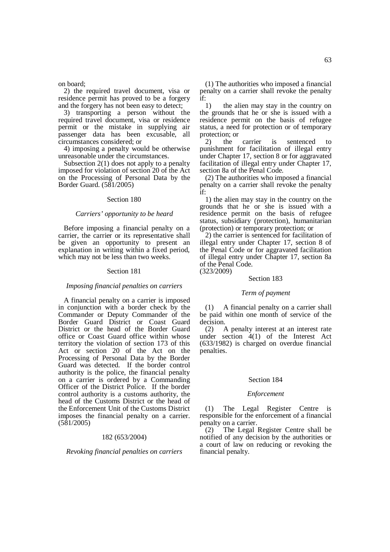on board;

2) the required travel document, visa or residence permit has proved to be a forgery and the forgery has not been easy to detect;

3) transporting a person without the required travel document, visa or residence permit or the mistake in supplying air passenger data has been excusable, all circumstances considered; or

4) imposing a penalty would be otherwise unreasonable under the circumstances.

Subsection 2(1) does not apply to a penalty imposed for violation of section 20 of the Act on the Processing of Personal Data by the Border Guard. (581/2005)

## Section 180

#### *Carriers' opportunity to be heard*

Before imposing a financial penalty on a carrier, the carrier or its representative shall be given an opportunity to present an explanation in writing within a fixed period, which may not be less than two weeks.

#### Section 181

#### *Imposing financial penalties on carriers*

A financial penalty on a carrier is imposed in conjunction with a border check by the Commander or Deputy Commander of the Border Guard District or Coast Guard District or the head of the Border Guard office or Coast Guard office within whose territory the violation of section 173 of this Act or section 20 of the Act on the Processing of Personal Data by the Border Guard was detected. If the border control authority is the police, the financial penalty on a carrier is ordered by a Commanding Officer of the District Police. If the border control authority is a customs authority, the head of the Customs District or the head of the Enforcement Unit of the Customs District imposes the financial penalty on a carrier. (581/2005)

### 182 (653/2004)

*Revoking financial penalties on carriers* 

(1) The authorities who imposed a financial penalty on a carrier shall revoke the penalty if:

1) the alien may stay in the country on the grounds that he or she is issued with a residence permit on the basis of refugee status, a need for protection or of temporary protection; or

2) the carrier is sentenced to punishment for facilitation of illegal entry under Chapter 17, section 8 or for aggravated facilitation of illegal entry under Chapter 17, section 8a of the Penal Code.

(2) The authorities who imposed a financial penalty on a carrier shall revoke the penalty if:

1) the alien may stay in the country on the grounds that he or she is issued with a residence permit on the basis of refugee status, subsidiary (protection), humanitarian (protection) or temporary protection; or

2) the carrier is sentenced for facilitation of illegal entry under Chapter 17, section 8 of the Penal Code or for aggravated facilitation of illegal entry under Chapter 17, section 8a of the Penal Code. (323/2009)

#### Section 183

## *Term of payment*

(1) A financial penalty on a carrier shall be paid within one month of service of the decision.

(2) A penalty interest at an interest rate under section 4(1) of the Interest Act (633/1982) is charged on overdue financial penalties.

### Section 184

#### *Enforcement*

(1) The Legal Register Centre is responsible for the enforcement of a financial penalty on a carrier.

(2) The Legal Register Centre shall be notified of any decision by the authorities or a court of law on reducing or revoking the financial penalty.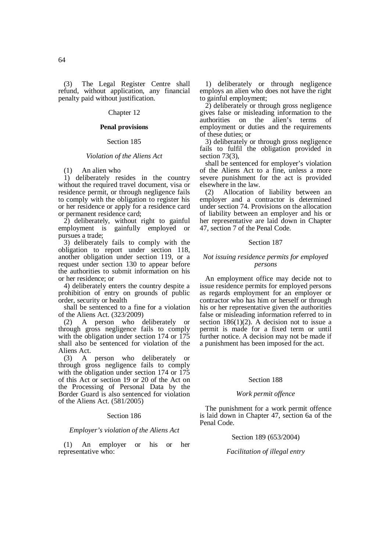(3) The Legal Register Centre shall refund, without application, any financial penalty paid without justification.

## Chapter 12

## **Penal provisions**

## Section 185

### *Violation of the Aliens Act*

(1) An alien who

1) deliberately resides in the country without the required travel document, visa or residence permit, or through negligence fails to comply with the obligation to register his or her residence or apply for a residence card or permanent residence card;

2) deliberately, without right to gainful employment is gainfully employed or pursues a trade;

3) deliberately fails to comply with the obligation to report under section 118, another obligation under section 119, or a request under section 130 to appear before the authorities to submit information on his or her residence; or

4) deliberately enters the country despite a prohibition of entry on grounds of public order, security or health

shall be sentenced to a fine for a violation of the Aliens Act. (323/2009)

(2) A person who deliberately or through gross negligence fails to comply with the obligation under section 174 or 175 shall also be sentenced for violation of the Aliens Act.

(3) A person who deliberately or through gross negligence fails to comply with the obligation under section 174 or 175 of this Act or section 19 or 20 of the Act on the Processing of Personal Data by the Border Guard is also sentenced for violation of the Aliens Act. (581/2005)

### Section 186

### *Employer's violation of the Aliens Act*

(1) An employer or his or her representative who:

1) deliberately or through negligence employs an alien who does not have the right to gainful employment;

2) deliberately or through gross negligence gives false or misleading information to the<br>authorities on the alien's terms of authorities on the alien's employment or duties and the requirements of these duties; or

3) deliberately or through gross negligence fails to fulfil the obligation provided in section 73(3).

shall be sentenced for employer's violation of the Aliens Act to a fine, unless a more severe punishment for the act is provided elsewhere in the law.

(2) Allocation of liability between an employer and a contractor is determined under section 74. Provisions on the allocation of liability between an employer and his or her representative are laid down in Chapter 47, section 7 of the Penal Code.

#### Section 187

## *Not issuing residence permits for employed persons*

An employment office may decide not to issue residence permits for employed persons as regards employment for an employer or contractor who has him or herself or through his or her representative given the authorities false or misleading information referred to in section  $186(1)(2)$ . A decision not to issue a permit is made for a fixed term or until further notice. A decision may not be made if a punishment has been imposed for the act.

### Section 188

## *Work permit offence*

The punishment for a work permit offence is laid down in Chapter 47, section 6a of the Penal Code.

### Section 189 (653/2004)

## *Facilitation of illegal entry*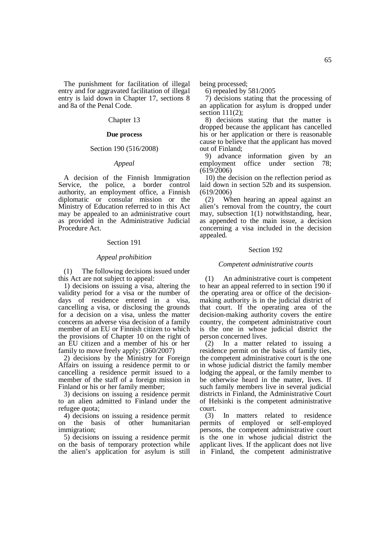The punishment for facilitation of illegal entry and for aggravated facilitation of illegal entry is laid down in Chapter 17, sections 8 and 8a of the Penal Code.

## Chapter 13

### **Due process**

## Section 190 (516/2008)

### *Appeal*

A decision of the Finnish Immigration Service, the police, a border control authority, an employment office, a Finnish diplomatic or consular mission or the Ministry of Education referred to in this Act may be appealed to an administrative court as provided in the Administrative Judicial Procedure Act.

### Section 191

### *Appeal prohibition*

(1) The following decisions issued under this Act are not subject to appeal:

1) decisions on issuing a visa, altering the validity period for a visa or the number of days of residence entered in a visa, cancelling a visa, or disclosing the grounds for a decision on a visa, unless the matter concerns an adverse visa decision of a family member of an EU or Finnish citizen to which the provisions of Chapter 10 on the right of an EU citizen and a member of his or her family to move freely apply; (360/2007)

2) decisions by the Ministry for Foreign Affairs on issuing a residence permit to or cancelling a residence permit issued to a member of the staff of a foreign mission in Finland or his or her family member;

3) decisions on issuing a residence permit to an alien admitted to Finland under the refugee quota;

4) decisions on issuing a residence permit on the basis of other humanitarian immigration;

5) decisions on issuing a residence permit on the basis of temporary protection while the alien's application for asylum is still being processed;

6) repealed by 581/2005

7) decisions stating that the processing of an application for asylum is dropped under section  $111(2)$ :

8) decisions stating that the matter is dropped because the applicant has cancelled his or her application or there is reasonable cause to believe that the applicant has moved out of Finland;

9) advance information given by an employment office under section 78; (619/2006)

10) the decision on the reflection period as laid down in section 52b and its suspension. (619/2006)

(2) When hearing an appeal against an alien's removal from the country, the court may, subsection 1(1) notwithstanding, hear, as appended to the main issue, a decision concerning a visa included in the decision appealed.

#### Section 192

#### *Competent administrative courts*

(1) An administrative court is competent to hear an appeal referred to in section 190 if the operating area or office of the decisionmaking authority is in the judicial district of that court. If the operating area of the decision-making authority covers the entire country, the competent administrative court is the one in whose judicial district the person concerned lives.

(2) In a matter related to issuing a residence permit on the basis of family ties, the competent administrative court is the one in whose judicial district the family member lodging the appeal, or the family member to be otherwise heard in the matter, lives. If such family members live in several judicial districts in Finland, the Administrative Court of Helsinki is the competent administrative court.

(3) In matters related to residence permits of employed or self-employed persons, the competent administrative court is the one in whose judicial district the applicant lives. If the applicant does not live in Finland, the competent administrative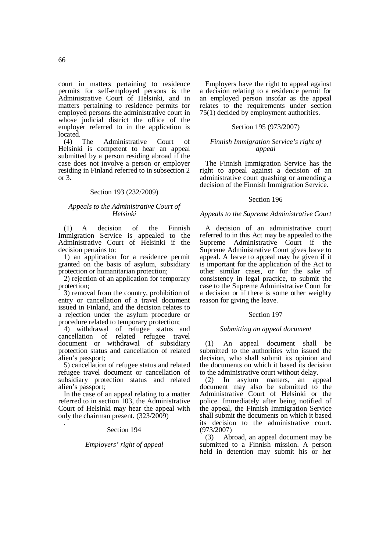court in matters pertaining to residence permits for self-employed persons is the Administrative Court of Helsinki, and in matters pertaining to residence permits for employed persons the administrative court in whose judicial district the office of the employer referred to in the application is located.<br> $(4)$ 

The Administrative Court of Helsinki is competent to hear an appeal submitted by a person residing abroad if the case does not involve a person or employer residing in Finland referred to in subsection 2 or 3.

## Section 193 (232/2009)

## *Appeals to the Administrative Court of Helsinki*

(1) A decision of the Finnish Immigration Service is appealed to the Administrative Court of Helsinki if the decision pertains to:

1) an application for a residence permit granted on the basis of asylum, subsidiary protection or humanitarian protection;

2) rejection of an application for temporary protection;

3) removal from the country, prohibition of entry or cancellation of a travel document issued in Finland, and the decision relates to a rejection under the asylum procedure or procedure related to temporary protection;

4) withdrawal of refugee status and cancellation of related refugee travel document or withdrawal of subsidiary protection status and cancellation of related alien's passport;

5) cancellation of refugee status and related refugee travel document or cancellation of subsidiary protection status and related alien's passport;

In the case of an appeal relating to a matter referred to in section 103, the Administrative Court of Helsinki may hear the appeal with only the chairman present. (323/2009) .

## Section 194

## *Employers' right of appeal*

Employers have the right to appeal against a decision relating to a residence permit for an employed person insofar as the appeal relates to the requirements under section 75(1) decided by employment authorities.

## Section 195 (973/2007)

## *Finnish Immigration Service's right of appeal*

The Finnish Immigration Service has the right to appeal against a decision of an administrative court quashing or amending a decision of the Finnish Immigration Service.

### Section 196

## *Appeals to the Supreme Administrative Court*

A decision of an administrative court referred to in this Act may be appealed to the Supreme Administrative Court if the Supreme Administrative Court gives leave to appeal. A leave to appeal may be given if it is important for the application of the Act to other similar cases, or for the sake of consistency in legal practice, to submit the case to the Supreme Administrative Court for a decision or if there is some other weighty reason for giving the leave.

### Section 197

### *Submitting an appeal document*

(1) An appeal document shall be submitted to the authorities who issued the decision, who shall submit its opinion and the documents on which it based its decision to the administrative court without delay.

(2) In asylum matters, an appeal document may also be submitted to the Administrative Court of Helsinki or the police. Immediately after being notified of the appeal, the Finnish Immigration Service shall submit the documents on which it based its decision to the administrative court. (973/2007)

(3) Abroad, an appeal document may be submitted to a Finnish mission. A person held in detention may submit his or her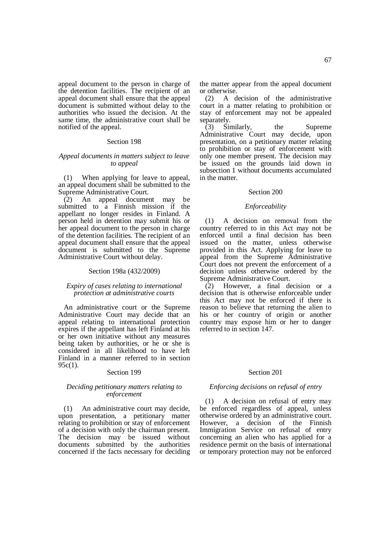appeal document to the person in charge of the detention facilities. The recipient of an appeal document shall ensure that the appeal document is submitted without delay to the authorities who issued the decision. At the same time, the administrative court shall be notified of the appeal.

## Section 198

## *Appeal documents in matters subject to leave to appeal*

(1) When applying for leave to appeal, an appeal document shall be submitted to the Supreme Administrative Court.

(2) An appeal document may be submitted to a Finnish mission if the appellant no longer resides in Finland. A person held in detention may submit his or her appeal document to the person in charge of the detention facilities. The recipient of an appeal document shall ensure that the appeal document is submitted to the Supreme Administrative Court without delay.

### Section 198a (432/2009)

## *Expiry of cases relating to international protection at administrative courts*

An administrative court or the Supreme Administrative Court may decide that an appeal relating to international protection expires if the appellant has left Finland at his or her own initiative without any measures being taken by authorities, or he or she is considered in all likelihood to have left Finland in a manner referred to in section 95c(1).

## Section 199

### *Deciding petitionary matters relating to enforcement*

(1) An administrative court may decide, upon presentation, a petitionary matter relating to prohibition or stay of enforcement of a decision with only the chairman present. The decision may be issued without documents submitted by the authorities concerned if the facts necessary for deciding

the matter appear from the appeal document or otherwise.

(2) A decision of the administrative court in a matter relating to prohibition or stay of enforcement may not be appealed separately.

 $(3)$  Similarly, the Supreme Administrative Court may decide, upon presentation, on a petitionary matter relating to prohibition or stay of enforcement with only one member present. The decision may be issued on the grounds laid down in subsection 1 without documents accumulated in the matter.

## Section 200

## *Enforceability*

(1) A decision on removal from the country referred to in this Act may not be enforced until a final decision has been issued on the matter, unless otherwise provided in this Act. Applying for leave to appeal from the Supreme Administrative Court does not prevent the enforcement of a decision unless otherwise ordered by the Supreme Administrative Court.

(2) However, a final decision or a decision that is otherwise enforceable under this Act may not be enforced if there is reason to believe that returning the alien to his or her country of origin or another country may expose him or her to danger referred to in section 147.

### Section 201

#### *Enforcing decisions on refusal of entry*

(1) A decision on refusal of entry may be enforced regardless of appeal, unless otherwise ordered by an administrative court. However, a decision of the Finnish Immigration Service on refusal of entry concerning an alien who has applied for a residence permit on the basis of international or temporary protection may not be enforced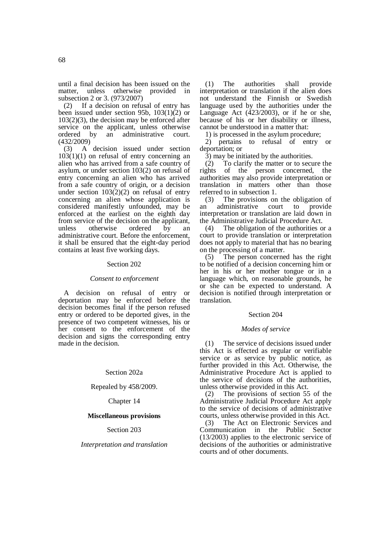until a final decision has been issued on the matter, unless otherwise provided in subsection 2 or 3. (973/2007)

(2) If a decision on refusal of entry has been issued under section 95b,  $103(1)(2)$  or 103(2)(3), the decision may be enforced after service on the applicant, unless otherwise<br>ordered by an administrative court. ordered by an administrative court. (432/2009)

(3) A decision issued under section  $103(1)(1)$  on refusal of entry concerning an alien who has arrived from a safe country of asylum, or under section 103(2) on refusal of entry concerning an alien who has arrived from a safe country of origin, or a decision under section  $103(2)(2)$  on refusal of entry concerning an alien whose application is considered manifestly unfounded, may be enforced at the earliest on the eighth day from service of the decision on the applicant,<br>unless otherwise ordered by an unless otherwise ordered by an administrative court. Before the enforcement, it shall be ensured that the eight-day period contains at least five working days.

### Section 202

### *Consent to enforcement*

A decision on refusal of entry or deportation may be enforced before the decision becomes final if the person refused entry or ordered to be deported gives, in the presence of two competent witnesses, his or her consent to the enforcement of the decision and signs the corresponding entry made in the decision.

## Section 202a

## Repealed by 458/2009.

Chapter 14

### **Miscellaneous provisions**

## Section 203

## *Interpretation and translation*

(1) The authorities shall provide interpretation or translation if the alien does not understand the Finnish or Swedish language used by the authorities under the Language Act  $(423/2003)$ , or if he or she, because of his or her disability or illness, cannot be understood in a matter that:

1) is processed in the asylum procedure;

2) pertains to refusal of entry or deportation; or

3) may be initiated by the authorities.

(2) To clarify the matter or to secure the rights of the person concerned, the authorities may also provide interpretation or translation in matters other than those referred to in subsection 1.

(3) The provisions on the obligation of an administrative court to provide interpretation or translation are laid down in the Administrative Judicial Procedure Act.

(4) The obligation of the authorities or a court to provide translation or interpretation does not apply to material that has no bearing on the processing of a matter.

(5) The person concerned has the right to be notified of a decision concerning him or her in his or her mother tongue or in a language which, on reasonable grounds, he or she can be expected to understand. A decision is notified through interpretation or translation.

### Section 204

### *Modes of service*

(1) The service of decisions issued under this Act is effected as regular or verifiable service or as service by public notice, as further provided in this Act. Otherwise, the Administrative Procedure Act is applied to the service of decisions of the authorities, unless otherwise provided in this Act.

(2) The provisions of section 55 of the Administrative Judicial Procedure Act apply to the service of decisions of administrative courts, unless otherwise provided in this Act.

(3) The Act on Electronic Services and Communication in the Public Sector (13/2003) applies to the electronic service of decisions of the authorities or administrative courts and of other documents.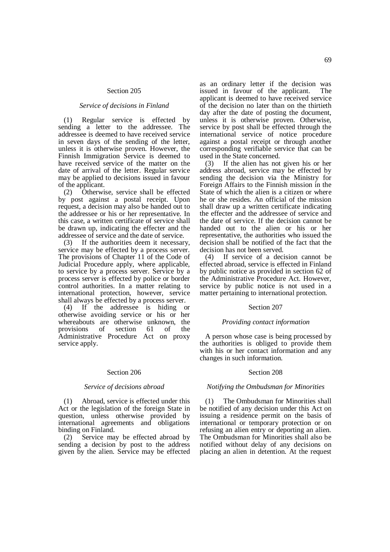### Section 205

### *Service of decisions in Finland*

(1) Regular service is effected by sending a letter to the addressee. The addressee is deemed to have received service in seven days of the sending of the letter, unless it is otherwise proven. However, the Finnish Immigration Service is deemed to have received service of the matter on the date of arrival of the letter. Regular service may be applied to decisions issued in favour of the applicant.

(2) Otherwise, service shall be effected by post against a postal receipt. Upon request, a decision may also be handed out to the addressee or his or her representative. In this case, a written certificate of service shall be drawn up, indicating the effecter and the addressee of service and the date of service.

(3) If the authorities deem it necessary, service may be effected by a process server. The provisions of Chapter 11 of the Code of Judicial Procedure apply, where applicable, to service by a process server. Service by a process server is effected by police or border control authorities. In a matter relating to international protection, however, service shall always be effected by a process server.

(4) If the addressee is hiding or otherwise avoiding service or his or her whereabouts are otherwise unknown, the provisions of section 61 of the Administrative Procedure Act on proxy service apply.

### Section 206

#### *Service of decisions abroad*

(1) Abroad, service is effected under this Act or the legislation of the foreign State in question, unless otherwise provided by international agreements and obligations binding on Finland.

(2) Service may be effected abroad by sending a decision by post to the address given by the alien. Service may be effected

as an ordinary letter if the decision was issued in favour of the applicant. The applicant is deemed to have received service of the decision no later than on the thirtieth day after the date of posting the document, unless it is otherwise proven. Otherwise, service by post shall be effected through the international service of notice procedure against a postal receipt or through another corresponding verifiable service that can be used in the State concerned.

(3) If the alien has not given his or her address abroad, service may be effected by sending the decision via the Ministry for Foreign Affairs to the Finnish mission in the State of which the alien is a citizen or where he or she resides. An official of the mission shall draw up a written certificate indicating the effecter and the addressee of service and the date of service. If the decision cannot be handed out to the alien or his or her representative, the authorities who issued the decision shall be notified of the fact that the decision has not been served.

(4) If service of a decision cannot be effected abroad, service is effected in Finland by public notice as provided in section 62 of the Administrative Procedure Act. However, service by public notice is not used in a matter pertaining to international protection.

### Section 207

#### *Providing contact information*

A person whose case is being processed by the authorities is obliged to provide them with his or her contact information and any changes in such information.

### Section 208

## *Notifying the Ombudsman for Minorities*

(1) The Ombudsman for Minorities shall be notified of any decision under this Act on issuing a residence permit on the basis of international or temporary protection or on refusing an alien entry or deporting an alien. The Ombudsman for Minorities shall also be notified without delay of any decisions on placing an alien in detention. At the request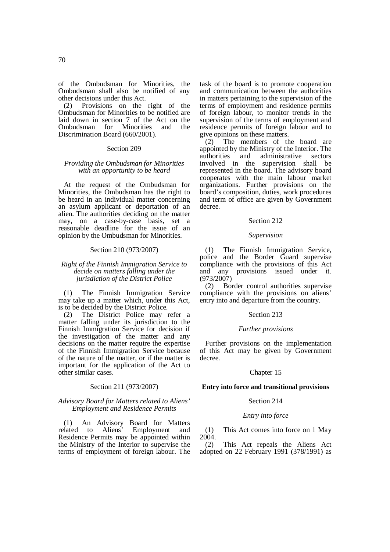of the Ombudsman for Minorities, the Ombudsman shall also be notified of any other decisions under this Act.

(2) Provisions on the right of the Ombudsman for Minorities to be notified are laid down in section 7 of the Act on the<br>Ombudsman for Minorities and the Ombudsman for Discrimination Board (660/2001).

### Section 209

### *Providing the Ombudsman for Minorities with an opportunity to be heard*

At the request of the Ombudsman for Minorities, the Ombudsman has the right to be heard in an individual matter concerning an asylum applicant or deportation of an alien. The authorities deciding on the matter may, on a case-by-case basis, set a reasonable deadline for the issue of an opinion by the Ombudsman for Minorities.

## Section 210 (973/2007)

## *Right of the Finnish Immigration Service to decide on matters falling under the jurisdiction of the District Police*

(1) The Finnish Immigration Service may take up a matter which, under this Act, is to be decided by the District Police.

(2) The District Police may refer a matter falling under its jurisdiction to the Finnish Immigration Service for decision if the investigation of the matter and any decisions on the matter require the expertise of the Finnish Immigration Service because of the nature of the matter, or if the matter is important for the application of the Act to other similar cases.

## Section 211 (973/2007)

## *Advisory Board for Matters related to Aliens' Employment and Residence Permits*

(1) An Advisory Board for Matters Aliens' Employment and Residence Permits may be appointed within the Ministry of the Interior to supervise the terms of employment of foreign labour. The task of the board is to promote cooperation and communication between the authorities in matters pertaining to the supervision of the terms of employment and residence permits of foreign labour, to monitor trends in the supervision of the terms of employment and residence permits of foreign labour and to give opinions on these matters.

(2) The members of the board are appointed by the Ministry of the Interior. The authorities and administrative sectors involved in the supervision shall be represented in the board. The advisory board cooperates with the main labour market organizations. Further provisions on the board's composition, duties, work procedures and term of office are given by Government decree.

### Section 212

#### *Supervision*

(1) The Finnish Immigration Service, police and the Border Guard supervise compliance with the provisions of this Act and any provisions issued under it.  $(973/2007)$ <br>(2) Bo

Border control authorities supervise compliance with the provisions on aliens' entry into and departure from the country.

## Section 213

#### *Further provisions*

Further provisions on the implementation of this Act may be given by Government decree.

### Chapter 15

## **Entry into force and transitional provisions**

### Section 214

#### *Entry into force*

(1) This Act comes into force on 1 May 2004.

(2) This Act repeals the Aliens Act adopted on 22 February 1991 (378/1991) as